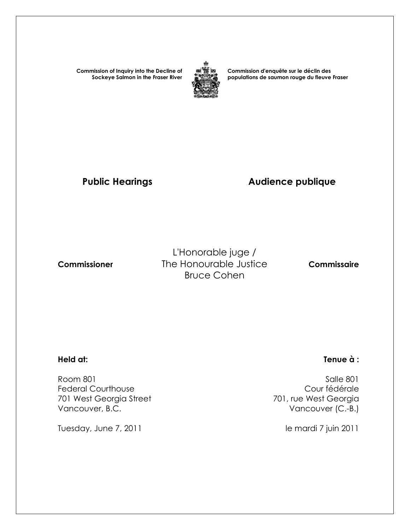**Commission of Inquiry into the Decline of Sockeye Salmon in the Fraser River**



**Commission d'enquête sur le déclin des populations de saumon rouge du fleuve Fraser** 

# Public Hearings **Audience publique**

L'Honorable juge /  **Commissioner** The Honourable Justice **Commissaire** Bruce Cohen

Room 801 Salle 801<br>Federal Courthouse and Salle 801 Salle 801 Salle 801 Federal Courthouse<br>
701 west Georgia Street<br>
701 west Georgia Street<br>
201 west Georgia 701 West Georgia Street Vancouver, B.C. **Vancouver (C.-B.)** 

Tuesday, June 7, 2011 and 1990 and 1990 and 1990 and 1990 and 1990 and 1990 and 1990 and 1990 and 1990 and 19

## **Held at: Tenue à :**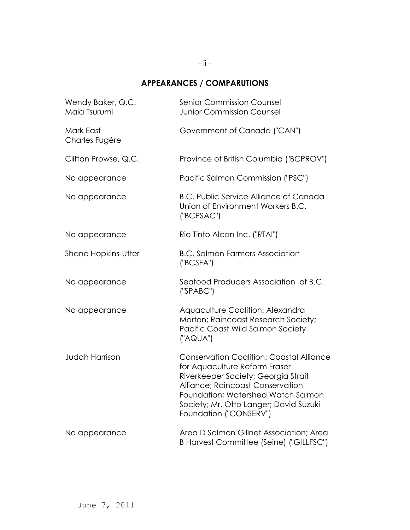# **APPEARANCES / COMPARUTIONS**

| Wendy Baker, Q.C.<br>Maia Tsurumi | <b>Senior Commission Counsel</b><br><b>Junior Commission Counsel</b>                                                                                                                                                                                                  |
|-----------------------------------|-----------------------------------------------------------------------------------------------------------------------------------------------------------------------------------------------------------------------------------------------------------------------|
| Mark East<br>Charles Fugère       | Government of Canada ("CAN")                                                                                                                                                                                                                                          |
| Clifton Prowse, Q.C.              | Province of British Columbia ("BCPROV")                                                                                                                                                                                                                               |
| No appearance                     | Pacific Salmon Commission ("PSC")                                                                                                                                                                                                                                     |
| No appearance                     | <b>B.C. Public Service Alliance of Canada</b><br>Union of Environment Workers B.C.<br>("BCPSAC")                                                                                                                                                                      |
| No appearance                     | Rio Tinto Alcan Inc. ("RTAI")                                                                                                                                                                                                                                         |
| <b>Shane Hopkins-Utter</b>        | <b>B.C. Salmon Farmers Association</b><br>("BCSFA")                                                                                                                                                                                                                   |
| No appearance                     | Seafood Producers Association of B.C.<br>("SPABC")                                                                                                                                                                                                                    |
| No appearance                     | Aquaculture Coalition: Alexandra<br>Morton; Raincoast Research Society;<br>Pacific Coast Wild Salmon Society<br>("AQUA")                                                                                                                                              |
| <b>Judah Harrison</b>             | <b>Conservation Coalition: Coastal Alliance</b><br>for Aquaculture Reform Fraser<br>Riverkeeper Society; Georgia Strait<br>Alliance; Raincoast Conservation<br>Foundation; Watershed Watch Salmon<br>Society; Mr. Otto Langer; David Suzuki<br>Foundation ("CONSERV") |
| No appearance                     | Area D Salmon Gillnet Association; Area<br>B Harvest Committee (Seine) ("GILLFSC")                                                                                                                                                                                    |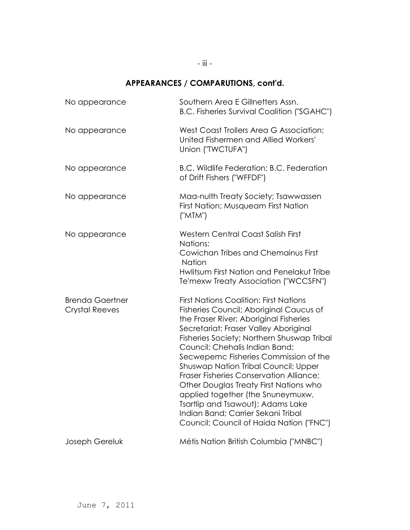# **APPEARANCES / COMPARUTIONS, cont'd.**

| No appearance                                   | Southern Area E Gillnetters Assn.<br><b>B.C. Fisheries Survival Coalition ("SGAHC")</b>                                                                                                                                                                                                                                                                                                                                                                                                                                                                                                              |
|-------------------------------------------------|------------------------------------------------------------------------------------------------------------------------------------------------------------------------------------------------------------------------------------------------------------------------------------------------------------------------------------------------------------------------------------------------------------------------------------------------------------------------------------------------------------------------------------------------------------------------------------------------------|
| No appearance                                   | West Coast Trollers Area G Association;<br>United Fishermen and Allied Workers'<br>Union ("TWCTUFA")                                                                                                                                                                                                                                                                                                                                                                                                                                                                                                 |
| No appearance                                   | B.C. Wildlife Federation; B.C. Federation<br>of Drift Fishers ("WFFDF")                                                                                                                                                                                                                                                                                                                                                                                                                                                                                                                              |
| No appearance                                   | Maa-nulth Treaty Society; Tsawwassen<br>First Nation; Musqueam First Nation<br>("MTM")                                                                                                                                                                                                                                                                                                                                                                                                                                                                                                               |
| No appearance                                   | <b>Western Central Coast Salish First</b><br>Nations:<br>Cowichan Tribes and Chemainus First<br><b>Nation</b><br>Hwlitsum First Nation and Penelakut Tribe<br>Te'mexw Treaty Association ("WCCSFN")                                                                                                                                                                                                                                                                                                                                                                                                  |
| <b>Brenda Gaertner</b><br><b>Crystal Reeves</b> | <b>First Nations Coalition: First Nations</b><br>Fisheries Council; Aboriginal Caucus of<br>the Fraser River; Aboriginal Fisheries<br>Secretariat; Fraser Valley Aboriginal<br>Fisheries Society; Northern Shuswap Tribal<br>Council; Chehalis Indian Band;<br>Secwepemc Fisheries Commission of the<br><b>Shuswap Nation Tribal Council; Upper</b><br>Fraser Fisheries Conservation Alliance;<br>Other Douglas Treaty First Nations who<br>applied together (the Snuneymuxw,<br>Tsartlip and Tsawout); Adams Lake<br>Indian Band; Carrier Sekani Tribal<br>Council; Council of Haida Nation ("FNC") |
| Joseph Gereluk                                  | Métis Nation British Columbia ("MNBC")                                                                                                                                                                                                                                                                                                                                                                                                                                                                                                                                                               |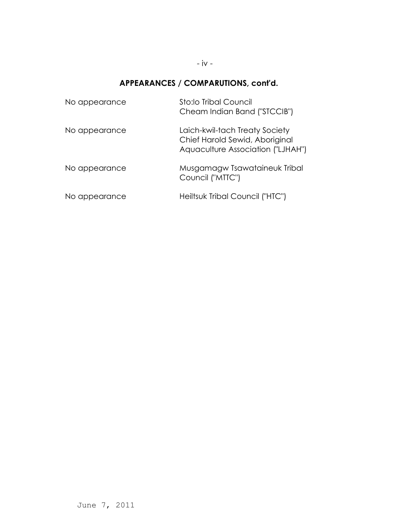### - iv -

# **APPEARANCES / COMPARUTIONS, cont'd.**

| No appearance | Sto:lo Tribal Council<br>Cheam Indian Band ("STCCIB")                                                 |
|---------------|-------------------------------------------------------------------------------------------------------|
| No appearance | Laich-kwil-tach Treaty Society<br>Chief Harold Sewid, Aboriginal<br>Aquaculture Association ("LJHAH") |
| No appearance | Musgamagw Tsawataineuk Tribal<br>Council ("MTTC")                                                     |
| No appearance | Heiltsuk Tribal Council ("HTC")                                                                       |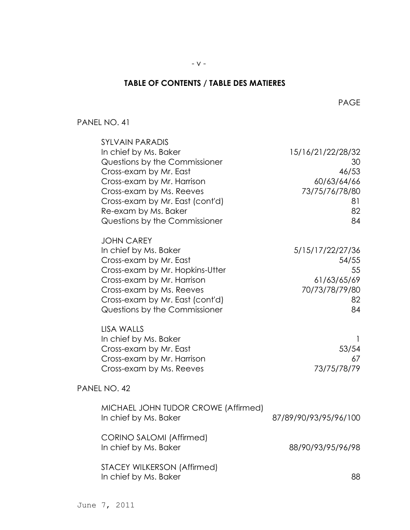## **TABLE OF CONTENTS / TABLE DES MATIERES**

#### PAGE And the contract of the contract of the page of the page of the contract of the page of the contract of the contract of the contract of the contract of the contract of the contract of the contract of the contract of t

### PANEL NO. 41

| <b>SYLVAIN PARADIS</b><br>In chief by Ms. Baker<br>Questions by the Commissioner<br>Cross-exam by Mr. East<br>Cross-exam by Mr. Harrison<br>Cross-exam by Ms. Reeves<br>Cross-exam by Mr. East (cont'd)<br>Re-exam by Ms. Baker<br>Questions by the Commissioner | 15/16/21/22/28/32<br>30<br>46/53<br>60/63/64/66<br>73/75/76/78/80<br>81<br>82<br>84 |
|------------------------------------------------------------------------------------------------------------------------------------------------------------------------------------------------------------------------------------------------------------------|-------------------------------------------------------------------------------------|
| <b>JOHN CAREY</b><br>In chief by Ms. Baker<br>Cross-exam by Mr. East<br>Cross-exam by Mr. Hopkins-Utter<br>Cross-exam by Mr. Harrison<br>Cross-exam by Ms. Reeves<br>Cross-exam by Mr. East (cont'd)<br>Questions by the Commissioner                            | 5/15/17/22/27/36<br>54/55<br>55<br>61/63/65/69<br>70/73/78/79/80<br>82<br>84        |
| LISA WALLS<br>In chief by Ms. Baker<br>Cross-exam by Mr. East<br>Cross-exam by Mr. Harrison<br>Cross-exam by Ms. Reeves                                                                                                                                          | 53/54<br>67<br>73/75/78/79                                                          |
| PANEL NO. 42                                                                                                                                                                                                                                                     |                                                                                     |
| MICHAEL JOHN TUDOR CROWE (Affirmed)<br>In chief by Ms. Baker                                                                                                                                                                                                     | 87/89/90/93/95/96/100                                                               |
| <b>CORINO SALOMI (Affirmed)</b><br>In chief by Ms. Baker                                                                                                                                                                                                         | 88/90/93/95/96/98                                                                   |
| STACEY WILKERSON (Affirmed)<br>In chief by Ms. Baker                                                                                                                                                                                                             | 88                                                                                  |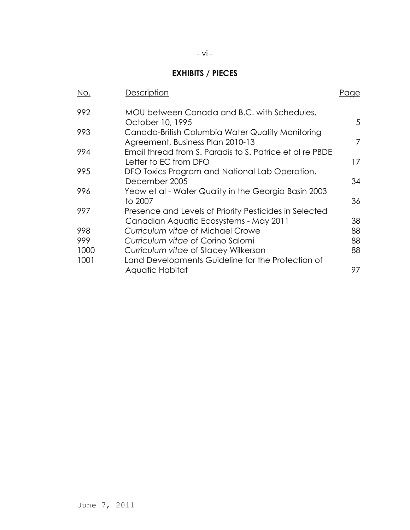# **EXHIBITS / PIECES**

| No.  | Description                                                                          | Page |
|------|--------------------------------------------------------------------------------------|------|
| 992  | MOU between Canada and B.C. with Schedules,                                          |      |
|      | October 10, 1995                                                                     | 5    |
| 993  | Canada-British Columbia Water Quality Monitoring<br>Agreement, Business Plan 2010-13 | 7    |
| 994  | Email thread from S. Paradis to S. Patrice et al re PBDE<br>Letter to EC from DFO    | 17   |
| 995  | DFO Toxics Program and National Lab Operation,<br>December 2005                      | 34   |
| 996  | Yeow et al - Water Quality in the Georgia Basin 2003<br>to 2007                      | 36   |
| 997  | Presence and Levels of Priority Pesticides in Selected                               |      |
|      | Canadian Aquatic Ecosystems - May 2011                                               | 38   |
| 998  | Curriculum vitae of Michael Crowe                                                    | 88   |
| 999  | Curriculum vitae of Corino Salomi                                                    | 88   |
| 1000 | Curriculum vitae of Stacey Wilkerson                                                 | 88   |
| 1001 | Land Developments Guideline for the Protection of                                    |      |
|      | Aquatic Habitat                                                                      | 97   |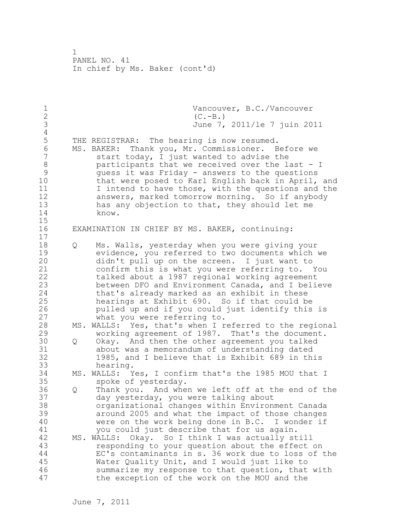1 Vancouver, B.C./Vancouver<br>2 (C.-B.) 2 (C.-B.)<br>3 June 7, 3 June 7, 2011/le 7 juin 2011 4<br>5 5 THE REGISTRAR: The hearing is now resumed. 6 MS. BAKER: Thank you, Mr. Commissioner. Before we start today, I just wanted to advise the 8 participants that we received over the last - I<br>9 quess it was Friday - answers to the questions 9 guess it was Friday - answers to the questions that were posed to Karl English back in April, and 11 I intend to have those, with the questions and the 12 answers, marked tomorrow morning. So if anybody 13 has any objection to that, they should let me 14 know. 15 16 EXAMINATION IN CHIEF BY MS. BAKER, continuing: 17 18 Q Ms. Walls, yesterday when you were giving your 19 evidence, you referred to two documents which we<br>20 didn't pull up on the screen. I just want to didn't pull up on the screen. I just want to 21 confirm this is what you were referring to. You 22 talked about a 1987 regional working agreement 23 between DFO and Environment Canada, and I believe 24 that's already marked as an exhibit in these 25 hearings at Exhibit 690. So if that could be 26 pulled up and if you could just identify this is<br>27 what you were referring to. what you were referring to. 28 MS. WALLS: Yes, that's when I referred to the regional 29 working agreement of 1987. That's the document. 30 Q Okay. And then the other agreement you talked 31 about was a memorandum of understanding dated<br>32 1985, and I believe that is Exhibit 689 in th: 1985, and I believe that is Exhibit 689 in this 33 hearing. 34 MS. WALLS: Yes, I confirm that's the 1985 MOU that I 35 spoke of yesterday. 36 Q Thank you. And when we left off at the end of the 37 day yesterday, you were talking about 38 organizational changes within Environment Canada 39 around 2005 and what the impact of those changes 40 were on the work being done in B.C. I wonder if 41 you could just describe that for us again.<br>42 MS. WALLS: Okav. So I think I was actually st MS. WALLS: Okay. So I think I was actually still 43 responding to your question about the effect on 44 EC's contaminants in s. 36 work due to loss of the 45 Water Quality Unit, and I would just like to 46 summarize my response to that question, that with 47 the exception of the work on the MOU and the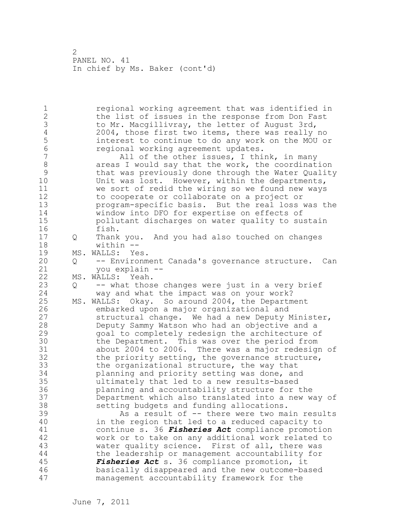1 regional working agreement that was identified in 2 the list of issues in the response from Don Fast 3 to Mr. Macgillivray, the letter of August 3rd,<br>4 2004, those first two items, there was really 4 2004, those first two items, there was really no<br>5 interest to continue to do any work on the MOU or 5 interest to continue to do any work on the MOU or 6 **6** regional working agreement updates.<br>7 **hand all of the other issues, I thi** All of the other issues, I think, in many 8 areas I would say that the work, the coordination<br>9 bthat was previously done through the Water Oualit 9 that was previously done through the Water Quality<br>10 Unit was lost. However, within the departments, Unit was lost. However, within the departments, 11 we sort of redid the wiring so we found new ways 12 to cooperate or collaborate on a project or 13 program-specific basis. But the real loss was the 14 window into DFO for expertise on effects of 15 pollutant discharges on water quality to sustain 16 fish. 17 Q Thank you. And you had also touched on changes 18 within -- 19 MS. WALLS: Yes.<br>20 0 -- Environm 20 Q -- Environment Canada's governance structure. Can 21 you explain -- 22 MS. WALLS: Yeah. 23 Q -- what those changes were just in a very brief 24 way and what the impact was on your work? 25 MS. WALLS: Okay. So around 2004, the Department 26 embarked upon a major organizational and<br>27 structural change. We had a new Deputy N structural change. We had a new Deputy Minister, 28 Deputy Sammy Watson who had an objective and a 29 goal to completely redesign the architecture of 30 the Department. This was over the period from<br>31 about 2004 to 2006. There was a major redesign about 2004 to 2006. There was a major redesign of 32 the priority setting, the governance structure, 33 the organizational structure, the way that 34 planning and priority setting was done, and 35 ultimately that led to a new results-based 36 planning and accountability structure for the 37 Department which also translated into a new way of 38 setting budgets and funding allocations. 39 As a result of -- there were two main results 40 in the region that led to a reduced capacity to 41 continue s. 36 *Fisheries Act* compliance promotion work or to take on any additional work related to 43 water quality science. First of all, there was 44 the leadership or management accountability for 45 *Fisheries Act* s. 36 compliance promotion, it 46 basically disappeared and the new outcome-based 47 management accountability framework for the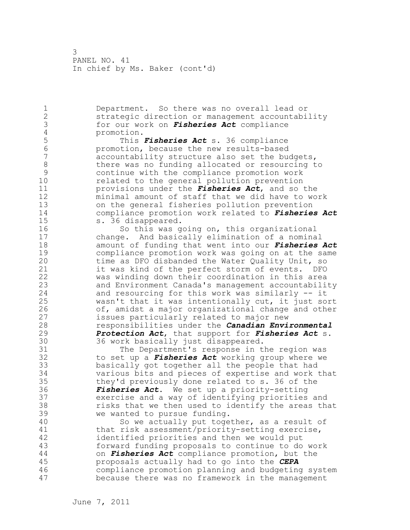1 Department. So there was no overall lead or 2 strategic direction or management accountability 3 for our work on *Fisheries Act* compliance 4 promotion.<br>5 This 5 This *Fisheries Act* s. 36 compliance 6 promotion, because the new results-based accountability structure also set the budgets, 8 there was no funding allocated or resourcing to<br>9 continue with the compliance promotion work 9 continue with the compliance promotion work related to the general pollution prevention 11 provisions under the *Fisheries Act*, and so the 12 minimal amount of staff that we did have to work 13 on the general fisheries pollution prevention 14 compliance promotion work related to *Fisheries Act* 15 s. 36 disappeared. 16 So this was going on, this organizational 17 change. And basically elimination of a nominal 18 amount of funding that went into our *Fisheries Act* 19 compliance promotion work was going on at the same<br>20 time as DFO disbanded the Water Ouality Unit, so time as DFO disbanded the Water Quality Unit, so 21 it was kind of the perfect storm of events. DFO 22 was winding down their coordination in this area 23 and Environment Canada's management accountability 24 and resourcing for this work was similarly -- it 25 wasn't that it was intentionally cut, it just sort 26 of, amidst a major organizational change and other<br>27 sissues particularly related to major new issues particularly related to major new 28 responsibilities under the *Canadian Environmental*  29 *Protection Act*, that support for *Fisheries Act* s. 30 36 work basically just disappeared.<br>31 The Department's response in t 31 The Department's response in the region was<br>32 to set up a *Fisheries Act* working group where we to set up a *Fisheries Act* working group where we 33 basically got together all the people that had 34 various bits and pieces of expertise and work that 35 they'd previously done related to s. 36 of the 36 *Fisheries Act*. We set up a priority-setting 37 exercise and a way of identifying priorities and 38 risks that we then used to identify the areas that 39 we wanted to pursue funding. 40 So we actually put together, as a result of 41 that risk assessment/priority-setting exercise,<br>42 identified priorities and then we would put identified priorities and then we would put 43 forward funding proposals to continue to do work 44 on *Fisheries Act* compliance promotion, but the 45 proposals actually had to go into the *CEPA* 46 compliance promotion planning and budgeting system 47 because there was no framework in the management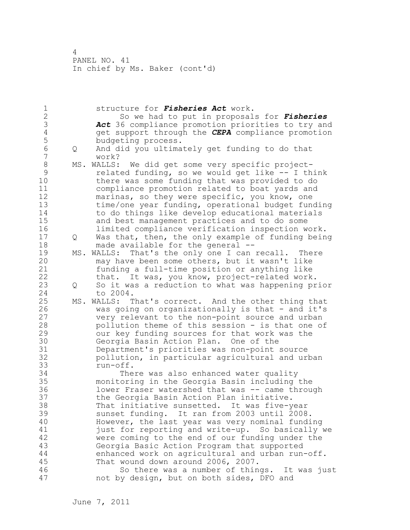| 1                            |     | structure for Fisheries Act work.                                                               |
|------------------------------|-----|-------------------------------------------------------------------------------------------------|
| $\mathbf{2}$                 |     | So we had to put in proposals for Fisheries                                                     |
| 3                            |     | Act 36 compliance promotion priorities to try and                                               |
| $\sqrt{4}$                   |     | get support through the CEPA compliance promotion                                               |
| 5                            |     | budgeting process.                                                                              |
| $\sqrt{6}$<br>$\overline{7}$ | Q   | And did you ultimately get funding to do that<br>work?                                          |
| $\,8\,$                      |     | MS. WALLS: We did get some very specific project-                                               |
| $\mathcal{G}$                |     | related funding, so we would get like -- I think                                                |
| 10                           |     | there was some funding that was provided to do                                                  |
| 11                           |     | compliance promotion related to boat yards and                                                  |
| 12                           |     | marinas, so they were specific, you know, one                                                   |
| 13                           |     | time/one year funding, operational budget funding                                               |
| 14                           |     | to do things like develop educational materials                                                 |
| 15                           |     | and best management practices and to do some                                                    |
| 16                           |     | limited compliance verification inspection work.                                                |
| 17                           | Q   | Was that, then, the only example of funding being                                               |
| 18                           |     | made available for the general --                                                               |
| 19                           | MS. | WALLS: That's the only one I can recall. There                                                  |
| 20                           |     | may have been some others, but it wasn't like                                                   |
| 21                           |     | funding a full-time position or anything like                                                   |
| 22                           |     | that. It was, you know, project-related work.                                                   |
| 23                           | Q   | So it was a reduction to what was happening prior                                               |
| 24                           |     | to 2004.                                                                                        |
| 25                           | MS. | WALLS: That's correct. And the other thing that                                                 |
| 26                           |     | was going on organizationally is that - and it's                                                |
| 27                           |     | very relevant to the non-point source and urban                                                 |
| 28                           |     | pollution theme of this session - is that one of                                                |
| 29                           |     | our key funding sources for that work was the                                                   |
| 30                           |     | Georgia Basin Action Plan. One of the                                                           |
| 31                           |     | Department's priorities was non-point source                                                    |
| 32                           |     | pollution, in particular agricultural and urban                                                 |
| 33                           |     | run-off.                                                                                        |
| 34                           |     | There was also enhanced water quality                                                           |
| 35                           |     | monitoring in the Georgia Basin including the                                                   |
| 36<br>37                     |     | lower Fraser watershed that was -- came through                                                 |
| 38                           |     | the Georgia Basin Action Plan initiative.<br>That initiative sunsetted. It was five-year        |
| 39                           |     |                                                                                                 |
| 40                           |     | sunset funding. It ran from 2003 until 2008.<br>However, the last year was very nominal funding |
| 41                           |     | just for reporting and write-up. So basically we                                                |
| 42                           |     | were coming to the end of our funding under the                                                 |
| 43                           |     | Georgia Basic Action Program that supported                                                     |
| 44                           |     | enhanced work on agricultural and urban run-off.                                                |
| 45                           |     | That wound down around 2006, 2007.                                                              |
| 46                           |     | So there was a number of things. It was just                                                    |
| 47                           |     | not by design, but on both sides, DFO and                                                       |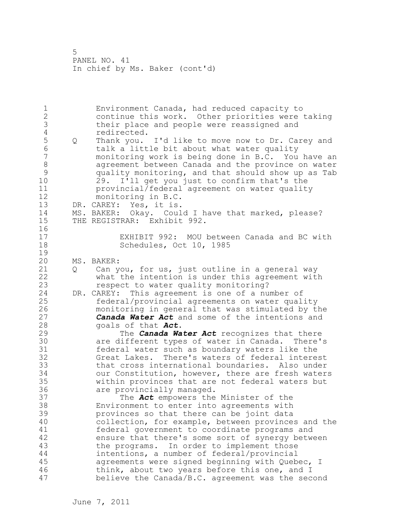1 Environment Canada, had reduced capacity to 2 continue this work. Other priorities were taking 3 their place and people were reassigned and 4 redirected.<br>5 0 Thank you. 5 Q Thank you. I'd like to move now to Dr. Carey and 6 talk a little bit about what water quality monitoring work is being done in B.C. You have an 8 agreement between Canada and the province on water 9 quality monitoring, and that should show up as Tab<br>10 29. I'll get you just to confirm that's the 29. I'll get you just to confirm that's the 11 provincial/federal agreement on water quality 12 monitoring in B.C. 13 DR. CAREY: Yes, it is. 14 MS. BAKER: Okay. Could I have that marked, please? 15 THE REGISTRAR: Exhibit 992. 16 17 EXHIBIT 992: MOU between Canada and BC with 18 Schedules, Oct 10, 1985  $\frac{19}{20}$ MS. BAKER: 21 Q Can you, for us, just outline in a general way 22 what the intention is under this agreement with 23 respect to water quality monitoring? 24 DR. CAREY: This agreement is one of a number of 25 federal/provincial agreements on water quality 26 monitoring in general that was stimulated by the<br>27 **Canada Water Act** and some of the intentions and **Canada Water Act** and some of the intentions and 28 goals of that *Act*. 29 The *Canada Water Act* recognizes that there 30 are different types of water in Canada. There's federal water such as boundary waters like the 32 Great Lakes. There's waters of federal interest 33 that cross international boundaries. Also under 34 our Constitution, however, there are fresh waters 35 within provinces that are not federal waters but 36 are provincially managed. 37 The *Act* empowers the Minister of the 38 Environment to enter into agreements with 39 provinces so that there can be joint data 40 collection, for example, between provinces and the 41 federal government to coordinate programs and<br>42 ensure that there's some sort of synergy betw ensure that there's some sort of synergy between 43 the programs. In order to implement those 44 intentions, a number of federal/provincial 45 agreements were signed beginning with Quebec, I 46 think, about two years before this one, and I 47 believe the Canada/B.C. agreement was the second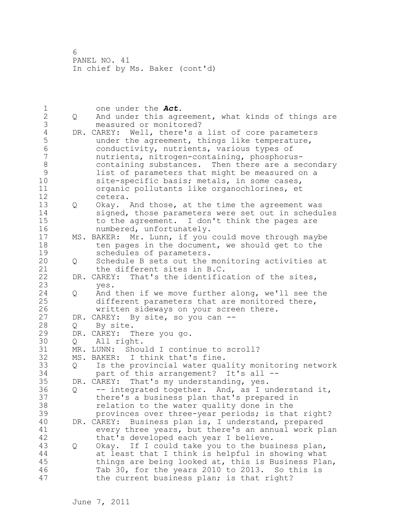1 one under the **Act.**<br>2 0 And under this agr 2 Q And under this agreement, what kinds of things are 3 measured or monitored?<br>4 DR. CAREY: Well, there's a 4 DR. CAREY: Well, there's a list of core parameters<br>5 under the agreement, things like temperature, 5 under the agreement, things like temperature,<br>6 conductivity, nutrients, various types of 6 conductivity, nutrients, various types of nutrients, nitrogen-containing, phosphorus-8 containing substances. Then there are a secondary 9 list of parameters that might be measured on a<br>10 site-specific basis: metals, in some cases, site-specific basis; metals, in some cases, 11 organic pollutants like organochlorines, et 12 cetera. 13 Q Okay. And those, at the time the agreement was 14 signed, those parameters were set out in schedules 15 to the agreement. I don't think the pages are 16 numbered, unfortunately. 17 MS. BAKER: Mr. Lunn, if you could move through maybe 18 ten pages in the document, we should get to the 19 schedules of parameters.<br>20 0 Schedule B sets out the 20 Q Schedule B sets out the monitoring activities at 21 the different sites in B.C. 22 DR. CAREY: That's the identification of the sites, 23 yes.<br>24 Q And Q And then if we move further along, we'll see the 25 different parameters that are monitored there, 26 written sideways on your screen there.<br>27 DR. CAREY: By site, so you can --DR. CAREY: By site, so you can --28 Q By site. 29 DR. CAREY: There you go. 30 Q All right.<br>31 MR. LUNN: Shou 31 MR. LUNN: Should I continue to scroll?<br>32 MS. BAKER: I think that's fine. MS. BAKER: I think that's fine. 33 Q Is the provincial water quality monitoring network 34 part of this arrangement? It's all -- 35 DR. CAREY: That's my understanding, yes. 36 Q -- integrated together. And, as I understand it, 37 there's a business plan that's prepared in 38 relation to the water quality done in the 39 provinces over three-year periods; is that right? 40 DR. CAREY: Business plan is, I understand, prepared 41 every three years, but there's an annual work plan<br>42 that's developed each vear I believe. that's developed each year I believe. 43 Q Okay. If I could take you to the business plan, 44 at least that I think is helpful in showing what 45 things are being looked at, this is Business Plan, 46 Tab 30, for the years 2010 to 2013. So this is 47 the current business plan; is that right?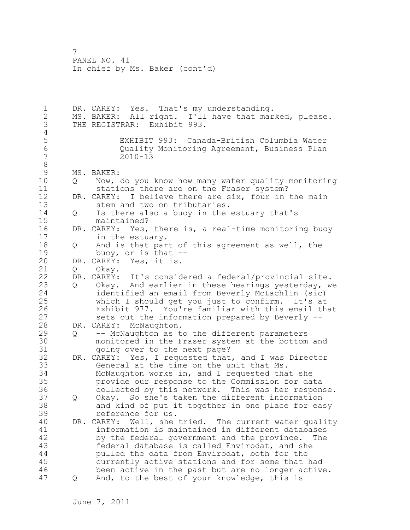1 DR. CAREY: Yes. That's my understanding. 2 MS. BAKER: All right. I'll have that marked, please. 3 THE REGISTRAR: Exhibit 993. 4<br>5 5 EXHIBIT 993: Canada-British Columbia Water 6 Quality Monitoring Agreement, Business Plan  $2010 - 13$ 8<br>9 9 MS. BAKER:<br>10 0 Now, 10 Q Now, do you know how many water quality monitoring 11 stations there are on the Fraser system? 12 DR. CAREY: I believe there are six, four in the main 13 stem and two on tributaries. 14 Q Is there also a buoy in the estuary that's 15 maintained? 16 DR. CAREY: Yes, there is, a real-time monitoring buoy 17 in the estuary. 18 Q And is that part of this agreement as well, the 19 buoy, or is that --<br>20 DR. CAREY: Yes, it is. DR. CAREY: Yes, it is. 21 Q Okay. 22 DR. CAREY: It's considered a federal/provincial site. 23 Q Okay. And earlier in these hearings yesterday, we 24 identified an email from Beverly McLachlin (sic) 25 which I should get you just to confirm. It's at 26 Exhibit 977. You're familiar with this email that<br>27 sets out the information prepared by Beverly -sets out the information prepared by Beverly --28 DR. CAREY: McNaughton. 29 Q -- McNaughton as to the different parameters 30 monitored in the Fraser system at the bottom and<br>31 ooing over to the next page? going over to the next page? 32 DR. CAREY: Yes, I requested that, and I was Director 33 General at the time on the unit that Ms. 34 McNaughton works in, and I requested that she 35 provide our response to the Commission for data 36 collected by this network. This was her response. 37 Q Okay. So she's taken the different information 38 and kind of put it together in one place for easy 39 reference for us. 40 DR. CAREY: Well, she tried. The current water quality 41 information is maintained in different databases<br>42 by the federal government and the province. The by the federal government and the province. The 43 federal database is called Envirodat, and she 44 pulled the data from Envirodat, both for the 45 currently active stations and for some that had 46 been active in the past but are no longer active. 47 Q And, to the best of your knowledge, this is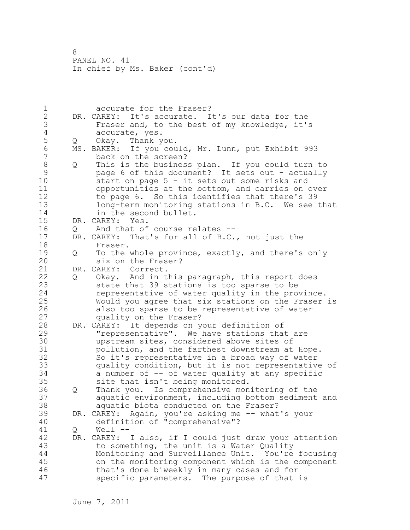1 accurate for the Fraser? 2 DR. CAREY: It's accurate. It's our data for the 3 Fraser and, to the best of my knowledge, it's 4 accurate, yes.<br>5 Q Okay. Thank y 5 Q Okay. Thank you. 6 MS. BAKER: If you could, Mr. Lunn, put Exhibit 993 back on the screen? 8 Q This is the business plan. If you could turn to<br>9 and this document? It sets out - actually 9 page 6 of this document? It sets out - actually<br>10 start on page 5 - it sets out some risks and start on page  $5 - it$  sets out some risks and 11 opportunities at the bottom, and carries on over 12 to page 6. So this identifies that there's 39 13 long-term monitoring stations in B.C. We see that 14 in the second bullet. 15 DR. CAREY: Yes. 16 Q And that of course relates -- 17 DR. CAREY: That's for all of B.C., not just the 18 Fraser. 19 Q To the whole province, exactly, and there's only<br>20 six on the Fraser? six on the Fraser? 21 DR. CAREY: Correct. 22 Q Okay. And in this paragraph, this report does 23 state that 39 stations is too sparse to be 24 representative of water quality in the province. 25 Would you agree that six stations on the Fraser is 26 also too sparse to be representative of water<br>27 quality on the Fraser? quality on the Fraser? 28 DR. CAREY: It depends on your definition of 29 "representative". We have stations that are 30 upstream sites, considered above sites of<br>31 pollution, and the farthest downstream at pollution, and the farthest downstream at Hope. 32 So it's representative in a broad way of water 33 quality condition, but it is not representative of 34 a number of -- of water quality at any specific 35 site that isn't being monitored. 36 Q Thank you. Is comprehensive monitoring of the 37 aquatic environment, including bottom sediment and 38 aquatic biota conducted on the Fraser? 39 DR. CAREY: Again, you're asking me -- what's your 40 definition of "comprehensive"? 41 Q Well --<br>42 DR. CAREY: DR. CAREY: I also, if I could just draw your attention 43 to something, the unit is a Water Quality 44 Monitoring and Surveillance Unit. You're focusing 45 on the monitoring component which is the component 46 that's done biweekly in many cases and for 47 specific parameters. The purpose of that is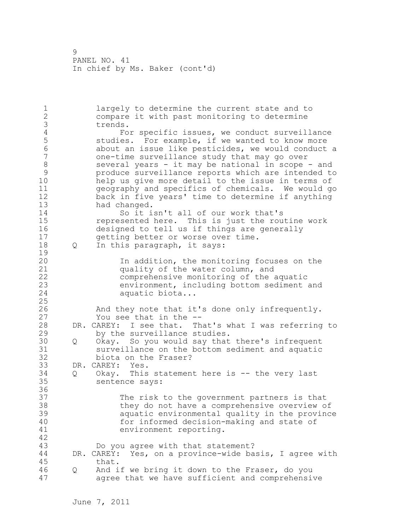1 largely to determine the current state and to 2 compare it with past monitoring to determine 3 trends.<br>4 Fo 4 For specific issues, we conduct surveillance<br>5 Studies. For example, if we wanted to know more 5 studies. For example, if we wanted to know more<br>6 about an issue like pesticides, we would conduct 6 about an issue like pesticides, we would conduct a 7 one-time surveillance study that may go over 8 several years - it may be national in scope - and<br>9 serveduce surveillance reports which are intended to 9 produce surveillance reports which are intended to help us give more detail to the issue in terms of 11 geography and specifics of chemicals. We would go 12 back in five years' time to determine if anything 13 had changed. 14 So it isn't all of our work that's 15 represented here. This is just the routine work 16 designed to tell us if things are generally 17 getting better or worse over time. 18 Q In this paragraph, it says:  $\frac{19}{20}$ In addition, the monitoring focuses on the 21 quality of the water column, and 22 comprehensive monitoring of the aquatic 23 environment, including bottom sediment and 24 aquatic biota... 25 26 And they note that it's done only infrequently.<br>27 You see that in the --You see that in the --28 DR. CAREY: I see that. That's what I was referring to 29 by the surveillance studies. 30 Q Okay. So you would say that there's infrequent surveillance on the bottom sediment and aquatic 32 biota on the Fraser? 33 DR. CAREY: Yes. 34 Q Okay. This statement here is -- the very last 35 sentence says: 36 37 The risk to the government partners is that 38 they do not have a comprehensive overview of 39 aquatic environmental quality in the province 40 for informed decision-making and state of 41 environment reporting. 42 43 Do you agree with that statement? 44 DR. CAREY: Yes, on a province-wide basis, I agree with 45 that. 46 Q And if we bring it down to the Fraser, do you 47 agree that we have sufficient and comprehensive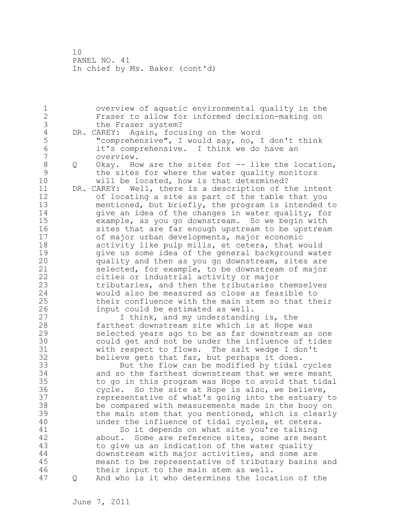1 overview of aquatic environmental quality in the 2 Fraser to allow for informed decision-making on 3 the Fraser system?<br>4 DR. CAREY: Again, focu 4 DR. CAREY: Again, focusing on the word<br>5 "comprehensive", I would say, no, I 5 "comprehensive", I would say, no, I don't think<br>6 it's comprehensive. I think we do have an 6 it's comprehensive. I think we do have an overview. 8 Q Okay. How are the sites for -- like the location, 9 the sites for where the water quality monitors<br>10 will be located, how is that determined? will be located, how is that determined? 11 DR. CAREY: Well, there is a description of the intent 12 of locating a site as part of the table that you 13 mentioned, but briefly, the program is intended to 14 **give an idea of the changes in water quality, for** 15 example, as you go downstream. So we begin with 16 sites that are far enough upstream to be upstream 17 of major urban developments, major economic 18 activity like pulp mills, et cetera, that would 19 91 give us some idea of the general background water<br>20 91 quality and then as you go downstream, sites are quality and then as you go downstream, sites are 21 selected, for example, to be downstream of major 22 cities or industrial activity or major 23 tributaries, and then the tributaries themselves 24 would also be measured as close as feasible to 25 their confluence with the main stem so that their 26 input could be estimated as well.<br>27 1 think, and my understandin I think, and my understanding is, the 28 farthest downstream site which is at Hope was 29 selected years ago to be as far downstream as one 30 could get and not be under the influence of tides<br>31 with respect to flows. The salt wedge I don't with respect to flows. The salt wedge I don't 32 believe gets that far, but perhaps it does. 33 But the flow can be modified by tidal cycles 34 and so the farthest downstream that we were meant 35 to go in this program was Hope to avoid that tidal 36 cycle. So the site at Hope is also, we believe, 37 representative of what's going into the estuary to 38 be compared with measurements made in the buoy on 39 the main stem that you mentioned, which is clearly 40 under the influence of tidal cycles, et cetera. 41 So it depends on what site you're talking<br>42 about. Some are reference sites, some are meal about. Some are reference sites, some are meant 43 to give us an indication of the water quality 44 downstream with major activities, and some are 45 meant to be representative of tributary basins and 46 their input to the main stem as well. 47 Q And who is it who determines the location of the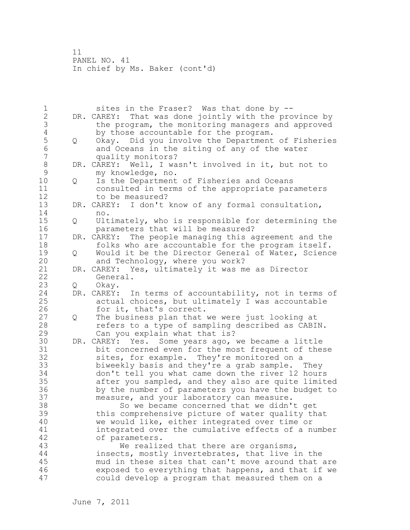1 sites in the Fraser? Was that done by -- 2 DR. CAREY: That was done jointly with the province by 3 the program, the monitoring managers and approved<br>4 by those accountable for the program. 4 by those accountable for the program.<br>5 0 Okay. Did you involve the Department 5 Q Okay. Did you involve the Department of Fisheries<br>6 and Oceans in the siting of any of the water 6 and Oceans in the siting of any of the water quality monitors? 8 DR. CAREY: Well, I wasn't involved in it, but not to<br>9 my knowledge, no. 9 my knowledge, no.<br>10 0 Is the Department 10 Q Is the Department of Fisheries and Oceans 11 consulted in terms of the appropriate parameters 12 to be measured? 13 DR. CAREY: I don't know of any formal consultation, 14 no. 15 Q Ultimately, who is responsible for determining the 16 parameters that will be measured? 17 DR. CAREY: The people managing this agreement and the 18 folks who are accountable for the program itself. 19 Q Would it be the Director General of Water, Science<br>20 and Technology, where you work? and Technology, where you work?<br>DR. CAREY: Yes, ultimately it was m 21 DR. CAREY: Yes, ultimately it was me as Director 22 General. 23 Q Okay. 24 DR. CAREY: In terms of accountability, not in terms of 25 actual choices, but ultimately I was accountable 26 for it, that's correct.<br>27 0 The business plan that Q The business plan that we were just looking at 28 refers to a type of sampling described as CABIN. 29 Can you explain what that is? 30 DR. CAREY: Yes. Some years ago, we became a little bit concerned even for the most frequent of these 32 sites, for example. They're monitored on a 33 biweekly basis and they're a grab sample. They 34 don't tell you what came down the river 12 hours 35 after you sampled, and they also are quite limited 36 by the number of parameters you have the budget to 37 measure, and your laboratory can measure. 38 So we became concerned that we didn't get 39 this comprehensive picture of water quality that 40 we would like, either integrated over time or 41 integrated over the cumulative effects of a number<br>42 of parameters. of parameters. 43 We realized that there are organisms, 44 insects, mostly invertebrates, that live in the 45 mud in these sites that can't move around that are 46 exposed to everything that happens, and that if we 47 could develop a program that measured them on a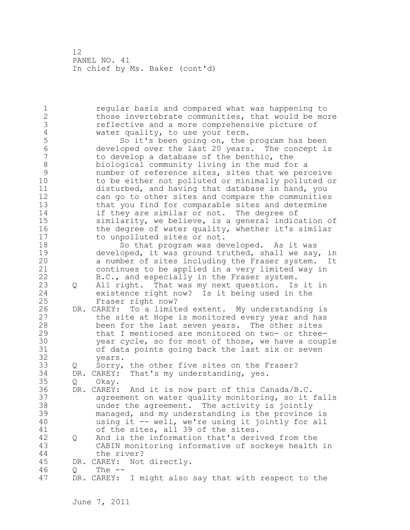1 regular basis and compared what was happening to 2 those invertebrate communities, that would be more 3 reflective and a more comprehensive picture of<br>4 water quality, to use your term. 4 water quality, to use your term. 5 So it's been going on, the program has been<br>6 developed over the last 20 years. The concept i 6 developed over the last 20 years. The concept is to develop a database of the benthic, the 8 biological community living in the mud for a 9 mumber of reference sites, sites that we perceive<br>10 to be either not polluted or minimally polluted o to be either not polluted or minimally polluted or 11 disturbed, and having that database in hand, you 12 can go to other sites and compare the communities 13 that you find for comparable sites and determine 14 if they are similar or not. The degree of 15 similarity, we believe, is a general indication of 16 the degree of water quality, whether it's similar 17 to unpolluted sites or not. 18 So that program was developed. As it was 19 developed, it was ground truthed, shall we say, in<br>20 a number of sites including the Fraser system. It a number of sites including the Fraser system. It 21 continues to be applied in a very limited way in 22 B.C., and especially in the Fraser system. 23 Q All right. That was my next question. Is it in 24 existence right now? Is it being used in the 25 Fraser right now? 26 DR. CAREY: To a limited extent. My understanding is<br>27 the site at Hope is monitored every year and has the site at Hope is monitored every year and has 28 been for the last seven years. The other sites 29 that I mentioned are monitored on two- or three-30 year cycle, so for most of those, we have a couple<br>31 of data points going back the last six or seven of data points going back the last six or seven 32 years. 33 Q Sorry, the other five sites on the Fraser? 34 DR. CAREY: That's my understanding, yes. 35 Q Okay. 36 DR. CAREY: And it is now part of this Canada/B.C. 37 agreement on water quality monitoring, so it falls 38 under the agreement. The activity is jointly 39 managed, and my understanding is the province is 40 using it -- well, we're using it jointly for all 41 of the sites, all 39 of the sites.<br>42 Q And is the information that's deri 42 Q And is the information that's derived from the 43 CABIN monitoring informative of sockeye health in 44 the river? 45 DR. CAREY: Not directly. 46 Q The -- 47 DR. CAREY: I might also say that with respect to the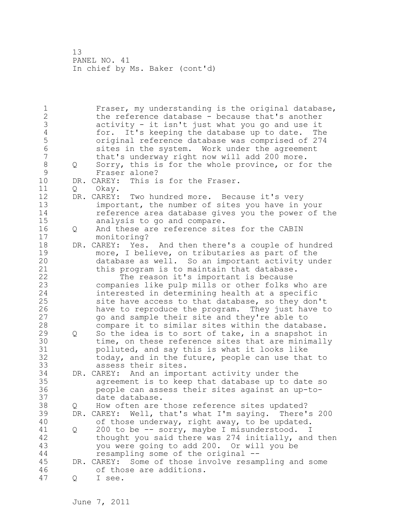1 Fraser, my understanding is the original database, 2 the reference database - because that's another 3 activity - it isn't just what you go and use it<br>4 for. It's keeping the database up to date. Th 4 for. It's keeping the database up to date. The<br>5 original reference database was comprised of 274 5 original reference database was comprised of 274 6 sites in the system. Work under the agreement that's underway right now will add 200 more. 8 Q Sorry, this is for the whole province, or for the 9<br>9 Fraser alone? 9 Fraser alone?<br>10 DR. CAREY: This i DR. CAREY: This is for the Fraser. 11 O Okav. 12 DR. CAREY: Two hundred more. Because it's very 13 important, the number of sites you have in your 14 reference area database gives you the power of the 15 analysis to go and compare. 16 Q And these are reference sites for the CABIN 17 monitoring? 18 DR. CAREY: Yes. And then there's a couple of hundred 19 more, I believe, on tributaries as part of the<br>20 database as well. So an important activity un database as well. So an important activity under 21 this program is to maintain that database. 22 The reason it's important is because 23 companies like pulp mills or other folks who are 24 interested in determining health at a specific 25 site have access to that database, so they don't 26 have to reproduce the program. They just have to<br>27 opend sample their site and they're able to 27 go and sample their site and they're able to 28 compare it to similar sites within the database. 29 Q So the idea is to sort of take, in a snapshot in 30 time, on these reference sites that are minimally<br>31 bolluted, and sav this is what it looks like polluted, and say this is what it looks like 32 today, and in the future, people can use that to 33 assess their sites. 34 DR. CAREY: And an important activity under the 35 agreement is to keep that database up to date so 36 people can assess their sites against an up-to-37 date database. 38 Q How often are those reference sites updated? 39 DR. CAREY: Well, that's what I'm saying. There's 200 40 of those underway, right away, to be updated. 41 Q 200 to be -- sorry, maybe I misunderstood. I<br>42 thought you said there was 274 initially, and thought you said there was 274 initially, and then 43 you were going to add 200. Or will you be 44 resampling some of the original -- 45 DR. CAREY: Some of those involve resampling and some 46 of those are additions. 47 Q I see.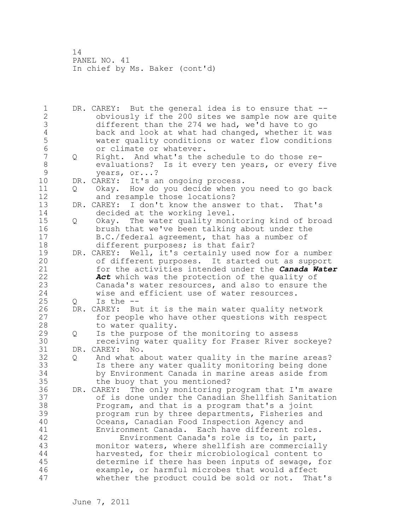1 DR. CAREY: But the general idea is to ensure that -- 2 obviously if the 200 sites we sample now are quite 3 different than the 274 we had, we'd have to go<br>4 back and look at what had changed, whether it 4 back and look at what had changed, whether it was<br>5 water quality conditions or water flow conditions 5 water quality conditions or water flow conditions 6 or climate or whatever.<br>7 0 Right. And what's the 7 Q Right. And what's the schedule to do those re-8 evaluations? Is it every ten years, or every five<br>9 vears, or...? 9 years, or...?<br>10 DR. CAREY: It's a DR. CAREY: It's an ongoing process. 11 Q Okay. How do you decide when you need to go back 12 and resample those locations? 13 DR. CAREY: I don't know the answer to that. That's 14 decided at the working level. 15 Q Okay. The water quality monitoring kind of broad 16 brush that we've been talking about under the 17 B.C./federal agreement, that has a number of 18 different purposes; is that fair? 19 DR. CAREY: Well, it's certainly used now for a number<br>20 of different purposes. It started out as support of different purposes. It started out as support 21 for the activities intended under the *Canada Water*  22 *Act* which was the protection of the quality of 23 Canada's water resources, and also to ensure the 24 wise and efficient use of water resources. 25 Q Is the -- 26 DR. CAREY: But it is the main water quality network<br>27 for people who have other questions with respect for people who have other questions with respect 28 to water quality. 29 Q Is the purpose of the monitoring to assess 30 receiving water quality for Fraser River sockeye?<br>31 DR. CAREY: No. DR. CAREY: No. 32 Q And what about water quality in the marine areas? 33 Is there any water quality monitoring being done 34 by Environment Canada in marine areas aside from 35 the buoy that you mentioned? 36 DR. CAREY: The only monitoring program that I'm aware 37 of is done under the Canadian Shellfish Sanitation 38 Program, and that is a program that's a joint 39 program run by three departments, Fisheries and 40 Oceans, Canadian Food Inspection Agency and 41 Environment Canada. Each have different roles.<br>42 Environment Canada's role is to, in part, Environment Canada's role is to, in part, 43 monitor waters, where shellfish are commercially 44 harvested, for their microbiological content to 45 determine if there has been inputs of sewage, for 46 example, or harmful microbes that would affect 47 whether the product could be sold or not. That's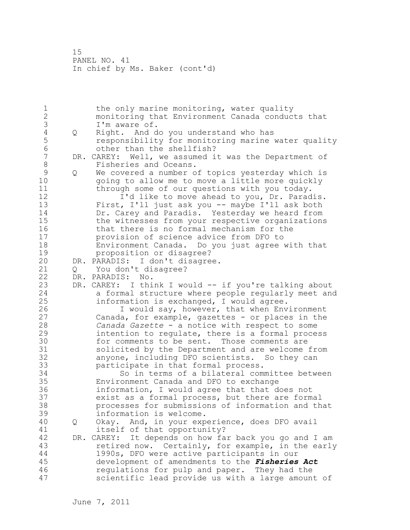1 the only marine monitoring, water quality 2 monitoring that Environment Canada conducts that 3 I'm aware of.<br>4 Q Right. And d 4 Q Right. And do you understand who has<br>5 cesponsibility for monitoring marine 5 responsibility for monitoring marine water quality 6 other than the shellfish?<br>7 DR. CAREY: Well, we assumed i DR. CAREY: Well, we assumed it was the Department of 8 Fisheries and Oceans. 9 Q We covered a number of topics yesterday which is<br>10 ooing to allow me to move a little more quickly going to allow me to move a little more quickly 11 through some of our questions with you today. 12 **I'd like to move ahead to you, Dr. Paradis.** 13 First, I'll just ask you -- maybe I'll ask both 14 Dr. Carey and Paradis. Yesterday we heard from 15 the witnesses from your respective organizations 16 that there is no formal mechanism for the 17 provision of science advice from DFO to 18 Environment Canada. Do you just agree with that 19 proposition or disagree?<br>20 DR. PARADIS: I don't disagre DR. PARADIS: I don't disagree. 21 Q You don't disagree? 22 DR. PARADIS: No. 23 DR. CAREY: I think I would -- if you're talking about 24 a formal structure where people regularly meet and 25 information is exchanged, I would agree. 26 I would say, however, that when Environment<br>27 Canada, for example, qazettes - or places in the Canada, for example, gazettes - or places in the 28 *Canada Gazette* - a notice with respect to some 29 intention to regulate, there is a formal process 30 for comments to be sent. Those comments are<br>31 solicited by the Department and are welcome: 31 solicited by the Department and are welcome from<br>32 anyone, including DFO scientists. So they can anyone, including DFO scientists. So they can 33 participate in that formal process. 34 So in terms of a bilateral committee between 35 Environment Canada and DFO to exchange 36 information, I would agree that that does not 37 exist as a formal process, but there are formal 38 processes for submissions of information and that 39 information is welcome. 40 Q Okay. And, in your experience, does DFO avail 41 itself of that opportunity?<br>42 DR. CAREY: It depends on how fa DR. CAREY: It depends on how far back you go and I am 43 retired now. Certainly, for example, in the early 44 1990s, DFO were active participants in our 45 development of amendments to the *Fisheries Act* 46 regulations for pulp and paper. They had the 47 scientific lead provide us with a large amount of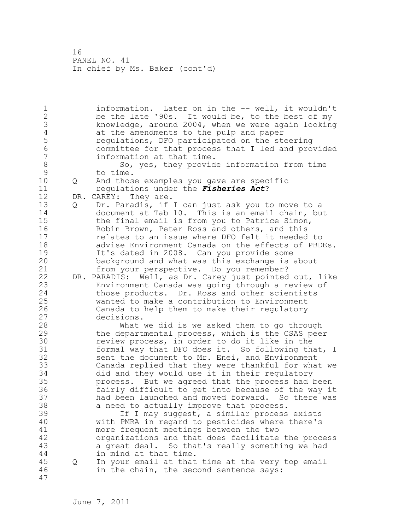1 information. Later on in the -- well, it wouldn't 2 be the late '90s. It would be, to the best of my 3 knowledge, around 2004, when we were again looking<br>4 at the amendments to the pulp and paper 4 at the amendments to the pulp and paper<br>5 requlations, DFO participated on the st 5 regulations, DFO participated on the steering<br>6 committee for that process that I led and pro 6 committee for that process that I led and provided information at that time. 8 So, yes, they provide information from time<br>9 to time. 9 to time.<br>10 0 And thos 10 Q And those examples you gave are specific 11 regulations under the *Fisheries Act*? 12 DR. CAREY: They are. 13 Q Dr. Paradis, if I can just ask you to move to a 14 document at Tab 10. This is an email chain, but 15 the final email is from you to Patrice Simon, 16 Robin Brown, Peter Ross and others, and this 17 relates to an issue where DFO felt it needed to 18 advise Environment Canada on the effects of PBDEs. 19 It's dated in 2008. Can you provide some<br>20 background and what was this exchange is background and what was this exchange is about 21 from your perspective. Do you remember? 22 DR. PARADIS: Well, as Dr. Carey just pointed out, like 23 Environment Canada was going through a review of 24 those products. Dr. Ross and other scientists 25 wanted to make a contribution to Environment 26 Canada to help them to make their regulatory decisions. 28 What we did is we asked them to go through 29 the departmental process, which is the CSAS peer 30 review process, in order to do it like in the<br>31 formal way that DFO does it. So following th formal way that DFO does it. So following that, I 32 sent the document to Mr. Enei, and Environment 33 Canada replied that they were thankful for what we 34 did and they would use it in their regulatory 35 process. But we agreed that the process had been 36 fairly difficult to get into because of the way it 37 had been launched and moved forward. So there was 38 a need to actually improve that process. 39 If I may suggest, a similar process exists 40 with PMRA in regard to pesticides where there's 41 more frequent meetings between the two<br>42 organizations and that does facilitate organizations and that does facilitate the process 43 a great deal. So that's really something we had 44 in mind at that time. 45 Q In your email at that time at the very top email 46 in the chain, the second sentence says: 47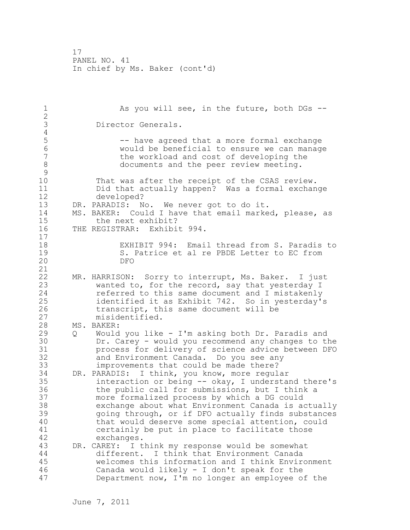1 As you will see, in the future, both DGs --2 3 Director Generals. 4<br>5 5 -- have agreed that a more formal exchange 6 would be beneficial to ensure we can manage the workload and cost of developing the 8 documents and the peer review meeting.  $\begin{array}{c} 9 \\ 10 \end{array}$ That was after the receipt of the CSAS review. 11 Did that actually happen? Was a formal exchange 12 developed? 13 DR. PARADIS: No. We never got to do it. 14 MS. BAKER: Could I have that email marked, please, as 15 the next exhibit? 16 THE REGISTRAR: Exhibit 994. 17 18 EXHIBIT 994: Email thread from S. Paradis to 19 S. Patrice et al re PBDE Letter to EC from<br>20 DFO 20 DFO 21 22 MR. HARRISON: Sorry to interrupt, Ms. Baker. I just 23 wanted to, for the record, say that yesterday I 24 referred to this same document and I mistakenly 25 identified it as Exhibit 742. So in yesterday's 26 transcript, this same document will be<br>27 misidentified. misidentified. 28 MS. BAKER: 29 Q Would you like - I'm asking both Dr. Paradis and 30 Dr. Carey - would you recommend any changes to the process for delivery of science advice between DFO 32 and Environment Canada. Do you see any 33 improvements that could be made there? 34 DR. PARADIS: I think, you know, more regular 35 interaction or being -- okay, I understand there's 36 the public call for submissions, but I think a 37 more formalized process by which a DG could 38 exchange about what Environment Canada is actually 39 going through, or if DFO actually finds substances 40 that would deserve some special attention, could 41 certainly be put in place to facilitate those<br>42 exchanges. exchanges. 43 DR. CAREY: I think my response would be somewhat 44 different. I think that Environment Canada 45 welcomes this information and I think Environment 46 Canada would likely - I don't speak for the 47 Department now, I'm no longer an employee of the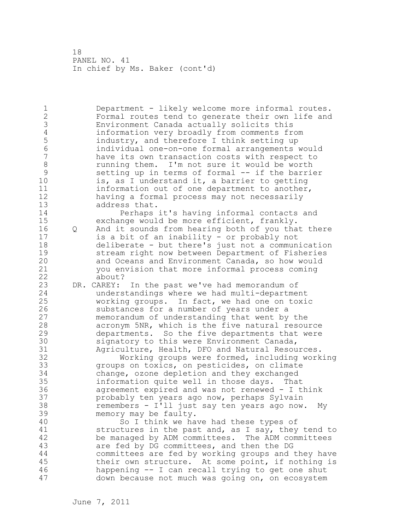1 Department - likely welcome more informal routes. 2 Formal routes tend to generate their own life and 3 Environment Canada actually solicits this 4 information very broadly from comments from<br>5 industry, and therefore I think setting up 5 industry, and therefore I think setting up<br>6 individual one-on-one formal arrangements 6 individual one-on-one formal arrangements would have its own transaction costs with respect to 8 8 running them. I'm not sure it would be worth<br>9 setting up in terms of formal -- if the barri 9 setting up in terms of formal -- if the barrier<br>10 is, as I understand it, a barrier to getting is, as I understand it, a barrier to getting 11 information out of one department to another, 12 having a formal process may not necessarily 13 address that.

14 Perhaps it's having informal contacts and 15 exchange would be more efficient, frankly. 16 Q And it sounds from hearing both of you that there 17 is a bit of an inability - or probably not 18 deliberate - but there's just not a communication 19 51 stream right now between Department of Fisheries<br>20 3 and Oceans and Environment Canada, so how would and Oceans and Environment Canada, so how would 21 you envision that more informal process coming 22 about?

23 DR. CAREY: In the past we've had memorandum of 24 understandings where we had multi-department 25 working groups. In fact, we had one on toxic 26 substances for a number of years under a<br>27 memorandum of understanding that went by memorandum of understanding that went by the 28 acronym 5NR, which is the five natural resource 29 departments. So the five departments that were 30 signatory to this were Environment Canada,<br>31 31 Agriculture, Health, DFO and Natural Resou 31 Agriculture, Health, DFO and Natural Resources.<br>32 Morking groups were formed, including work

Working groups were formed, including working 33 groups on toxics, on pesticides, on climate 34 change, ozone depletion and they exchanged 35 information quite well in those days. That 36 agreement expired and was not renewed - I think 37 probably ten years ago now, perhaps Sylvain 38 remembers - I'll just say ten years ago now. My 39 memory may be faulty.

40 So I think we have had these types of 41 structures in the past and, as I say, they tend to<br>42 be managed by ADM committees. The ADM committees be managed by ADM committees. The ADM committees 43 are fed by DG committees, and then the DG 44 committees are fed by working groups and they have 45 their own structure. At some point, if nothing is 46 happening -- I can recall trying to get one shut 47 down because not much was going on, on ecosystem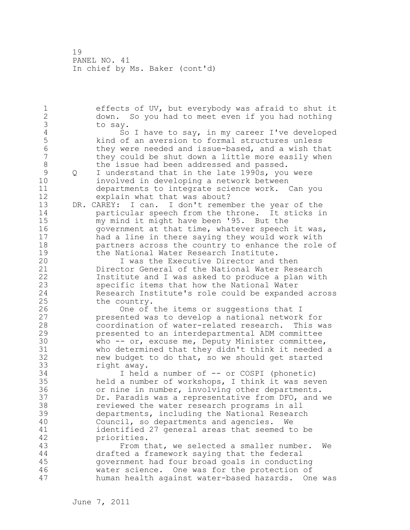1 effects of UV, but everybody was afraid to shut it 2 down. So you had to meet even if you had nothing 3 to say. 4 So I have to say, in my career I've developed<br>5 kind of an aversion to formal structures unless 5 kind of an aversion to formal structures unless<br>6 they were needed and issue-based, and a wish th 6 they were needed and issue-based, and a wish that they could be shut down a little more easily when 8 the issue had been addressed and passed. 9 Q I understand that in the late 1990s, you were<br>10 involved in developing a network between involved in developing a network between 11 departments to integrate science work. Can you 12 explain what that was about? 13 DR. CAREY: I can. I don't remember the year of the 14 particular speech from the throne. It sticks in 15 my mind it might have been '95. But the 16 **government at that time, whatever speech it was,** 17 had a line in there saying they would work with 18 partners across the country to enhance the role of 19 the National Water Research Institute.<br>20 1 was the Executive Director and I was the Executive Director and then 21 Director General of the National Water Research 22 Institute and I was asked to produce a plan with 23 specific items that how the National Water 24 Research Institute's role could be expanded across 25 the country. 26 One of the items or suggestions that I<br>27 presented was to develop a national network presented was to develop a national network for 28 coordination of water-related research. This was 29 presented to an interdepartmental ADM committee 30 who -- or, excuse me, Deputy Minister committee,<br>31 who determined that they didn't think it needed who determined that they didn't think it needed a 32 new budget to do that, so we should get started 33 right away. 34 I held a number of -- or COSPI (phonetic) 35 held a number of workshops, I think it was seven 36 or nine in number, involving other departments. 37 Dr. Paradis was a representative from DFO, and we 38 reviewed the water research programs in all 39 departments, including the National Research 40 Council, so departments and agencies. We 41 identified 27 general areas that seemed to be<br>42 priorities. priorities. 43 From that, we selected a smaller number. We 44 drafted a framework saying that the federal 45 government had four broad goals in conducting 46 water science. One was for the protection of 47 human health against water-based hazards. One was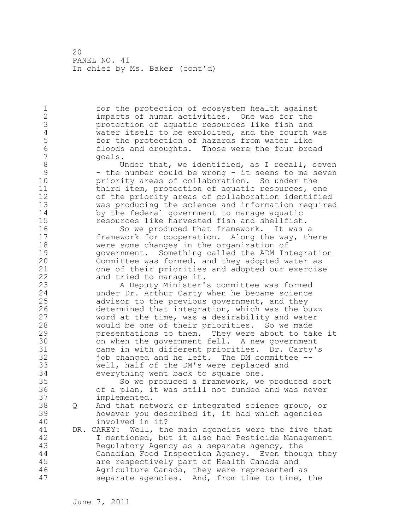1 for the protection of ecosystem health against 2 impacts of human activities. One was for the 3 protection of aquatic resources like fish and<br>4 water itself to be exploited, and the fourth 4 water itself to be exploited, and the fourth was<br>5 for the protection of hazards from water like 5 for the protection of hazards from water like<br>6 floods and droughts. Those were the four bro 6 floods and droughts. Those were the four broad 7 goals. 8 Under that, we identified, as I recall, seven<br>9 - the number could be wrong - it seems to me seven 9 - the number could be wrong - it seems to me seven<br>10 - priority areas of collaboration. So under the priority areas of collaboration. So under the 11 third item, protection of aquatic resources, one 12 of the priority areas of collaboration identified 13 was producing the science and information required 14 by the federal government to manage aquatic 15 resources like harvested fish and shellfish. 16 So we produced that framework. It was a 17 framework for cooperation. Along the way, there 18 were some changes in the organization of 19 government. Something called the ADM Integration<br>20 Committee was formed, and they adopted water as Committee was formed, and they adopted water as 21 one of their priorities and adopted our exercise 22 and tried to manage it. 23 A Deputy Minister's committee was formed 24 under Dr. Arthur Carty when he became science 25 advisor to the previous government, and they 26 determined that integration, which was the buzz<br>27 word at the time, was a desirability and water word at the time, was a desirability and water 28 would be one of their priorities. So we made 29 presentations to them. They were about to take it 30 on when the government fell. A new government<br>31 came in with different priorities. Dr. Carty' came in with different priorities. Dr. Carty's 32 job changed and he left. The DM committee -- 33 well, half of the DM's were replaced and 34 everything went back to square one. 35 So we produced a framework, we produced sort 36 of a plan, it was still not funded and was never 37 implemented. 38 Q And that network or integrated science group, or 39 however you described it, it had which agencies 40 involved in it? 41 DR. CAREY: Well, the main agencies were the five that<br>42 1 mentioned, but it also had Pesticide Management I mentioned, but it also had Pesticide Management 43 Regulatory Agency as a separate agency, the 44 Canadian Food Inspection Agency. Even though they 45 are respectively part of Health Canada and 46 Agriculture Canada, they were represented as 47 separate agencies. And, from time to time, the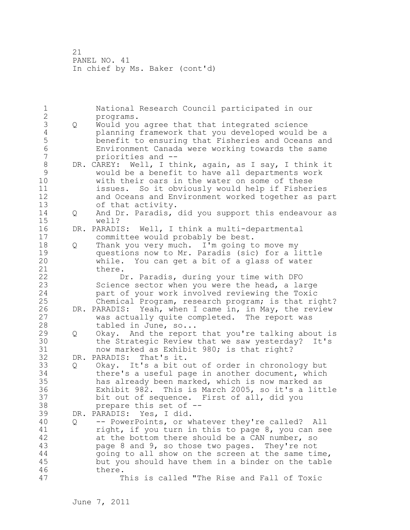1 National Research Council participated in our 2 programs. 3 Q Would you agree that that integrated science<br>4 planning framework that you developed would 4 planning framework that you developed would be a 5 benefit to ensuring that Fisheries and Oceans and 6 Environment Canada were working towards the same 7 priorities and -- 8 DR. CAREY: Well, I think, again, as I say, I think it<br>9 would be a benefit to have all departments work 9 would be a benefit to have all departments work with their oars in the water on some of these 11 issues. So it obviously would help if Fisheries 12 and Oceans and Environment worked together as part 13 of that activity. 14 Q And Dr. Paradis, did you support this endeavour as 15 well? 16 DR. PARADIS: Well, I think a multi-departmental 17 committee would probably be best. 18 Q Thank you very much. I'm going to move my 19 questions now to Mr. Paradis (sic) for a little<br>20 while. You can get a bit of a glass of water while. You can get a bit of a glass of water 21 there. 22 Dr. Paradis, during your time with DFO 23 Science sector when you were the head, a large 24 part of your work involved reviewing the Toxic 25 Chemical Program, research program; is that right? 26 DR. PARADIS: Yeah, when I came in, in May, the review<br>27 was actually quite completed. The report was was actually quite completed. The report was 28 tabled in June, so... 29 Q Okay. And the report that you're talking about is 30 the Strategic Review that we saw yesterday? It's<br>31 how marked as Exhibit 980: is that right? now marked as Exhibit 980; is that right? 32 DR. PARADIS: That's it. 33 Q Okay. It's a bit out of order in chronology but 34 there's a useful page in another document, which 35 has already been marked, which is now marked as 36 Exhibit 982. This is March 2005, so it's a little 37 bit out of sequence. First of all, did you 38 prepare this set of -- 39 DR. PARADIS: Yes, I did. 40 Q -- PowerPoints, or whatever they're called? All 41 right, if you turn in this to page 8, you can see<br>42 at the bottom there should be a CAN number, so at the bottom there should be a CAN number, so 43 page 8 and 9, so those two pages. They're not 44 going to all show on the screen at the same time, 45 but you should have them in a binder on the table 46 there. 47 This is called "The Rise and Fall of Toxic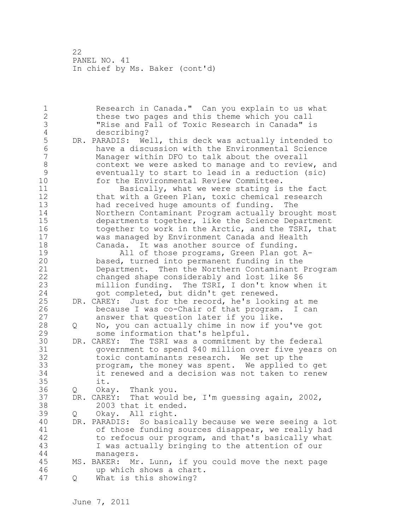1 Research in Canada." Can you explain to us what 2 these two pages and this theme which you call 3 "Rise and Fall of Toxic Research in Canada" is 4 describing?<br>5 DR. PARADIS: We 5 DR. PARADIS: Well, this deck was actually intended to<br>6 have a discussion with the Environmental Science 6 have a discussion with the Environmental Science Manager within DFO to talk about the overall 8 context we were asked to manage and to review, and<br>9 eventually to start to lead in a reduction (sic) 9 eventually to start to lead in a reduction (sic) for the Environmental Review Committee. 11 Basically, what we were stating is the fact 12 that with a Green Plan, toxic chemical research 13 had received huge amounts of funding. The 14 Northern Contaminant Program actually brought most 15 departments together, like the Science Department 16 together to work in the Arctic, and the TSRI, that 17 was managed by Environment Canada and Health 18 Canada. It was another source of funding. 19 19 All of those programs, Green Plan got A-<br>20 based, turned into permanent funding in the based, turned into permanent funding in the 21 Department. Then the Northern Contaminant Program 22 changed shape considerably and lost like \$6 23 million funding. The TSRI, I don't know when it 24 got completed, but didn't get renewed. 25 DR. CAREY: Just for the record, he's looking at me 26 because I was co-Chair of that program. I can<br>27 answer that question later if you like. answer that question later if you like. 28 Q No, you can actually chime in now if you've got 29 some information that's helpful. 30 DR. CAREY: The TSRI was a commitment by the federal 31 government to spend \$40 million over five years on toxic contaminants research. We set up the 33 program, the money was spent. We applied to get 34 it renewed and a decision was not taken to renew 35 it. 36 Q Okay. Thank you. 37 DR. CAREY: That would be, I'm guessing again, 2002, 38 2003 that it ended. 39 Q Okay. All right. 40 DR. PARADIS: So basically because we were seeing a lot 41 of those funding sources disappear, we really had<br>42 to refocus our program, and that's basically what to refocus our program, and that's basically what 43 I was actually bringing to the attention of our 44 managers. 45 MS. BAKER: Mr. Lunn, if you could move the next page 46 up which shows a chart. 47 Q What is this showing?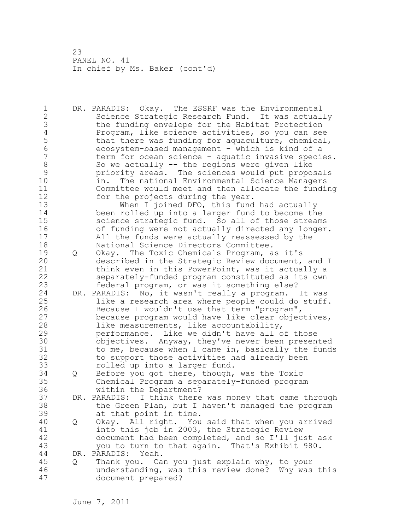1 DR. PARADIS: Okay. The ESSRF was the Environmental 2 Science Strategic Research Fund. It was actually 3 the funding envelope for the Habitat Protection<br>4 Program, like science activities, so you can see 4 Program, like science activities, so you can see<br>5 that there was funding for aquaculture, chemical 5 that there was funding for aquaculture, chemical,<br>6 ecosystem-based management - which is kind of a 6 ecosystem-based management - which is kind of a term for ocean science - aquatic invasive species. 8 So we actually -- the regions were given like<br>9 priority areas. The sciences would put propo 9 priority areas. The sciences would put proposals<br>10 in. The national Environmental Science Managers in. The national Environmental Science Managers 11 Committee would meet and then allocate the funding 12 for the projects during the year. 13 When I joined DFO, this fund had actually 14 been rolled up into a larger fund to become the 15 science strategic fund. So all of those streams 16 of funding were not actually directed any longer. 17 All the funds were actually reassessed by the 18 National Science Directors Committee. 19 Q Okay. The Toxic Chemicals Program, as it's<br>20 described in the Strategic Review document, described in the Strategic Review document, and I 21 think even in this PowerPoint, was it actually a 22 separately-funded program constituted as its own 23 federal program, or was it something else? 24 DR. PARADIS: No, it wasn't really a program. It was 25 like a research area where people could do stuff. 26 Because I wouldn't use that term "program",<br>27 because program would have like clear objec because program would have like clear objectives, 28 like measurements, like accountability, 29 performance. Like we didn't have all of those 30 objectives. Anyway, they've never been presented<br>31 to me, because when I came in, basically the funds to me, because when I came in, basically the funds 32 to support those activities had already been 33 rolled up into a larger fund. 34 Q Before you got there, though, was the Toxic 35 Chemical Program a separately-funded program 36 within the Department? 37 DR. PARADIS: I think there was money that came through 38 the Green Plan, but I haven't managed the program 39 at that point in time. 40 Q Okay. All right. You said that when you arrived 41 into this job in 2003, the Strategic Review<br>42 document had been completed, and so I'll ju document had been completed, and so I'll just ask 43 you to turn to that again. That's Exhibit 980. 44 DR. PARADIS: Yeah. 45 Q Thank you. Can you just explain why, to your 46 understanding, was this review done? Why was this 47 document prepared?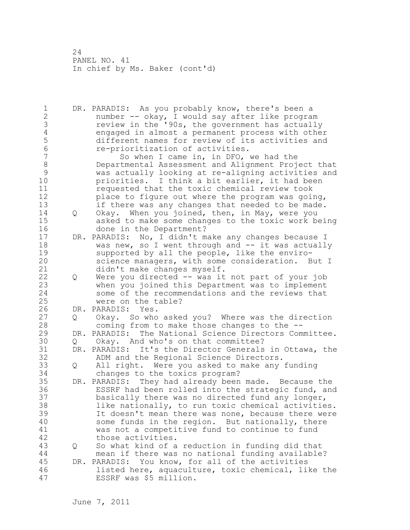1 DR. PARADIS: As you probably know, there's been a 2 number -- okay, I would say after like program 3 review in the '90s, the government has actually<br>4 engaged in almost a permanent process with other 4 engaged in almost a permanent process with other 5 different names for review of its activities and<br>6 e-prioritization of activities. 6 re-prioritization of activities.<br>7 So when I came in, in DFO, So when I came in, in DFO, we had the 8 Departmental Assessment and Alignment Project that<br>9 was actually looking at re-aligning activities and 9 was actually looking at re-aligning activities and<br>10 briorities. I think a bit earlier, it had been priorities. I think a bit earlier, it had been 11 requested that the toxic chemical review took 12 place to figure out where the program was going, 13 if there was any changes that needed to be made. 14 Q Okay. When you joined, then, in May, were you 15 asked to make some changes to the toxic work being 16 done in the Department? 17 DR. PARADIS: No, I didn't make any changes because I 18 was new, so I went through and -- it was actually 19 supported by all the people, like the enviro-<br>20 science managers, with some consideration. B science managers, with some consideration. But I 21 didn't make changes myself. 22 Q Were you directed -- was it not part of your job 23 when you joined this Department was to implement 24 some of the recommendations and the reviews that 25 were on the table? 26 DR. PARADIS: Yes.<br>27 0 Okay. So who 27 Q Okay. So who asked you? Where was the direction<br>28 coming from to make those changes to the -coming from to make those changes to the  $-$ -29 DR. PARADIS: The National Science Directors Committee. 30 Q Okay. And who's on that committee?<br>31 DR. PARADIS: It's the Director Generals 31 DR. PARADIS: It's the Director Generals in Ottawa, the 32 ADM and the Regional Science Directors. 33 Q All right. Were you asked to make any funding 34 changes to the toxics program? 35 DR. PARADIS: They had already been made. Because the 36 ESSRF had been rolled into the strategic fund, and 37 basically there was no directed fund any longer, 38 like nationally, to run toxic chemical activities. 39 It doesn't mean there was none, because there were 40 some funds in the region. But nationally, there 41 was not a competitive fund to continue to fund those activities. 43 Q So what kind of a reduction in funding did that 44 mean if there was no national funding available? 45 DR. PARADIS: You know, for all of the activities 46 listed here, aquaculture, toxic chemical, like the 47 ESSRF was \$5 million.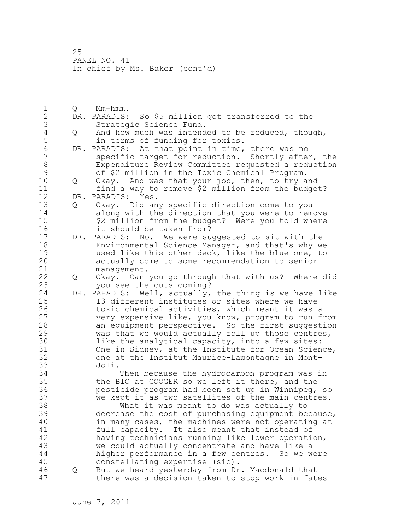1 Q Mm-hmm. 2 DR. PARADIS: So \$5 million got transferred to the 3 Strategic Science Fund.<br>4 Q And how much was intend 4 Q And how much was intended to be reduced, though,<br>5 in terms of funding for toxics. 5 in terms of funding for toxics.<br>6 DR. PARADIS: At that point in time, 6 DR. PARADIS: At that point in time, there was no specific target for reduction. Shortly after, the 8 Expenditure Review Committee requested a reduction<br>9 of \$2 million in the Toxic Chemical Program. 9 of \$2 million in the Toxic Chemical Program. 10 Q Okay. And was that your job, then, to try and 11 find a way to remove \$2 million from the budget? 12 DR. PARADIS: Yes. 13 Q Okay. Did any specific direction come to you 14 along with the direction that you were to remove 15 \$2 million from the budget? Were you told where 16 it should be taken from? 17 DR. PARADIS: No. We were suggested to sit with the 18 Environmental Science Manager, and that's why we 19 used like this other deck, like the blue one, to<br>20 actually come to some recommendation to senior actually come to some recommendation to senior 21 management. 22 Q Okay. Can you go through that with us? Where did 23 you see the cuts coming? 24 DR. PARADIS: Well, actually, the thing is we have like 25 13 different institutes or sites where we have 26 toxic chemical activities, which meant it was a<br>27 thery expensive like, you know, program to run f very expensive like, you know, program to run from 28 an equipment perspective. So the first suggestion 29 was that we would actually roll up those centres, 30 like the analytical capacity, into a few sites:<br>31 One in Sidney, at the Institute for Ocean Scien 31 One in Sidney, at the Institute for Ocean Science,<br>32 one at the Institut Maurice-Lamontagne in Montone at the Institut Maurice-Lamontagne in Mont-33 Joli. 34 Then because the hydrocarbon program was in 35 the BIO at COOGER so we left it there, and the 36 pesticide program had been set up in Winnipeg, so 37 we kept it as two satellites of the main centres. 38 What it was meant to do was actually to 39 decrease the cost of purchasing equipment because, 40 in many cases, the machines were not operating at 41 full capacity. It also meant that instead of<br>42 having technicians running like lower operati having technicians running like lower operation, 43 we could actually concentrate and have like a 44 higher performance in a few centres. So we were 45 constellating expertise (sic). 46 Q But we heard yesterday from Dr. Macdonald that 47 there was a decision taken to stop work in fates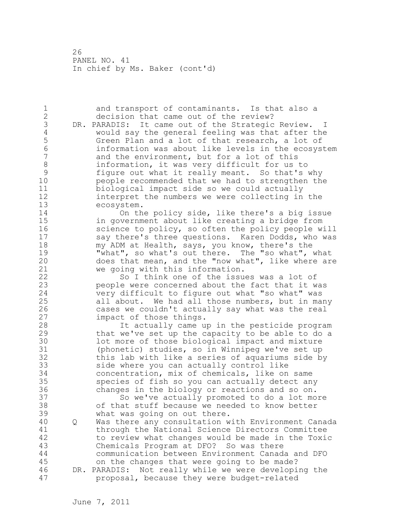1 and transport of contaminants. Is that also a 2 decision that came out of the review? 3 DR. PARADIS: It came out of the Strategic Review. I<br>4 would say the general feeling was that after the 4 would say the general feeling was that after the 5 Green Plan and a lot of that research, a lot of<br>6 information was about like levels in the ecosys 6 information was about like levels in the ecosystem and the environment, but for a lot of this 8 information, it was very difficult for us to 9 figure out what it really meant. So that's why people recommended that we had to strengthen the 11 biological impact side so we could actually 12 interpret the numbers we were collecting in the 13 ecosystem. 14 On the policy side, like there's a big issue 15 in government about like creating a bridge from 16 science to policy, so often the policy people will 17 say there's three questions. Karen Dodds, who was 18 my ADM at Health, says, you know, there's the 19 "what", so what's out there. The "so what", what<br>20 does that mean, and the "now what", like where are does that mean, and the "now what", like where are 21 we going with this information. 22 So I think one of the issues was a lot of 23 people were concerned about the fact that it was 24 very difficult to figure out what "so what" was 25 all about. We had all those numbers, but in many 26 cases we couldn't actually say what was the real<br>27 impact of those things. impact of those things. 28 It actually came up in the pesticide program 29 that we've set up the capacity to be able to do a 30 10t more of those biological impact and mixture<br>31 (phonetic) studies, so in Winnipeg we've set up (phonetic) studies, so in Winnipeg we've set up 32 this lab with like a series of aquariums side by 33 side where you can actually control like 34 concentration, mix of chemicals, like on same 35 species of fish so you can actually detect any 36 changes in the biology or reactions and so on. 37 So we've actually promoted to do a lot more 38 of that stuff because we needed to know better 39 what was going on out there. 40 Q Was there any consultation with Environment Canada 41 through the National Science Directors Committee<br>42 to review what changes would be made in the Toxi to review what changes would be made in the Toxic 43 Chemicals Program at DFO? So was there 44 communication between Environment Canada and DFO 45 on the changes that were going to be made? 46 DR. PARADIS: Not really while we were developing the 47 proposal, because they were budget-related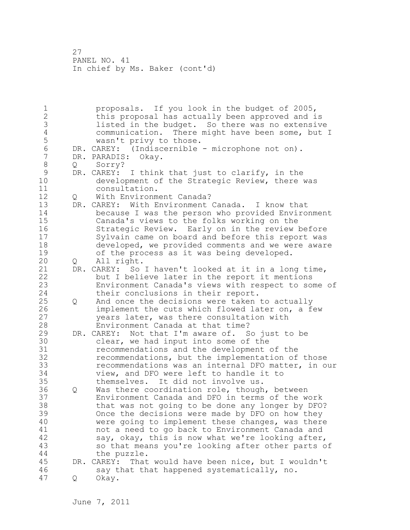1 proposals. If you look in the budget of 2005, 2 this proposal has actually been approved and is 3 listed in the budget. So there was no extensive<br>4 communication. There might have been some, but 4 communication. There might have been some, but I<br>5 wasn't privy to those. 5 wasn't privy to those.<br>6 DR. CAREY: (Indiscernible 6 DR. CAREY: (Indiscernible - microphone not on).<br>7 DR. PARADIS: Okav. DR. PARADIS: Okay. 8 Q Sorry? 9 DR. CAREY: I think that just to clarify, in the<br>10 development of the Strategic Review, there development of the Strategic Review, there was 11 consultation. 12 Q With Environment Canada? 13 DR. CAREY: With Environment Canada. I know that<br>14 because I was the person who provided Enviro because I was the person who provided Environment 15 Canada's views to the folks working on the 16 Strategic Review. Early on in the review before 17 Sylvain came on board and before this report was 18 developed, we provided comments and we were aware 19 of the process as it was being developed.<br>20 0 All right. 20 Q All right. 21 DR. CAREY: So I haven't looked at it in a long time, 22 but I believe later in the report it mentions 23 Environment Canada's views with respect to some of 24 their conclusions in their report. 25 Q And once the decisions were taken to actually 26 implement the cuts which flowed later on, a few<br>27 vears later, was there consultation with years later, was there consultation with 28 Environment Canada at that time? 29 DR. CAREY: Not that I'm aware of. So just to be 30 clear, we had input into some of the<br>31 cecommendations and the development recommendations and the development of the 32 recommendations, but the implementation of those 33 recommendations was an internal DFO matter, in our 34 view, and DFO were left to handle it to 35 themselves. It did not involve us. 36 Q Was there coordination role, though, between 37 Environment Canada and DFO in terms of the work 38 that was not going to be done any longer by DFO? 39 Once the decisions were made by DFO on how they 40 were going to implement these changes, was there 41 not a need to go back to Environment Canada and<br>42 say, okay, this is now what we're looking after, say, okay, this is now what we're looking after, 43 so that means you're looking after other parts of 44 the puzzle. 45 DR. CAREY: That would have been nice, but I wouldn't 46 say that that happened systematically, no. 47 Q Okay.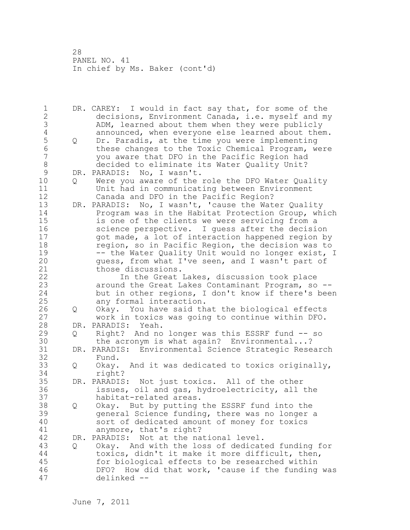1 DR. CAREY: I would in fact say that, for some of the 2 decisions, Environment Canada, i.e. myself and my 3 ADM, learned about them when they were publicly<br>4 announced, when everyone else learned about them 4 announced, when everyone else learned about them.<br>5 0 Dr. Paradis, at the time you were implementing 5 Q Dr. Paradis, at the time you were implementing<br>6 these changes to the Toxic Chemical Program, w 6 these changes to the Toxic Chemical Program, were 7 you aware that DFO in the Pacific Region had 8 decided to eliminate its Water Quality Unit?<br>9 DR. PARADIS: No, I wasn't. 9 DR. PARADIS: No, I wasn't.<br>10 0 Were you aware of the 10 Q Were you aware of the role the DFO Water Quality 11 Unit had in communicating between Environment 12 Canada and DFO in the Pacific Region? 13 DR. PARADIS: No, I wasn't, 'cause the Water Quality 14 Program was in the Habitat Protection Group, which 15 is one of the clients we were servicing from a 16 science perspective. I guess after the decision 17 got made, a lot of interaction happened region by 18 region, so in Pacific Region, the decision was to 19 -- the Water Quality Unit would no longer exist, I<br>20 quess, from what I've seen, and I wasn't part of guess, from what I've seen, and I wasn't part of 21 those discussions. 22 In the Great Lakes, discussion took place 23 around the Great Lakes Contaminant Program, so -- 24 but in other regions, I don't know if there's been 25 any formal interaction. 26 Q Okay. You have said that the biological effects<br>27 work in toxics was going to continue within DFO. work in toxics was going to continue within DFO. 28 DR. PARADIS: Yeah. 29 Q Right? And no longer was this ESSRF fund -- so 30 the acronym is what again? Environmental...?<br>31 DR. PARADIS: Environmental Science Strategic Rese 31 DR. PARADIS: Environmental Science Strategic Research Fund. 33 Q Okay. And it was dedicated to toxics originally, 34 right? 35 DR. PARADIS: Not just toxics. All of the other 36 issues, oil and gas, hydroelectricity, all the 37 habitat-related areas. 38 Q Okay. But by putting the ESSRF fund into the 39 general Science funding, there was no longer a 40 sort of dedicated amount of money for toxics 41 anymore, that's right?<br>42 DR. PARADIS: Not at the na DR. PARADIS: Not at the national level. 43 Q Okay. And with the loss of dedicated funding for 44 toxics, didn't it make it more difficult, then, 45 for biological effects to be researched within 46 DFO? How did that work, 'cause if the funding was 47 delinked --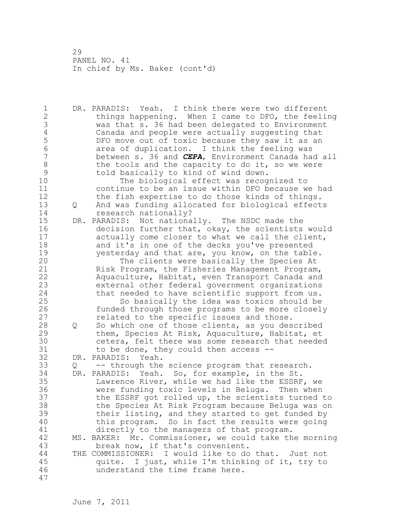1 DR. PARADIS: Yeah. I think there were two different 2 things happening. When I came to DFO, the feeling 3 was that s. 36 had been delegated to Environment 4 Canada and people were actually suggesting that<br>5 DFO move out of toxic because they saw it as an 5 DFO move out of toxic because they saw it as an<br>6 area of duplication. I think the feeling was 6 6 area of duplication. I think the feeling was<br>7 between s. 36 and *CEPA*, Environment Canada ha 7 between s. 36 and *CEPA*, Environment Canada had all 8 the tools and the capacity to do it, so we were<br>9 told basically to kind of wind down. 9 told basically to kind of wind down.<br>10 The biological effect was recog The biological effect was recognized to 11 continue to be an issue within DFO because we had 12 the fish expertise to do those kinds of things. 13 Q And was funding allocated for biological effects 14 research nationally? 15 DR. PARADIS: Not nationally. The NSDC made the 16 decision further that, okay, the scientists would 17 actually come closer to what we call the client, 18 and it's in one of the decks you've presented 19 yesterday and that are, you know, on the table.<br>20 The clients were basically the Species At The clients were basically the Species At 21 Risk Program, the Fisheries Management Program, 22 Aquaculture, Habitat, even Transport Canada and 23 external other federal government organizations 24 that needed to have scientific support from us. 25 So basically the idea was toxics should be 26 funded through those programs to be more closely<br>27 selated to the specific issues and those. related to the specific issues and those. 28 Q So which one of those clients, as you described 29 them, Species At Risk, Aquaculture, Habitat, et 30 cetera, felt there was some research that needed<br>31 to be done, they could then access -to be done, they could then access  $-$ -32 DR. PARADIS: Yeah. 33 Q -- through the science program that research. 34 DR. PARADIS: Yeah. So, for example, in the St. 35 Lawrence River, while we had like the ESSRF, we 36 were funding toxic levels in Beluga. Then when 37 the ESSRF got rolled up, the scientists turned to 38 the Species At Risk Program because Beluga was on 39 their listing, and they started to get funded by 40 this program. So in fact the results were going 41 directly to the managers of that program.<br>42 MS. BAKER: Mr. Commissioner, we could take th MS. BAKER: Mr. Commissioner, we could take the morning 43 break now, if that's convenient. 44 THE COMMISSIONER: I would like to do that. Just not 45 quite. I just, while I'm thinking of it, try to 46 understand the time frame here. 47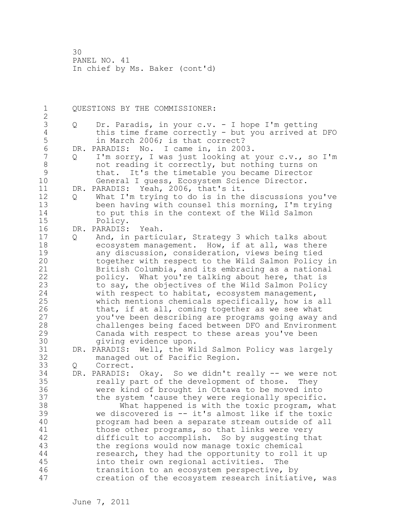1 QUESTIONS BY THE COMMISSIONER: 2 3 Q Dr. Paradis, in your c.v. - I hope I'm getting 4 this time frame correctly - but you arrived at DFO<br>5 in March 2006; is that correct? 5 in March 2006; is that correct?<br>6 DR. PARADIS: No. I came in, in 200 6 DR. PARADIS: No. I came in, in 2003. Q I'm sorry, I was just looking at your c.v., so I'm 8 not reading it correctly, but nothing turns on 9 that. It's the timetable you became Director General I guess, Ecosystem Science Director. 11 DR. PARADIS: Yeah, 2006, that's it. 12 Q What I'm trying to do is in the discussions you've 13 been having with counsel this morning, I'm trying 14 to put this in the context of the Wild Salmon 15 Policy. 16 DR. PARADIS: Yeah. 17 Q And, in particular, Strategy 3 which talks about 18 ecosystem management. How, if at all, was there 19 any discussion, consideration, views being tied<br>20 together with respect to the Wild Salmon Policy together with respect to the Wild Salmon Policy in 21 British Columbia, and its embracing as a national 22 policy. What you're talking about here, that is 23 to say, the objectives of the Wild Salmon Policy 24 with respect to habitat, ecosystem management, 25 which mentions chemicals specifically, how is all 26 that, if at all, coming together as we see what<br>27 vou've been describing are programs going away you've been describing are programs going away and 28 challenges being faced between DFO and Environment 29 Canada with respect to these areas you've been 30 giving evidence upon.<br>31 DR. PARADIS: Well, the Wi DR. PARADIS: Well, the Wild Salmon Policy was largely 32 managed out of Pacific Region. 33 Q Correct. 34 DR. PARADIS: Okay. So we didn't really -- we were not 35 really part of the development of those. They 36 were kind of brought in Ottawa to be moved into 37 the system 'cause they were regionally specific. 38 What happened is with the toxic program, what 39 we discovered is -- it's almost like if the toxic 40 program had been a separate stream outside of all 41 those other programs, so that links were very<br>42 difficult to accomplish. So by suggesting th difficult to accomplish. So by suggesting that 43 the regions would now manage toxic chemical 44 research, they had the opportunity to roll it up 45 into their own regional activities. The 46 transition to an ecosystem perspective, by 47 creation of the ecosystem research initiative, was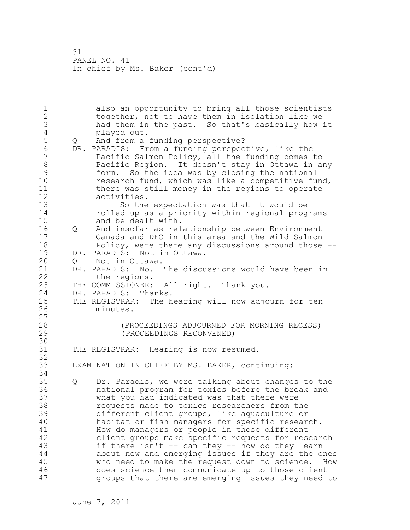1 also an opportunity to bring all those scientists 2 together, not to have them in isolation like we 3 had them in the past. So that's basically how it 4 played out.<br>5 0 And from a 5 Q And from a funding perspective?<br>6 DR. PARADIS: From a funding perspec 6 DR. PARADIS: From a funding perspective, like the Pacific Salmon Policy, all the funding comes to 8 Pacific Region. It doesn't stay in Ottawa in any 9 form. So the idea was by closing the national research fund, which was like a competitive fund, 11 there was still money in the regions to operate 12 activities. 13 So the expectation was that it would be 14 rolled up as a priority within regional programs 15 and be dealt with. 16 Q And insofar as relationship between Environment 17 Canada and DFO in this area and the Wild Salmon 18 Policy, were there any discussions around those -- 19 DR. PARADIS: Not in Ottawa.<br>20 0 Not in Ottawa. 20 Q Not in Ottawa. 21 DR. PARADIS: No. The discussions would have been in 22 the regions. 23 THE COMMISSIONER: All right. Thank you. 24 DR. PARADIS: Thanks. 25 THE REGISTRAR: The hearing will now adjourn for ten 26 minutes.  $\begin{array}{c} 27 \\ 28 \end{array}$ (PROCEEDINGS ADJOURNED FOR MORNING RECESS) 29 (PROCEEDINGS RECONVENED) 30<br>31 THE REGISTRAR: Hearing is now resumed. 32 33 EXAMINATION IN CHIEF BY MS. BAKER, continuing: 34 35 Q Dr. Paradis, we were talking about changes to the 36 national program for toxics before the break and 37 what you had indicated was that there were 38 requests made to toxics researchers from the 39 different client groups, like aquaculture or 40 habitat or fish managers for specific research. 41 How do managers or people in those different<br>42 client groups make specific requests for rese client groups make specific requests for research 43 if there isn't -- can they -- how do they learn 44 about new and emerging issues if they are the ones 45 who need to make the request down to science. How 46 does science then communicate up to those client 47 groups that there are emerging issues they need to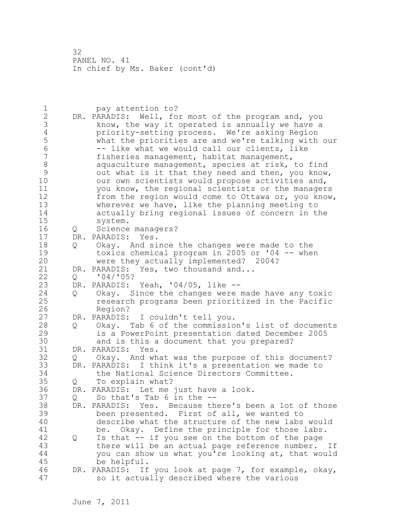1 pay attention to? 2 DR. PARADIS: Well, for most of the program and, you 3 know, the way it operated is annually we have a<br>4 priority-setting process. We're asking Region 4 priority-setting process. We're asking Region<br>5 what the priorities are and we're talking with 5 what the priorities are and we're talking with our 6 -- like what we would call our clients, like<br>7 fisheries management, habitat management, fisheries management, habitat management, 8 aquaculture management, species at risk, to find 9 out what is it that they need and then, you know,<br>10 our own scientists would propose activities and. our own scientists would propose activities and, 11 you know, the regional scientists or the managers 12 from the region would come to Ottawa or, you know, 13 wherever we have, like the planning meeting to 14 actually bring regional issues of concern in the 15 system. 16 Q Science managers? 17 DR. PARADIS: Yes. 18 Q Okay. And since the changes were made to the 19 toxics chemical program in 2005 or '04 -- when<br>20 were they actually implemented? 2004? were they actually implemented? 2004? 21 DR. PARADIS: Yes, two thousand and... 22 Q '04/'05? 23 DR. PARADIS: Yeah, '04/05, like -- 24 Q Okay. Since the changes were made have any toxic 25 research programs been prioritized in the Pacific 26 Region?<br>27 DR. PARADIS: DR. PARADIS: I couldn't tell you. 28 Q Okay. Tab 6 of the commission's list of documents 29 is a PowerPoint presentation dated December 2005 30 and is this a document that you prepared?<br>31 DR. PARADIS: Yes. 31 DR. PARADIS: Yes.<br>32 0 Okav. And wh Q Okay. And what was the purpose of this document? 33 DR. PARADIS: I think it's a presentation we made to 34 the National Science Directors Committee. 35 Q To explain what? 36 DR. PARADIS: Let me just have a look. 37 Q So that's Tab 6 in the -- 38 DR. PARADIS: Yes. Because there's been a lot of those 39 been presented. First of all, we wanted to 40 describe what the structure of the new labs would 41 be. Okay. Define the principle for those labs.<br>42 0 Is that -- if you see on the bottom of the page 42 Q Is that -- if you see on the bottom of the page 43 there will be an actual page reference number. If 44 you can show us what you're looking at, that would 45 be helpful. 46 DR. PARADIS: If you look at page 7, for example, okay, 47 so it actually described where the various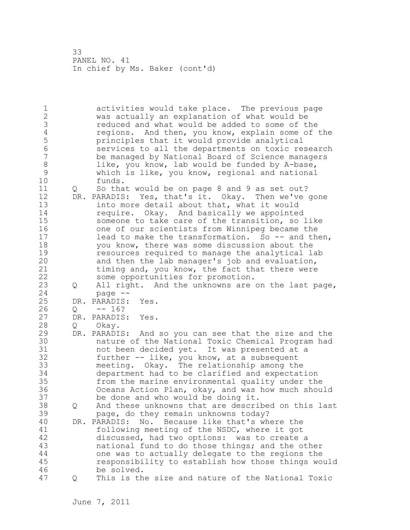1 activities would take place. The previous page 2 was actually an explanation of what would be 3 reduced and what would be added to some of the<br>4 regions. And then, you know, explain some of 4 regions. And then, you know, explain some of the<br>5 principles that it would provide analytical 5 principles that it would provide analytical 6 services to all the departments on toxic research be managed by National Board of Science managers 8 like, you know, lab would be funded by A-base,<br>9 which is like, you know, regional and national 9 which is like, you know, regional and national funds. 11 Q So that would be on page 8 and 9 as set out? 12 DR. PARADIS: Yes, that's it. Okay. Then we've gone 13 into more detail about that, what it would 14 **require.** Okay. And basically we appointed 15 someone to take care of the transition, so like 16 one of our scientists from Winnipeg became the 17 lead to make the transformation. So -- and then, 18 you know, there was some discussion about the 19 resources required to manage the analytical lab<br>20 and then the lab manager's job and evaluation, and then the lab manager's job and evaluation, 21 timing and, you know, the fact that there were 22 some opportunities for promotion. 23 Q All right. And the unknowns are on the last page, 24 page -- 25 DR. PARADIS: Yes. 26 Q -- 16? DR. PARADIS: Yes. 28 Q Okay. 29 DR. PARADIS: And so you can see that the size and the 30 nature of the National Toxic Chemical Program had not been decided yet. It was presented at a 32 further -- like, you know, at a subsequent 33 meeting. Okay. The relationship among the 34 department had to be clarified and expectation 35 from the marine environmental quality under the 36 Oceans Action Plan, okay, and was how much should 37 be done and who would be doing it. 38 Q And these unknowns that are described on this last 39 page, do they remain unknowns today? 40 DR. PARADIS: No. Because like that's where the 41 following meeting of the NSDC, where it got<br>42 discussed, had two options: was to create discussed, had two options: was to create a 43 national fund to do those things; and the other 44 one was to actually delegate to the regions the 45 responsibility to establish how those things would 46 be solved. 47 Q This is the size and nature of the National Toxic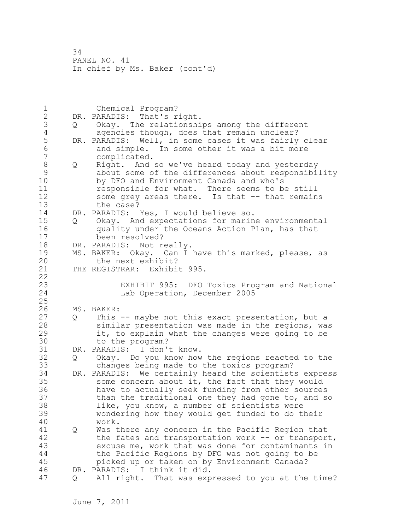1 Chemical Program? 2 DR. PARADIS: That's right. 3 Q Okay. The relationships among the different 4 agencies though, does that remain unclear?<br>5 DR. PARADIS: Well, in some cases it was fairly 5 DR. PARADIS: Well, in some cases it was fairly clear<br>6 and simple. In some other it was a bit more 6 and simple. In some other it was a bit more complicated. 8 Q Right. And so we've heard today and yesterday 9 about some of the differences about responsibility<br>10 by DFO and Environment Canada and who's by DFO and Environment Canada and who's 11 responsible for what. There seems to be still 12 some grey areas there. Is that -- that remains 13 the case? 14 DR. PARADIS: Yes, I would believe so. 15 Q Okay. And expectations for marine environmental 16 quality under the Oceans Action Plan, has that 17 been resolved? 18 DR. PARADIS: Not really. 19 MS. BAKER: Okay. Can I have this marked, please, as<br>20 the next exhibit? the next exhibit? 21 THE REGISTRAR: Exhibit 995. 22 23 EXHIBIT 995: DFO Toxics Program and National<br>24 Lab Operation, December 2005 Lab Operation, December 2005 25 26 MS. BAKER:<br>27 Q This 27 Q This -- maybe not this exact presentation, but a<br>28 Similar presentation was made in the regions, way similar presentation was made in the regions, was 29 it, to explain what the changes were going to be 30 to the program?<br>31 DR. PARADIS: I don' DR. PARADIS: I don't know. 32 Q Okay. Do you know how the regions reacted to the 33 changes being made to the toxics program? 34 DR. PARADIS: We certainly heard the scientists express 35 some concern about it, the fact that they would 36 have to actually seek funding from other sources 37 than the traditional one they had gone to, and so 38 like, you know, a number of scientists were 39 wondering how they would get funded to do their 40 work. 41 Q Was there any concern in the Pacific Region that<br>42 the fates and transportation work -- or transpor the fates and transportation work -- or transport, 43 excuse me, work that was done for contaminants in 44 the Pacific Regions by DFO was not going to be 45 picked up or taken on by Environment Canada? 46 DR. PARADIS: I think it did. 47 Q All right. That was expressed to you at the time?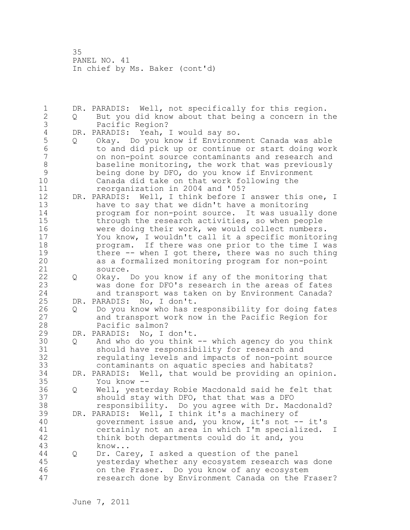1 DR. PARADIS: Well, not specifically for this region. 2 Q But you did know about that being a concern in the 3 Pacific Region?<br>4 DR. PARADIS: Yeah, 4 DR. PARADIS: Yeah, I would say so.<br>5 0 Okay. Do you know if Environm 5 Q Okay. Do you know if Environment Canada was able 6 to and did pick up or continue or start doing work 7 on non-point source contaminants and research and 8 baseline monitoring, the work that was previously 9 being done by DFO, do you know if Environment<br>10 Canada did take on that work following the Canada did take on that work following the 11 reorganization in 2004 and '05? 12 DR. PARADIS: Well, I think before I answer this one, I 13 have to say that we didn't have a monitoring 14 program for non-point source. It was usually done 15 through the research activities, so when people 16 were doing their work, we would collect numbers. 17 You know, I wouldn't call it a specific monitoring 18 program. If there was one prior to the time I was 19 there -- when I got there, there was no such thing<br>20 as a formalized monitoring program for non-point as a formalized monitoring program for non-point 21 source. 22 Q Okay. Do you know if any of the monitoring that 23 was done for DFO's research in the areas of fates 24 and transport was taken on by Environment Canada? 25 DR. PARADIS: No, I don't. 26 Q Do you know who has responsibility for doing fates<br>27 and transport work now in the Pacific Region for and transport work now in the Pacific Region for 28 Pacific salmon? 29 DR. PARADIS: No, I don't. 30 Q And who do you think -- which agency do you think 31 should have responsibility for research and<br>32 regulating levels and impacts of non-point 32 regulating levels and impacts of non-point source 33 contaminants on aquatic species and habitats? 34 DR. PARADIS: Well, that would be providing an opinion. 35 You know --<br>36 Q Well, yeste 36 Q Well, yesterday Robie Macdonald said he felt that 37 should stay with DFO, that that was a DFO 38 responsibility. Do you agree with Dr. Macdonald? 39 DR. PARADIS: Well, I think it's a machinery of 40 government issue and, you know, it's not -- it's 41 certainly not an area in which I'm specialized. I<br>42 think both departments could do it and, you think both departments could do it and, you 43 know... 44 Q Dr. Carey, I asked a question of the panel 45 yesterday whether any ecosystem research was done 46 on the Fraser. Do you know of any ecosystem 47 research done by Environment Canada on the Fraser?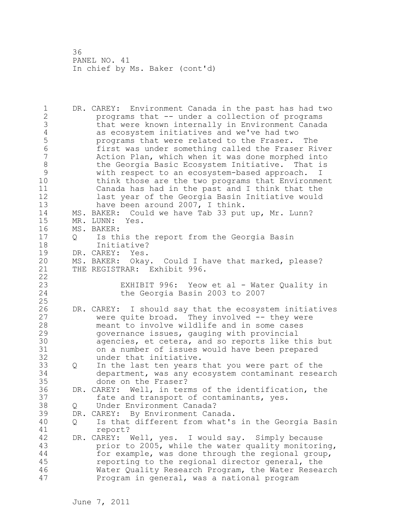1 DR. CAREY: Environment Canada in the past has had two 2 programs that -- under a collection of programs 3 that were known internally in Environment Canada 4 as ecosystem initiatives and we've had two<br>5 beta programs that were related to the Fraser. 5 programs that were related to the Fraser. The 6 first was under something called the Fraser River Action Plan, which when it was done morphed into 8 the Georgia Basic Ecosystem Initiative. That is 9 with respect to an ecosystem-based approach. I think those are the two programs that Environment 11 Canada has had in the past and I think that the 12 last year of the Georgia Basin Initiative would 13 have been around 2007, I think. 14 MS. BAKER: Could we have Tab 33 put up, Mr. Lunn? 15 MR. LUNN: Yes. 16 MS. BAKER: 17 Q Is this the report from the Georgia Basin 18 Initiative? 19 DR. CAREY: Yes.<br>20 MS. BAKER: Okav MS. BAKER: Okay. Could I have that marked, please? 21 THE REGISTRAR: Exhibit 996. 22 23 EXHIBIT 996: Yeow et al - Water Quality in<br>24 the Georgia Basin 2003 to 2007 the Georgia Basin 2003 to 2007 25 26 DR. CAREY: I should say that the ecosystem initiatives<br>27 were quite broad. They involved -- they were were quite broad. They involved  $-$  they were 28 meant to involve wildlife and in some cases 29 governance issues, gauging with provincial 30 agencies, et cetera, and so reports like this but<br>31 on a number of issues would have been prepared on a number of issues would have been prepared 32 under that initiative. 33 Q In the last ten years that you were part of the 34 department, was any ecosystem contaminant research 35 done on the Fraser? 36 DR. CAREY: Well, in terms of the identification, the 37 fate and transport of contaminants, yes. 38 Q Under Environment Canada? 39 DR. CAREY: By Environment Canada. 40 Q Is that different from what's in the Georgia Basin 41 report?<br>42 DR. CAREY: DR. CAREY: Well, yes. I would say. Simply because 43 prior to 2005, while the water quality monitoring, 44 for example, was done through the regional group, 45 reporting to the regional director general, the 46 Water Quality Research Program, the Water Research 47 Program in general, was a national program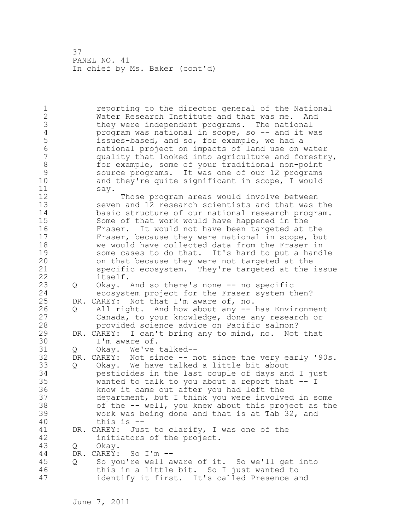1 reporting to the director general of the National 2 Water Research Institute and that was me. And 3 they were independent programs. The national<br>4 program was national in scope, so -- and it w 4 program was national in scope, so -- and it was<br>5 states-based, and so, for example, we had a 5 issues-based, and so, for example, we had a<br>6 and inational project on impacts of land use on 6 national project on impacts of land use on water quality that looked into agriculture and forestry, 8 for example, some of your traditional non-point 9 source programs. It was one of our 12 programs<br>10 and thev're quite significant in scope, I would and they're quite significant in scope, I would 11 say. 12 Those program areas would involve between 13 seven and 12 research scientists and that was the 14 basic structure of our national research program. 15 Some of that work would have happened in the<br>16 Fraser. It would not have been targeted at 16 Fraser. It would not have been targeted at the 17 Fraser, because they were national in scope, but 18 we would have collected data from the Fraser in 19 some cases to do that. It's hard to put a handle<br>20 on that because they were not targeted at the on that because they were not targeted at the 21 specific ecosystem. They're targeted at the issue 22 itself. 23 Q Okay. And so there's none -- no specific 24 ecosystem project for the Fraser system then? 25 DR. CAREY: Not that I'm aware of, no. 26 Q All right. And how about any -- has Environment<br>27 Canada, to your knowledge, done any research or Canada, to your knowledge, done any research or 28 provided science advice on Pacific salmon? 29 DR. CAREY: I can't bring any to mind, no. Not that 30 I'm aware of.<br>31 0 Okav. We've Q Okay. We've talked--32 DR. CAREY: Not since -- not since the very early '90s. 33 Q Okay. We have talked a little bit about 34 pesticides in the last couple of days and I just 35 wanted to talk to you about a report that -- I 36 know it came out after you had left the 37 department, but I think you were involved in some 38 of the -- well, you knew about this project as the 39 work was being done and that is at Tab 32, and 40 this is -- 41 DR. CAREY: Just to clarify, I was one of the 42 initiators of the project. 43 Q Okay. 44 DR. CAREY: So I'm -- 45 Q So you're well aware of it. So we'll get into 46 this in a little bit. So I just wanted to 47 identify it first. It's called Presence and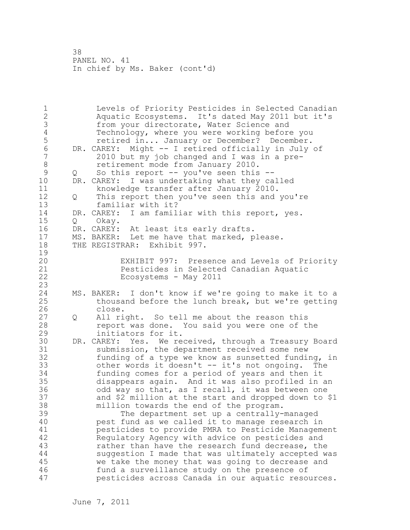1 Levels of Priority Pesticides in Selected Canadian 2 Aquatic Ecosystems. It's dated May 2011 but it's 3 from your directorate, Water Science and<br>4 Technology, where you were working before 4 Technology, where you were working before you<br>5 Tetired in... January or December? December. retired in... January or December? December. 6 DR. CAREY: Might -- I retired officially in July of<br>7 2010 but my job changed and I was in a pre-2010 but my job changed and I was in a pre-8 retirement mode from January 2010. 9 Q So this report -- you've seen this --<br>10 DR. CAREY: I was undertaking what they ca DR. CAREY: I was undertaking what they called 11 knowledge transfer after January 2010. 12 Q This report then you've seen this and you're 13 familiar with it? 14 DR. CAREY: I am familiar with this report, yes. 15 Q Okay. 16 DR. CAREY: At least its early drafts. 17 MS. BAKER: Let me have that marked, please. 18 THE REGISTRAR: Exhibit 997.  $\frac{19}{20}$ EXHIBIT 997: Presence and Levels of Priority 21 Pesticides in Selected Canadian Aquatic 22 Ecosystems - May 2011 23 24 MS. BAKER: I don't know if we're going to make it to a 25 thousand before the lunch break, but we're getting 26 close.<br>27 Q All ri 27 Q All right. So tell me about the reason this 28 report was done. You said you were one of the 29 initiators for it. 30 DR. CAREY: Yes. We received, through a Treasury Board<br>31 Submission, the department received some new 31 submission, the department received some new<br>32 funding of a type we know as sunsetted fundin funding of a type we know as sunsetted funding, in 33 other words it doesn't -- it's not ongoing. The 34 funding comes for a period of years and then it 35 disappears again. And it was also profiled in an 36 odd way so that, as I recall, it was between one 37 and \$2 million at the start and dropped down to \$1 38 million towards the end of the program. 39 The department set up a centrally-managed 40 pest fund as we called it to manage research in 41 pesticides to provide PMRA to Pesticide Management Regulatory Agency with advice on pesticides and 43 rather than have the research fund decrease, the 44 suggestion I made that was ultimately accepted was 45 we take the money that was going to decrease and 46 fund a surveillance study on the presence of 47 pesticides across Canada in our aquatic resources.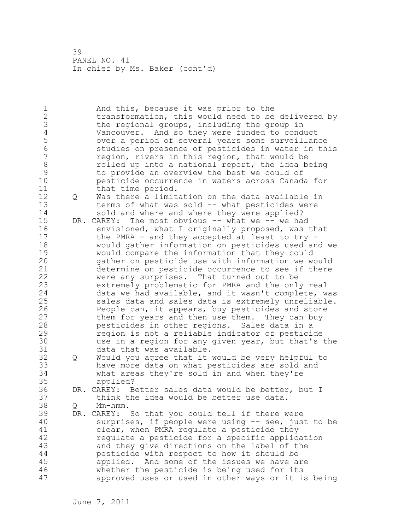1 And this, because it was prior to the 2 transformation, this would need to be delivered by 3 the regional groups, including the group in<br>4 Vancouver. And so they were funded to condi 4 Vancouver. And so they were funded to conduct 5 over a period of several years some surveillance 6 studies on presence of pesticides in water in this region, rivers in this region, that would be 8 rolled up into a national report, the idea being<br>9 to provide an overview the best we could of 9 to provide an overview the best we could of pesticide occurrence in waters across Canada for 11 that time period. 12 Q Was there a limitation on the data available in 13 terms of what was sold -- what pesticides were<br>14 sold and where and where they were applied? sold and where and where they were applied? 15 DR. CAREY: The most obvious -- what we -- we had 16 envisioned, what I originally proposed, was that 17 the PMRA - and they accepted at least to try - 18 would gather information on pesticides used and we 19 would compare the information that they could<br>20 and their on pesticide use with information we we gather on pesticide use with information we would 21 determine on pesticide occurrence to see if there 22 were any surprises. That turned out to be 23 extremely problematic for PMRA and the only real 24 data we had available, and it wasn't complete, was 25 sales data and sales data is extremely unreliable. 26 People can, it appears, buy pesticides and store<br>27 them for years and then use them. They can buy them for years and then use them. They can buy 28 pesticides in other regions. Sales data in a 29 region is not a reliable indicator of pesticide 30 use in a region for any given year, but that's the data that was available. 32 Q Would you agree that it would be very helpful to 33 have more data on what pesticides are sold and 34 what areas they're sold in and when they're 35 applied? 36 DR. CAREY: Better sales data would be better, but I 37 think the idea would be better use data. 38 Q Mm-hmm. 39 DR. CAREY: So that you could tell if there were 40 surprises, if people were using -- see, just to be 41 clear, when PMRA regulate a pesticide they<br>42 cegulate a pesticide for a specific applic. regulate a pesticide for a specific application 43 and they give directions on the label of the 44 pesticide with respect to how it should be 45 applied. And some of the issues we have are 46 whether the pesticide is being used for its 47 approved uses or used in other ways or it is being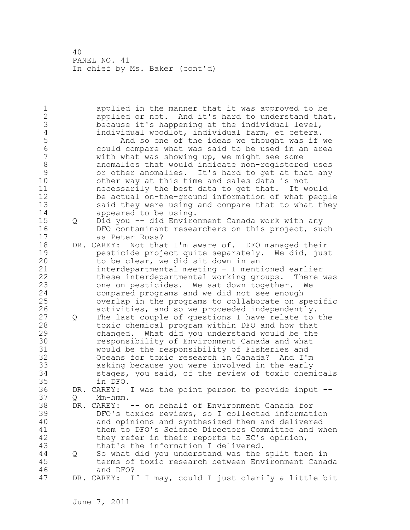1 applied in the manner that it was approved to be 2 applied or not. And it's hard to understand that, 3 because it's happening at the individual level,<br>4 individual woodlot, individual farm, et cetera. 4 individual woodlot, individual farm, et cetera.<br>5 and so one of the ideas we thought was if 5 And so one of the ideas we thought was if we<br>6 Could compare what was said to be used in an area 6 could compare what was said to be used in an area with what was showing up, we might see some 8 anomalies that would indicate non-registered uses 9 or other anomalies. It's hard to get at that any<br>10 other way at this time and sales data is not other way at this time and sales data is not 11 necessarily the best data to get that. It would 12 be actual on-the-ground information of what people 13 said they were using and compare that to what they 14 appeared to be using. 15 Q Did you -- did Environment Canada work with any 16 DFO contaminant researchers on this project, such 17 as Peter Ross? 18 DR. CAREY: Not that I'm aware of. DFO managed their 19 pesticide project quite separately. We did, just<br>20 to be clear, we did sit down in an to be clear, we did sit down in an 21 interdepartmental meeting - I mentioned earlier 22 these interdepartmental working groups. There was 23 one on pesticides. We sat down together. We 24 compared programs and we did not see enough 25 overlap in the programs to collaborate on specific 26 activities, and so we proceeded independently.<br>27 0 The last couple of questions I have relate to 27 Q The last couple of questions I have relate to the 28 toxic chemical program within DFO and how that 29 changed. What did you understand would be the 30 responsibility of Environment Canada and what 31 would be the responsibility of Fisheries and 32 Oceans for toxic research in Canada? And I'm 33 asking because you were involved in the early 34 stages, you said, of the review of toxic chemicals 35 in DFO. 36 DR. CAREY: I was the point person to provide input -- 37 Q Mm-hmm. 38 DR. CAREY: -- on behalf of Environment Canada for 39 DFO's toxics reviews, so I collected information 40 and opinions and synthesized them and delivered 41 them to DFO's Science Directors Committee and when<br>42 they refer in their reports to EC's opinion, they refer in their reports to EC's opinion, 43 that's the information I delivered. 44 Q So what did you understand was the split then in 45 terms of toxic research between Environment Canada 46 and DFO? 47 DR. CAREY: If I may, could I just clarify a little bit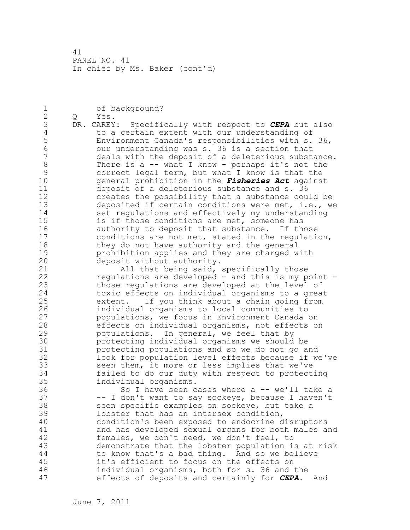1 of background? 2 Q Yes. 3 DR. CAREY: Specifically with respect to **CEPA** but also<br>4 to a certain extent with our understanding of 4 to a certain extent with our understanding of<br>5 Environment Canada's responsibilities with s. 5 Environment Canada's responsibilities with s. 36, 6 our understanding was s. 36 is a section that deals with the deposit of a deleterious substance. 8 There is a -- what I know - perhaps it's not the 9 correct legal term, but what I know is that the<br>10 oeneral prohibition in the *Fisheries Act* agains 10 general prohibition in the *Fisheries Act* against 11 deposit of a deleterious substance and s. 36 12 creates the possibility that a substance could be 13 deposited if certain conditions were met, i.e., we 14 set regulations and effectively my understanding 15 is if those conditions are met, someone has 16 authority to deposit that substance. If those 17 conditions are not met, stated in the regulation, 18 they do not have authority and the general 19 prohibition applies and they are charged with<br>20 deposit without authority. deposit without authority. 21 All that being said, specifically those 22 regulations are developed - and this is my point - 23 those regulations are developed at the level of 24 toxic effects on individual organisms to a great 25 extent. If you think about a chain going from 26 1ndividual organisms to local communities to<br>27 100 100 populations, we focus in Environment Canada populations, we focus in Environment Canada on 28 effects on individual organisms, not effects on 29 populations. In general, we feel that by 30 protecting individual organisms we should be protecting populations and so we do not go and 32 look for population level effects because if we've 33 seen them, it more or less implies that we've 34 failed to do our duty with respect to protecting 35 individual organisms. 36 So I have seen cases where a -- we'll take a 37 -- I don't want to say sockeye, because I haven't 38 seen specific examples on sockeye, but take a 39 lobster that has an intersex condition, 40 condition's been exposed to endocrine disruptors 41 and has developed sexual organs for both males and<br>42 females, we don't need, we don't feel, to females, we don't need, we don't feel, to 43 demonstrate that the lobster population is at risk 44 to know that's a bad thing. And so we believe 45 it's efficient to focus on the effects on 46 individual organisms, both for s. 36 and the 47 effects of deposits and certainly for *CEPA*. And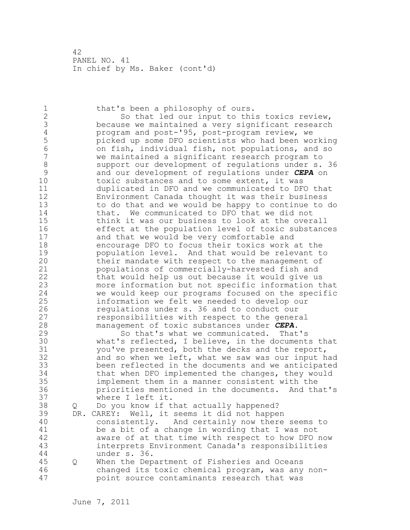1 that's been a philosophy of ours. 2 So that led our input to this toxics review, 3 because we maintained a very significant research<br>4 program and post-'95, post-program review, we 4 program and post-'95, post-program review, we<br>5 picked up some DFO scientists who had been wo 5 picked up some DFO scientists who had been working 6 on fish, individual fish, not populations, and so we maintained a significant research program to 8 support our development of regulations under s. 36<br>9 and our development of regulations under CEPA on 9 and our development of regulations under *CEPA* on toxic substances and to some extent, it was 11 duplicated in DFO and we communicated to DFO that 12 Environment Canada thought it was their business 13 to do that and we would be happy to continue to do 14 that. We communicated to DFO that we did not 15 think it was our business to look at the overall 16 effect at the population level of toxic substances 17 and that we would be very comfortable and 18 encourage DFO to focus their toxics work at the 19 population level. And that would be relevant to<br>20 bheir mandate with respect to the management of their mandate with respect to the management of 21 populations of commercially-harvested fish and 22 that would help us out because it would give us 23 more information but not specific information that 24 we would keep our programs focused on the specific 25 information we felt we needed to develop our 26 regulations under s. 36 and to conduct our<br>27 responsibilities with respect to the gener responsibilities with respect to the general 28 management of toxic substances under *CEPA*. 29 So that's what we communicated. That's 30 what's reflected, I believe, in the documents that<br>31 vou've presented, both the decks and the report, you've presented, both the decks and the report, 32 and so when we left, what we saw was our input had 33 been reflected in the documents and we anticipated 34 that when DFO implemented the changes, they would 35 implement them in a manner consistent with the 36 priorities mentioned in the documents. And that's 37 where I left it. 38 Q Do you know if that actually happened? 39 DR. CAREY: Well, it seems it did not happen 40 consistently. And certainly now there seems to 41 be a bit of a change in wording that I was not<br>42 aware of at that time with respect to how DFO: aware of at that time with respect to how DFO now 43 interprets Environment Canada's responsibilities 44 under s. 36. 45 Q When the Department of Fisheries and Oceans 46 changed its toxic chemical program, was any non-47 point source contaminants research that was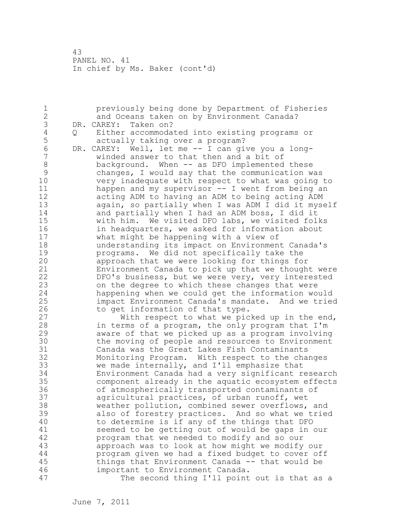1 previously being done by Department of Fisheries 2 and Oceans taken on by Environment Canada? 3 DR. CAREY: Taken on?<br>4 0 Either accommoda 4 Q Either accommodated into existing programs or 5 actually taking over a program?<br>6 DR. CAREY: Well, let me -- I can gi 6 DR. CAREY: Well, let me -- I can give you a longwinded answer to that then and a bit of 8 background. When -- as DFO implemented these<br>9 changes, I would say that the communication w 9 changes, I would say that the communication was very inadequate with respect to what was going to 11 happen and my supervisor -- I went from being an 12 acting ADM to having an ADM to being acting ADM 13 again, so partially when I was ADM I did it myself 14 and partially when I had an ADM boss, I did it 15 with him. We visited DFO labs, we visited folks 16 in headquarters, we asked for information about 17 what might be happening with a view of 18 understanding its impact on Environment Canada's 19 **programs.** We did not specifically take the<br>20 **programs.** We were looking for things for approach that we were looking for things for 21 Environment Canada to pick up that we thought were 22 DFO's business, but we were very, very interested 23 on the degree to which these changes that were 24 happening when we could get the information would 25 impact Environment Canada's mandate. And we tried 26 to get information of that type.<br>27 With respect to what we pic With respect to what we picked up in the end, 28 in terms of a program, the only program that I'm 29 aware of that we picked up as a program involving 30 the moving of people and resources to Environment<br>31 Canada was the Great Lakes Fish Contaminants 31 Canada was the Great Lakes Fish Contaminants Monitoring Program. With respect to the changes 33 we made internally, and I'll emphasize that 34 Environment Canada had a very significant research 35 component already in the aquatic ecosystem effects 36 of atmospherically transported contaminants of 37 agricultural practices, of urban runoff, wet 38 weather pollution, combined sewer overflows, and 39 also of forestry practices. And so what we tried 40 to determine is if any of the things that DFO 41 seemed to be getting out of would be gaps in our<br>42 program that we needed to modify and so our program that we needed to modify and so our 43 approach was to look at how might we modify our 44 program given we had a fixed budget to cover off 45 things that Environment Canada -- that would be 46 important to Environment Canada. 47 The second thing I'll point out is that as a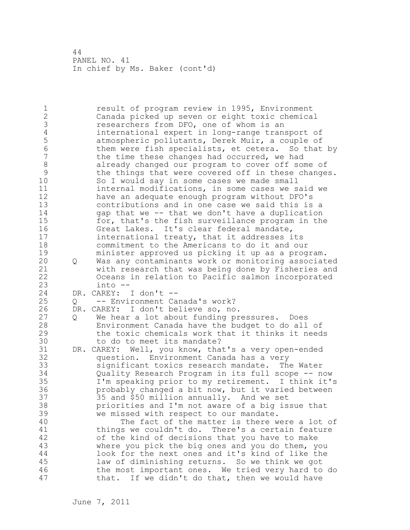1 result of program review in 1995, Environment 2 Canada picked up seven or eight toxic chemical 3 researchers from DFO, one of whom is an<br>4 international expert in long-range tran 4 international expert in long-range transport of<br>5 atmospheric pollutants, Derek Muir, a couple of 5 atmospheric pollutants, Derek Muir, a couple of<br>6 bhem were fish specialists, et cetera. So that 6 them were fish specialists, et cetera. So that by<br>7 the time these changes had occurred, we had the time these changes had occurred, we had 8 already changed our program to cover off some of<br>9 the things that were covered off in these change 9 the things that were covered off in these changes.<br>10 So I would say in some cases we made small So I would say in some cases we made small 11 internal modifications, in some cases we said we 12 have an adequate enough program without DFO's 13 contributions and in one case we said this is a 14 gap that we -- that we don't have a duplication 15 for, that's the fish surveillance program in the 16 Great Lakes. It's clear federal mandate, 17 international treaty, that it addresses its 18 commitment to the Americans to do it and our 19 minister approved us picking it up as a program.<br>20 0 Was any contaminants work or monitoring associat 20 Q Was any contaminants work or monitoring associated 21 with research that was being done by Fisheries and 22 Oceans in relation to Pacific salmon incorporated 23 into -- 24 DR. CAREY: I don't -- 25 Q -- Environment Canada's work? 26 DR. CAREY: I don't believe so, no.<br>27 0 We hear a lot about funding pr 27 Q We hear a lot about funding pressures. Does<br>28 Fuvironment Canada have the budget to do all Environment Canada have the budget to do all of 29 the toxic chemicals work that it thinks it needs 30 to do to meet its mandate?<br>31 DR. CAREY: Well, you know, tha DR. CAREY: Well, you know, that's a very open-ended 32 question. Environment Canada has a very 33 significant toxics research mandate. The Water 34 Quality Research Program in its full scope -- now 35 I'm speaking prior to my retirement. I think it's 36 probably changed a bit now, but it varied between 37 35 and \$50 million annually. And we set 38 priorities and I'm not aware of a big issue that 39 we missed with respect to our mandate. 40 The fact of the matter is there were a lot of 41 things we couldn't do. There's a certain feature<br>42 of the kind of decisions that you have to make of the kind of decisions that you have to make 43 where you pick the big ones and you do them, you 44 look for the next ones and it's kind of like the 45 law of diminishing returns. So we think we got 46 the most important ones. We tried very hard to do 47 that. If we didn't do that, then we would have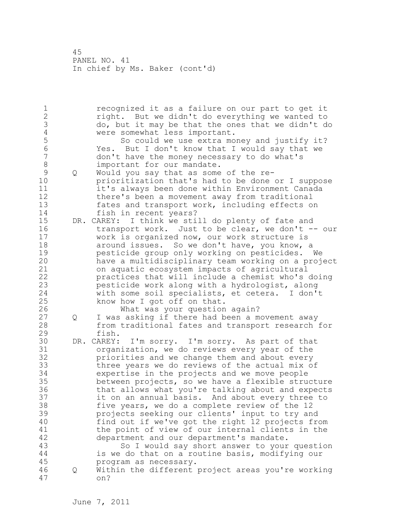1 recognized it as a failure on our part to get it 2 right. But we didn't do everything we wanted to 3 do, but it may be that the ones that we didn't do 4 were somewhat less important.<br>5 So could we use extra mo 5 So could we use extra money and justify it?<br>6 So could we use extra money and justify it? 6 Yes. But I don't know that I would say that we 7 don't have the money necessary to do what's 8 important for our mandate. 9 Q Would you say that as some of the reprioritization that's had to be done or I suppose 11 it's always been done within Environment Canada 12 there's been a movement away from traditional 13 fates and transport work, including effects on 14 fish in recent years? 15 DR. CAREY: I think we still do plenty of fate and 16 transport work. Just to be clear, we don't -- our 17 work is organized now, our work structure is 18 around issues. So we don't have, you know, a 19 **pesticide group only working on pesticides.** We<br>20 have a multidisciplinary team working on a proj have a multidisciplinary team working on a project 21 on aquatic ecosystem impacts of agricultural 22 practices that will include a chemist who's doing 23 pesticide work along with a hydrologist, along 24 with some soil specialists, et cetera. I don't 25 know how I got off on that. 26 What was your question again?<br>27 0 I was asking if there had been a m Q I was asking if there had been a movement away 28 from traditional fates and transport research for 29 fish. 30 DR. CAREY: I'm sorry. I'm sorry. As part of that organization, we do reviews every year of the 32 priorities and we change them and about every 33 three years we do reviews of the actual mix of 34 expertise in the projects and we move people 35 between projects, so we have a flexible structure 36 that allows what you're talking about and expects 37 it on an annual basis. And about every three to 38 five years, we do a complete review of the 12 39 projects seeking our clients' input to try and 40 find out if we've got the right 12 projects from 41 the point of view of our internal clients in the<br>42 department and our department's mandate. department and our department's mandate. 43 So I would say short answer to your question 44 is we do that on a routine basis, modifying our 45 program as necessary. 46 Q Within the different project areas you're working 47 on?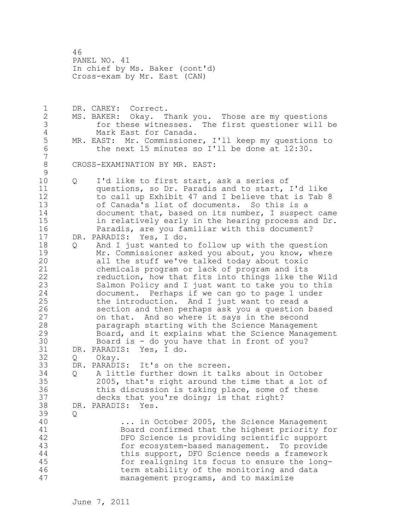46 PANEL NO. 41 In chief by Ms. Baker (cont'd) Cross-exam by Mr. East (CAN)

1 DR. CAREY: Correct. 2 MS. BAKER: Okay. Thank you. Those are my questions 3 for these witnesses. The first questioner will be 4 Mark East for Canada.<br>5 MR. EAST: Mr. Commissione 5 MR. EAST: Mr. Commissioner, I'll keep my questions to<br>6 the next 15 minutes so I'll be done at 12:30. the next 15 minutes so I'll be done at 12:30. 7 8 CROSS-EXAMINATION BY MR. EAST:  $\begin{array}{c} 9 \\ 10 \end{array}$ 10 Q I'd like to first start, ask a series of 11 questions, so Dr. Paradis and to start, I'd like 12 to call up Exhibit 47 and I believe that is Tab 8 13 of Canada's list of documents. So this is a 14 document that, based on its number, I suspect came 15 in relatively early in the hearing process and Dr. 16 Paradis, are you familiar with this document? 17 DR. PARADIS: Yes, I do. 18 Q And I just wanted to follow up with the question 19 Mr. Commissioner asked you about, you know, where<br>20 all the stuff we've talked today about toxic all the stuff we've talked today about toxic 21 chemicals program or lack of program and its 22 reduction, how that fits into things like the Wild 23 Salmon Policy and I just want to take you to this 24 document. Perhaps if we can go to page 1 under 25 the introduction. And I just want to read a 26 section and then perhaps ask you a question based<br>27 on that. And so where it says in the second on that. And so where it says in the second 28 paragraph starting with the Science Management 29 Board, and it explains what the Science Management 30 Board is - do you have that in front of you?<br>31 DR. PARADIS: Yes, I do. DR. PARADIS: Yes, I do. 32 Q Okay. 33 DR. PARADIS: It's on the screen. 34 Q A little further down it talks about in October 35 2005, that's right around the time that a lot of 36 this discussion is taking place, some of these 37 decks that you're doing; is that right? 38 DR. PARADIS: Yes. 39 Q 40 ... in October 2005, the Science Management 41 Board confirmed that the highest priority for<br>42 DFO Science is providing scientific support DFO Science is providing scientific support 43 for ecosystem-based management. To provide 44 this support, DFO Science needs a framework 45 for realigning its focus to ensure the long-46 term stability of the monitoring and data 47 management programs, and to maximize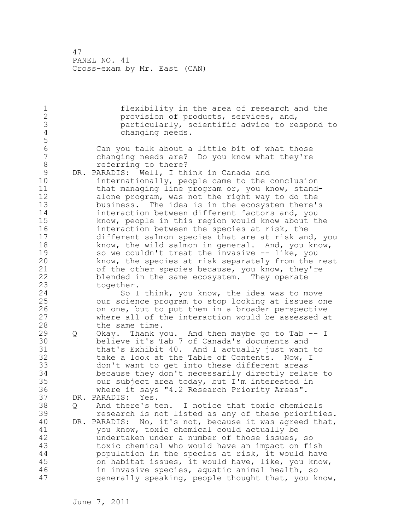1 flexibility in the area of research and the<br>2 provision of products, services, and, provision of products, services, and, 3 particularly, scientific advice to respond to changing needs. 5 6 Can you talk about a little bit of what those 7 changing needs are? Do you know what they're 8 referring to there? 9 DR. PARADIS: Well, I think in Canada and<br>10 10 internationally, people came to the internationally, people came to the conclusion 11 that managing line program or, you know, stand-12 alone program, was not the right way to do the 13 business. The idea is in the ecosystem there's 14 interaction between different factors and, you 15 know, people in this region would know about the 16 interaction between the species at risk, the 17 different salmon species that are at risk and, you 18 know, the wild salmon in general. And, you know, 19 so we couldn't treat the invasive -- like, you<br>20 know, the species at risk separately from the know, the species at risk separately from the rest 21 of the other species because, you know, they're 22 blended in the same ecosystem. They operate 23 together. 24 So I think, you know, the idea was to move 25 our science program to stop looking at issues one 26 on one, but to put them in a broader perspective<br>27 where all of the interaction would be assessed a where all of the interaction would be assessed at 28 the same time. 29 Q Okay. Thank you. And then maybe go to Tab -- I 30 believe it's Tab 7 of Canada's documents and 31 that's Exhibit 40. And I actually just want to 32 take a look at the Table of Contents. Now, I 33 don't want to get into these different areas 34 because they don't necessarily directly relate to 35 our subject area today, but I'm interested in 36 where it says "4.2 Research Priority Areas". 37 DR. PARADIS: Yes. 38 Q And there's ten. I notice that toxic chemicals 39 research is not listed as any of these priorities. 40 DR. PARADIS: No, it's not, because it was agreed that, 41 you know, toxic chemical could actually be<br>42 undertaken under a number of those issues. undertaken under a number of those issues, so 43 toxic chemical who would have an impact on fish 44 population in the species at risk, it would have 45 on habitat issues, it would have, like, you know, 46 in invasive species, aquatic animal health, so 47 generally speaking, people thought that, you know,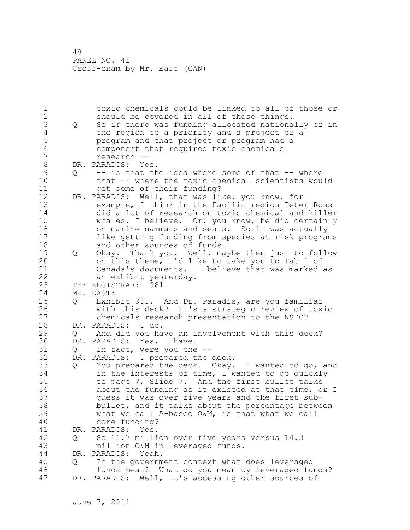1 toxic chemicals could be linked to all of those or 2 should be covered in all of those things. 3 Q So if there was funding allocated nationally or in<br>4 the region to a priority and a project or a 4 the region to a priority and a project or a<br>5 brogram and that project or program had a 5 program and that project or program had a 6 component that required toxic chemicals 7 research -- 8 DR. PARADIS: Yes.<br>9 0 -- is that th 9 Q -- is that the idea where some of that -- where<br>10 that -- where the toxic chemical scientists wou. that -- where the toxic chemical scientists would 11 get some of their funding? 12 DR. PARADIS: Well, that was like, you know, for 13 example, I think in the Pacific region Peter Ross 14 did a lot of research on toxic chemical and killer 15 whales, I believe. Or, you know, he did certainly 16 on marine mammals and seals. So it was actually 17 like getting funding from species at risk programs 18 and other sources of funds. 19 Q Okay. Thank you. Well, maybe then just to follow<br>20 on this theme. I'd like to take you to Tab 1 of on this theme, I'd like to take you to Tab 1 of 21 Canada's documents. I believe that was marked as 22 an exhibit yesterday. 23 THE REGISTRAR: 981. 24 MR. EAST: 25 Q Exhibit 981. And Dr. Paradis, are you familiar 26 with this deck? It's a strategic review of toxic<br>27 chemicals research presentation to the NSDC? chemicals research presentation to the NSDC? 28 DR. PARADIS: I do. 29 Q And did you have an involvement with this deck? 30 DR. PARADIS: Yes, I have.<br>31 0 In fact, were you the 31 Q In fact, were you the --<br>32 DR. PARADIS: I prepared the DR. PARADIS: I prepared the deck. 33 Q You prepared the deck. Okay. I wanted to go, and 34 in the interests of time, I wanted to go quickly 35 to page 7, Slide 7. And the first bullet talks 36 about the funding as it existed at that time, or I 37 guess it was over five years and the first sub-38 bullet, and it talks about the percentage between 39 what we call A-based O&M, is that what we call 40 core funding? 41 DR. PARADIS: Yes.<br>42 0 So 11.7 milli 42 Q So 11.7 million over five years versus 14.3 43 million O&M in leveraged funds. 44 DR. PARADIS: Yeah. 45 Q In the government context what does leveraged 46 funds mean? What do you mean by leveraged funds? 47 DR. PARADIS: Well, it's accessing other sources of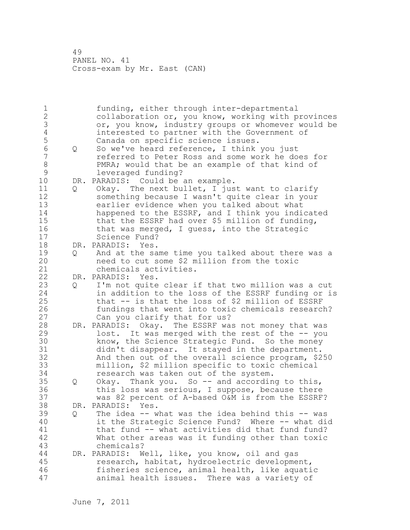1 funding, either through inter-departmental 2 collaboration or, you know, working with provinces 3 or, you know, industry groups or whomever would be 4 interested to partner with the Government of<br>5 Canada on specific science issues. 5 Canada on specific science issues.<br>5 0 So we've heard reference, I think 6 Q So we've heard reference, I think you just<br>7 ceferred to Peter Ross and some work he do 7 referred to Peter Ross and some work he does for 8 PMRA; would that be an example of that kind of<br>9 1everaged funding? 9 leveraged funding? DR. PARADIS: Could be an example. 11 Q Okay. The next bullet, I just want to clarify 12 something because I wasn't quite clear in your 13 earlier evidence when you talked about what 14 happened to the ESSRF, and I think you indicated 15 that the ESSRF had over \$5 million of funding, 16 that was merged, I guess, into the Strategic 17 Science Fund? 18 DR. PARADIS: Yes. 19 Q And at the same time you talked about there was a<br>20 a need to cut some \$2 million from the toxic need to cut some \$2 million from the toxic 21 chemicals activities. 22 DR. PARADIS: Yes. 23 Q I'm not quite clear if that two million was a cut 24 in addition to the loss of the ESSRF funding or is 25 that -- is that the loss of \$2 million of ESSRF 26 fundings that went into toxic chemicals research?<br>27 Can you clarify that for us? Can you clarify that for us? 28 DR. PARADIS: Okay. The ESSRF was not money that was 29 lost. It was merged with the rest of the -- you 30 know, the Science Strategic Fund. So the money<br>31 didn't disappear. It staved in the department. didn't disappear. It stayed in the department. 32 And then out of the overall science program, \$250 33 million, \$2 million specific to toxic chemical 34 research was taken out of the system. 35 Q Okay. Thank you. So -- and according to this, 36 this loss was serious, I suppose, because there 37 was 82 percent of A-based O&M is from the ESSRF? 38 DR. PARADIS: Yes. 39 Q The idea -- what was the idea behind this -- was 40 it the Strategic Science Fund? Where -- what did 41 that fund -- what activities did that fund fund?<br>42 What other areas was it funding other than toxic What other areas was it funding other than toxic 43 chemicals? 44 DR. PARADIS: Well, like, you know, oil and gas 45 research, habitat, hydroelectric development, 46 fisheries science, animal health, like aquatic 47 animal health issues. There was a variety of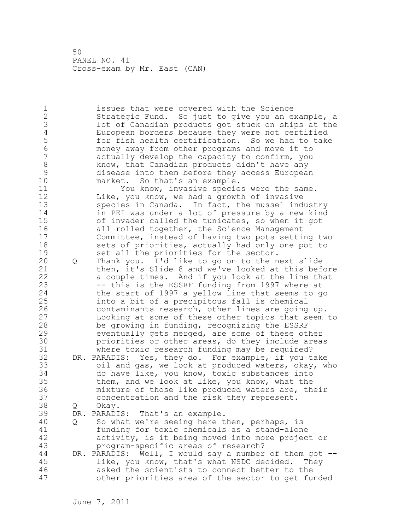1 issues that were covered with the Science 2 Strategic Fund. So just to give you an example, a 3 lot of Canadian products got stuck on ships at the 4 European borders because they were not certified<br>5 6 For fish health certification. So we had to take 5 for fish health certification. So we had to take<br>6 monev away from other programs and move it to 6 money away from other programs and move it to actually develop the capacity to confirm, you 8 know, that Canadian products didn't have any<br>9 disease into them before they access Europea 9 disease into them before they access European market. So that's an example. 11 You know, invasive species were the same. 12 Like, you know, we had a growth of invasive 13 species in Canada. In fact, the mussel industry 14 in PEI was under a lot of pressure by a new kind 15 of invader called the tunicates, so when it got 16 all rolled together, the Science Management 17 Committee, instead of having two pots setting two 18 sets of priorities, actually had only one pot to 19 set all the priorities for the sector.<br>20 0 Thank you. I'd like to go on to the n 20 Q Thank you. I'd like to go on to the next slide 21 then, it's Slide 8 and we've looked at this before 22 a couple times. And if you look at the line that 23 -- this is the ESSRF funding from 1997 where at 24 the start of 1997 a yellow line that seems to go 25 into a bit of a precipitous fall is chemical 26 contaminants research, other lines are going up.<br>27 Looking at some of these other topics that seem Looking at some of these other topics that seem to 28 be growing in funding, recognizing the ESSRF 29 eventually gets merged, are some of these other 30 **priorities or other areas, do they include areas**<br>31 where toxic research funding may be required? where toxic research funding may be required? 32 DR. PARADIS: Yes, they do. For example, if you take 33 oil and gas, we look at produced waters, okay, who 34 do have like, you know, toxic substances into 35 them, and we look at like, you know, what the 36 mixture of those like produced waters are, their 37 concentration and the risk they represent. 38 Q Okay. 39 DR. PARADIS: That's an example. 40 Q So what we're seeing here then, perhaps, is 41 funding for toxic chemicals as a stand-alone<br>42 activity, is it being moved into more projec activity, is it being moved into more project or 43 program-specific areas of research? 44 DR. PARADIS: Well, I would say a number of them got -- 45 like, you know, that's what NSDC decided. They 46 asked the scientists to connect better to the 47 other priorities area of the sector to get funded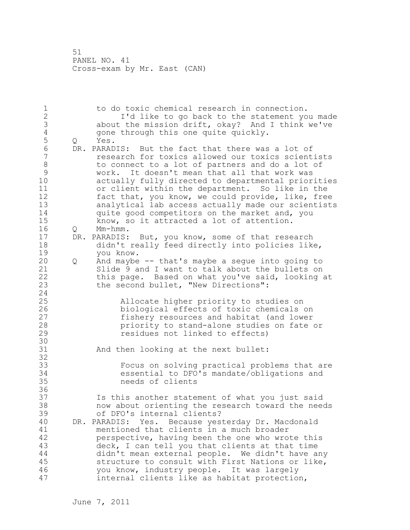1 to do toxic chemical research in connection. 2 I'd like to go back to the statement you made 3 about the mission drift, okay? And I think we've 4 gone through this one quite quickly.<br>5 Q Yes. 5 Q Yes.<br>6 DR.PARAD 6 DR. PARADIS: But the fact that there was a lot of<br>7 The research for toxics allowed our toxics scient 7 research for toxics allowed our toxics scientists 8 to connect to a lot of partners and do a lot of 9 work. It doesn't mean that all that work was actually fully directed to departmental priorities 11 or client within the department. So like in the 12 fact that, you know, we could provide, like, free 13 analytical lab access actually made our scientists 14 quite good competitors on the market and, you 15 know, so it attracted a lot of attention. 16 Q Mm-hmm. 17 DR. PARADIS: But, you know, some of that research 18 didn't really feed directly into policies like, 19 you know.<br>20 0 And maybe 20 Q And maybe -- that's maybe a segue into going to 21 Slide 9 and I want to talk about the bullets on 22 this page. Based on what you've said, looking at 23 the second bullet, "New Directions": 24 25 Allocate higher priority to studies on 26 biological effects of toxic chemicals on<br>27 fishery resources and habitat (and lower 27 fishery resources and habitat (and lower<br>28 priority to stand-alone studies on fate priority to stand-alone studies on fate or 29 residues not linked to effects) 30<br>31 And then looking at the next bullet: 32 33 Focus on solving practical problems that are 34 essential to DFO's mandate/obligations and 35 needs of clients 36 37 Is this another statement of what you just said 38 now about orienting the research toward the needs 39 of DFO's internal clients? 40 DR. PARADIS: Yes. Because yesterday Dr. Macdonald 41 mentioned that clients in a much broader<br>42 berspective, having been the one who wro perspective, having been the one who wrote this 43 deck, I can tell you that clients at that time 44 didn't mean external people. We didn't have any 45 structure to consult with First Nations or like, 46 you know, industry people. It was largely 47 internal clients like as habitat protection,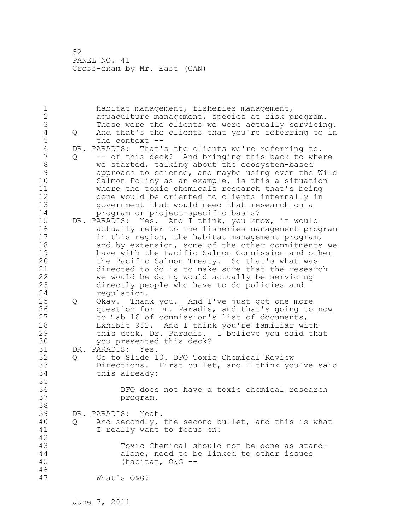1 habitat management, fisheries management, 2 aquaculture management, species at risk program. 3 Those were the clients we were actually servicing.<br>4 0 And that's the clients that you're referring to in 4 Q And that's the clients that you're referring to in<br>5 the context --5 the context --<br>6 DR. PARADIS: That' 6 DR. PARADIS: That's the clients we're referring to. 7 Q -- of this deck? And bringing this back to where 8 we started, talking about the ecosystem-based<br>9 approach to science, and mavbe using even the 9 approach to science, and maybe using even the Wild Salmon Policy as an example, is this a situation 11 where the toxic chemicals research that's being 12 done would be oriented to clients internally in 13 government that would need that research on a 14 program or project-specific basis? 15 DR. PARADIS: Yes. And I think, you know, it would 16 actually refer to the fisheries management program 17 in this region, the habitat management program, 18 and by extension, some of the other commitments we 19 have with the Pacific Salmon Commission and other<br>20 the Pacific Salmon Treaty. So that's what was the Pacific Salmon Treaty. So that's what was 21 directed to do is to make sure that the research 22 we would be doing would actually be servicing 23 directly people who have to do policies and 24 regulation. 25 Q Okay. Thank you. And I've just got one more 26 question for Dr. Paradis, and that's going to now<br>27 to Tab 16 of commission's list of documents, to Tab 16 of commission's list of documents, 28 Exhibit 982. And I think you're familiar with 29 this deck, Dr. Paradis. I believe you said that 30 you presented this deck?<br>31 DR. PARADIS: Yes. DR. PARADIS: Yes. 32 Q Go to Slide 10. DFO Toxic Chemical Review 33 Directions. First bullet, and I think you've said 34 this already: 35 36 DFO does not have a toxic chemical research 37 program. 38 39 DR. PARADIS: Yeah. 40 Q And secondly, the second bullet, and this is what 41 I really want to focus on: 42 Toxic Chemical should not be done as stand-44 alone, need to be linked to other issues 45 (habitat, O&G -- 46 47 What's O&G?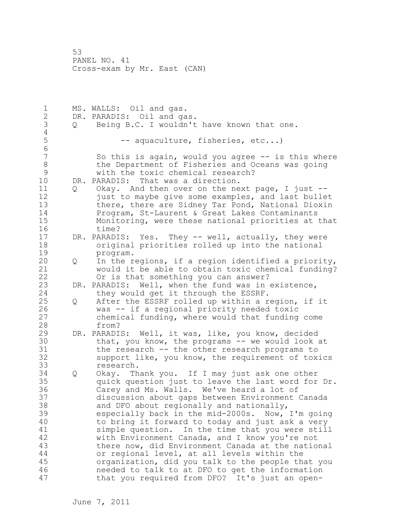1 MS. WALLS: Oil and gas. 2 DR. PARADIS: Oil and gas. 3 Q Being B.C. I wouldn't have known that one.  $\frac{4}{5}$ -- aquaculture, fisheries, etc...) 6 So this is again, would you agree  $-$  is this where 8 the Department of Fisheries and Oceans was going 9 with the toxic chemical research?<br>10 DR. PARADIS: That was a direction. DR. PARADIS: That was a direction. 11 Q Okay. And then over on the next page, I just -- 12 **just to maybe give some examples, and last bullet** 13 there, there are Sidney Tar Pond, National Dioxin 14 Program, St-Laurent & Great Lakes Contaminants 15 Monitoring, were these national priorities at that 16 time? 17 DR. PARADIS: Yes. They -- well, actually, they were 18 original priorities rolled up into the national 19 program.<br>20 0 In the r 20 Q In the regions, if a region identified a priority, 21 would it be able to obtain toxic chemical funding? 22 Or is that something you can answer? 23 DR. PARADIS: Well, when the fund was in existence, 24 they would get it through the ESSRF. 25 Q After the ESSRF rolled up within a region, if it 26 was -- if a regional priority needed toxic<br>27 chemical funding, where would that funding chemical funding, where would that funding come 28 from? 29 DR. PARADIS: Well, it was, like, you know, decided 30 that, you know, the programs -- we would look at<br>31 the research -- the other research programs to 31 the research -- the other research programs to<br>32 support like, you know, the requirement of tox support like, you know, the requirement of toxics 33 research. 34 Q Okay. Thank you. If I may just ask one other 35 quick question just to leave the last word for Dr. 36 Carey and Ms. Walls. We've heard a lot of 37 discussion about gaps between Environment Canada 38 and DFO about regionally and nationally, 39 especially back in the mid-2000s. Now, I'm going 40 to bring it forward to today and just ask a very 41 simple question. In the time that you were still<br>42 with Environment Canada, and I know you're not with Environment Canada, and I know you're not 43 there now, did Environment Canada at the national 44 or regional level, at all levels within the 45 organization, did you talk to the people that you 46 needed to talk to at DFO to get the information 47 that you required from DFO? It's just an open-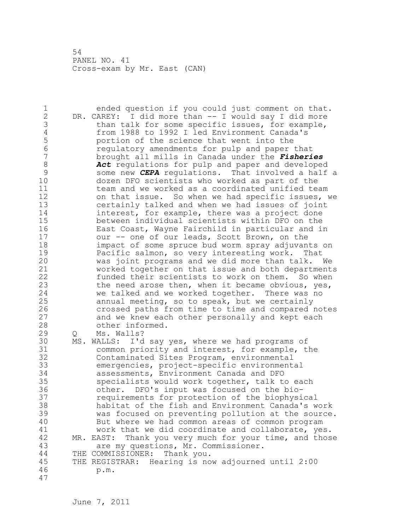1 ended question if you could just comment on that. 2 DR. CAREY: I did more than -- I would say I did more 3 than talk for some specific issues, for example,<br>4 from 1988 to 1992 I led Environment Canada's 4 from 1988 to 1992 I led Environment Canada's 5 portion of the science that went into the 6 6 regulatory amendments for pulp and paper that<br>7 brought all mills in Canada under the *Fisheri* 7 brought all mills in Canada under the *Fisheries*  8 **Act** regulations for pulp and paper and developed<br>9 some new **CEPA** requlations. That involved a half 9 some new *CEPA* regulations. That involved a half a dozen DFO scientists who worked as part of the 11 team and we worked as a coordinated unified team 12 on that issue. So when we had specific issues, we 13 certainly talked and when we had issues of joint 14 interest, for example, there was a project done 15 between individual scientists within DFO on the 16 East Coast, Wayne Fairchild in particular and in 17 our -- one of our leads, Scott Brown, on the 18 impact of some spruce bud worm spray adjuvants on 19 Pacific salmon, so very interesting work. That<br>20 was joint programs and we did more than talk. was joint programs and we did more than talk. We 21 worked together on that issue and both departments 22 funded their scientists to work on them. So when 23 the need arose then, when it became obvious, yes, 24 we talked and we worked together. There was no 25 annual meeting, so to speak, but we certainly 26 crossed paths from time to time and compared notes<br>27 and we knew each other personally and kept each and we knew each other personally and kept each 28 other informed. 29 Q Ms. Walls? 30 MS. WALLS: I'd say yes, where we had programs of 31 common priority and interest, for example, the<br>32 Contaminated Sites Program, environmental Contaminated Sites Program, environmental 33 emergencies, project-specific environmental 34 assessments, Environment Canada and DFO 35 specialists would work together, talk to each 36 other. DFO's input was focused on the bio-37 requirements for protection of the biophysical 38 habitat of the fish and Environment Canada's work 39 was focused on preventing pollution at the source. 40 But where we had common areas of common program 41 work that we did coordinate and collaborate, yes.<br>42 MR. EAST: Thank you very much for your time, and thos MR. EAST: Thank you very much for your time, and those 43 are my questions, Mr. Commissioner. 44 THE COMMISSIONER: Thank you. 45 THE REGISTRAR: Hearing is now adjourned until 2:00 46 p.m. 47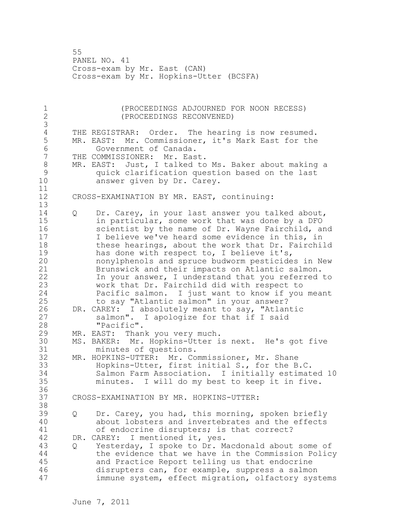55 PANEL NO. 41 Cross-exam by Mr. East (CAN) Cross-exam by Mr. Hopkins-Utter (BCSFA)

1 (PROCEEDINGS ADJOURNED FOR NOON RECESS)<br>2 (PROCEEDINGS RECONVENED) 2 (PROCEEDINGS RECONVENED) 3 4 THE REGISTRAR: Order. The hearing is now resumed.<br>5 MR. EAST: Mr. Commissioner, it's Mark East for the MR. EAST: Mr. Commissioner, it's Mark East for the 6 Government of Canada.<br>7 THE COMMISSIONER: Mr. Eas THE COMMISSIONER: Mr. East. 8 MR. EAST: Just, I talked to Ms. Baker about making a 9 quick clarification question based on the last answer given by Dr. Carey. 11 12 CROSS-EXAMINATION BY MR. EAST, continuing: 13 14 Q Dr. Carey, in your last answer you talked about, 15 in particular, some work that was done by a DFO 16 scientist by the name of Dr. Wayne Fairchild, and 17 I believe we've heard some evidence in this, in 18 these hearings, about the work that Dr. Fairchild 19 has done with respect to, I believe it's,<br>20 honylphenols and spruce budworm pesticide nonylphenols and spruce budworm pesticides in New 21 Brunswick and their impacts on Atlantic salmon. 22 In your answer, I understand that you referred to 23 work that Dr. Fairchild did with respect to 24 Pacific salmon. I just want to know if you meant 25 to say "Atlantic salmon" in your answer? 26 DR. CAREY: I absolutely meant to say, "Atlantic<br>27 salmon". I apologize for that if I said salmon". I apologize for that if I said 28 "Pacific". 29 MR. EAST: Thank you very much. 30 MS. BAKER: Mr. Hopkins-Utter is next. He's got five 31 minutes of questions.<br>32 MR. HOPKINS-UTTER: Mr. Co MR. HOPKINS-UTTER: Mr. Commissioner, Mr. Shane 33 Hopkins-Utter, first initial S., for the B.C. 34 Salmon Farm Association. I initially estimated 10 35 minutes. I will do my best to keep it in five. 36 37 CROSS-EXAMINATION BY MR. HOPKINS-UTTER: 38 39 Q Dr. Carey, you had, this morning, spoken briefly 40 about lobsters and invertebrates and the effects 41 of endocrine disrupters; is that correct?<br>42 DR. CAREY: I mentioned it, ves. DR. CAREY: I mentioned it, yes. 43 Q Yesterday, I spoke to Dr. Macdonald about some of 44 the evidence that we have in the Commission Policy 45 and Practice Report telling us that endocrine 46 disrupters can, for example, suppress a salmon 47 immune system, effect migration, olfactory systems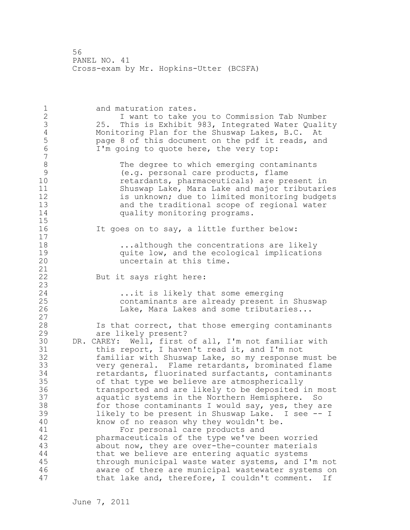56 PANEL NO. 41 Cross-exam by Mr. Hopkins-Utter (BCSFA)

1 and maturation rates. 2 I want to take you to Commission Tab Number 3 25. This is Exhibit 983, Integrated Water Quality 4 Monitoring Plan for the Shuswap Lakes, B.C. At<br>5 bage 8 of this document on the pdf it reads, an 5 page 8 of this document on the pdf it reads, and<br>6 T'm going to quote here, the yery top: I'm going to quote here, the very top: 7 8 The degree to which emerging contaminants<br>9 (e.g. personal care products, flame 9 (e.g. personal care products, flame retardants, pharmaceuticals) are present in 11 Shuswap Lake, Mara Lake and major tributaries 12 is unknown; due to limited monitoring budgets<br>13 and the traditional scope of regional water and the traditional scope of regional water 14 **quality monitoring programs.** 15 16 It goes on to say, a little further below: 17 18 ...although the concentrations are likely 19 quite low, and the ecological implications<br>20 metain at this time. uncertain at this time. 21 22 But it says right here: 23 24 ...it is likely that some emerging 25 contaminants are already present in Shuswap 26 Lake, Mara Lakes and some tributaries... 27 28 Is that correct, that those emerging contaminants 29 are likely present? 30 DR. CAREY: Well, first of all, I'm not familiar with<br>31 this report, I haven't read it, and I'm not this report, I haven't read it, and I'm not 32 familiar with Shuswap Lake, so my response must be 33 very general. Flame retardants, brominated flame 34 retardants, fluorinated surfactants, contaminants 35 of that type we believe are atmospherically 36 transported and are likely to be deposited in most 37 aquatic systems in the Northern Hemisphere. So 38 for those contaminants I would say, yes, they are 39 likely to be present in Shuswap Lake. I see -- I 40 know of no reason why they wouldn't be. 41 For personal care products and<br>42 bharmaceuticals of the type we've be pharmaceuticals of the type we've been worried 43 about now, they are over-the-counter materials 44 that we believe are entering aquatic systems 45 through municipal waste water systems, and I'm not 46 aware of there are municipal wastewater systems on 47 that lake and, therefore, I couldn't comment. If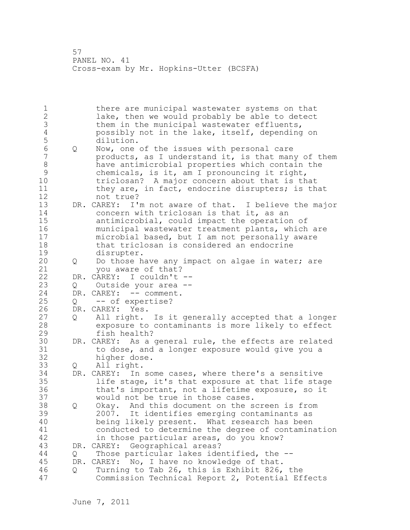57 PANEL NO. 41 Cross-exam by Mr. Hopkins-Utter (BCSFA)

1 there are municipal wastewater systems on that 2 lake, then we would probably be able to detect 3 them in the municipal wastewater effluents,<br>4 bossibly not in the lake, itself, depending 4 possibly not in the lake, itself, depending on 5 dilution.<br>6 0 Now, one 6 Q Now, one of the issues with personal care products, as I understand it, is that many of them 8 have antimicrobial properties which contain the 9 chemicals, is it, am I pronouncing it right, 10 triclosan? A major concern about that is that 11 they are, in fact, endocrine disrupters; is that 12 not true? 13 DR. CAREY: I'm not aware of that. I believe the major 14 concern with triclosan is that it, as an 15 antimicrobial, could impact the operation of 16 municipal wastewater treatment plants, which are 17 microbial based, but I am not personally aware 18 that triclosan is considered an endocrine 19 disrupter.<br>20 0 Do those h 20 Q Do those have any impact on algae in water; are 21 you aware of that? 22 DR. CAREY: I couldn't -- 23 Q Outside your area -- 24 DR. CAREY: -- comment. 25 Q -- of expertise? 26 DR. CAREY: Yes.<br>27 0 All right. All right. Is it generally accepted that a longer 28 exposure to contaminants is more likely to effect 29 fish health? 30 DR. CAREY: As a general rule, the effects are related<br>31 to dose, and a longer exposure would give you a 31 to dose, and a longer exposure would give you a higher dose. 33 Q All right. 34 DR. CAREY: In some cases, where there's a sensitive 35 life stage, it's that exposure at that life stage 36 that's important, not a lifetime exposure, so it 37 would not be true in those cases. 38 Q Okay. And this document on the screen is from 39 2007. It identifies emerging contaminants as 40 being likely present. What research has been 41 conducted to determine the degree of contamination<br>42 in those particular areas, do you know? in those particular areas, do you know? 43 DR. CAREY: Geographical areas? 44 Q Those particular lakes identified, the -- 45 DR. CAREY: No, I have no knowledge of that. 46 Q Turning to Tab 26, this is Exhibit 826, the 47 Commission Technical Report 2, Potential Effects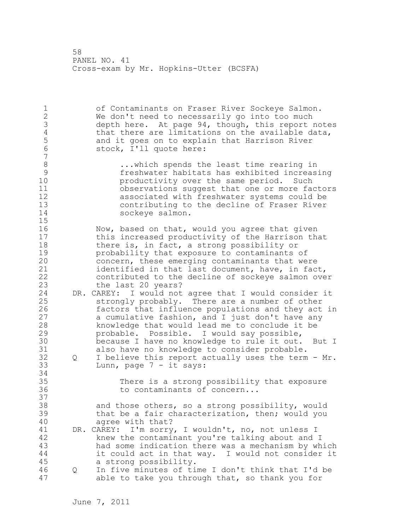58 PANEL NO. 41 Cross-exam by Mr. Hopkins-Utter (BCSFA)

| 1<br>$\frac{2}{3}$<br>$\overline{4}$<br>$\frac{5}{6}$<br>$\overline{7}$ |   | of Contaminants on Fraser River Sockeye Salmon.<br>We don't need to necessarily go into too much<br>depth here. At page 94, though, this report notes<br>that there are limitations on the available data,<br>and it goes on to explain that Harrison River<br>stock, I'll quote here:                                                                                                                                                                                                                |
|-------------------------------------------------------------------------|---|-------------------------------------------------------------------------------------------------------------------------------------------------------------------------------------------------------------------------------------------------------------------------------------------------------------------------------------------------------------------------------------------------------------------------------------------------------------------------------------------------------|
| $\,8\,$<br>9<br>10<br>11<br>12<br>13<br>14<br>15                        |   | which spends the least time rearing in<br>freshwater habitats has exhibited increasing<br>productivity over the same period.<br>Such<br>observations suggest that one or more factors<br>associated with freshwater systems could be<br>contributing to the decline of Fraser River<br>sockeye salmon.                                                                                                                                                                                                |
| 16<br>17<br>18<br>19<br>20<br>21<br>22<br>23                            |   | Now, based on that, would you agree that given<br>this increased productivity of the Harrison that<br>there is, in fact, a strong possibility or<br>probability that exposure to contaminants of<br>concern, these emerging contaminants that were<br>identified in that last document, have, in fact,<br>contributed to the decline of sockeye salmon over<br>the last 20 years?                                                                                                                     |
| 24<br>25<br>26<br>27<br>28<br>29<br>30<br>31<br>32<br>33                | Q | DR. CAREY: I would not agree that I would consider it<br>strongly probably. There are a number of other<br>factors that influence populations and they act in<br>a cumulative fashion, and I just don't have any<br>knowledge that would lead me to conclude it be<br>probable. Possible. I would say possible,<br>because I have no knowledge to rule it out. But I<br>also have no knowledge to consider probable.<br>I believe this report actually uses the term - Mr.<br>Lunn, page 7 - it says: |
| 34<br>35<br>36<br>37                                                    |   | There is a strong possibility that exposure<br>to contaminants of concern                                                                                                                                                                                                                                                                                                                                                                                                                             |
| 38<br>39<br>40                                                          |   | and those others, so a strong possibility, would<br>that be a fair characterization, then; would you<br>agree with that?                                                                                                                                                                                                                                                                                                                                                                              |
| 41<br>42<br>43<br>$4\,4$<br>45                                          |   | I'm sorry, I wouldn't, no, not unless I<br>DR. CAREY:<br>knew the contaminant you're talking about and I<br>had some indication there was a mechanism by which<br>it could act in that way. I would not consider it                                                                                                                                                                                                                                                                                   |
| 46<br>47                                                                | Q | a strong possibility.<br>In five minutes of time I don't think that I'd be<br>able to take you through that, so thank you for                                                                                                                                                                                                                                                                                                                                                                         |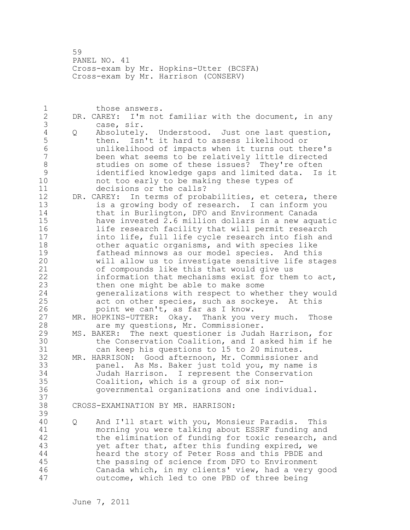59 PANEL NO. 41 Cross-exam by Mr. Hopkins-Utter (BCSFA) Cross-exam by Mr. Harrison (CONSERV)

1 those answers. 2 DR. CAREY: I'm not familiar with the document, in any 3 case, sir.<br>4 Q Absolutely 4 Q Absolutely. Understood. Just one last question, 5 then. Isn't it hard to assess likelihood or<br>6 bunlikelihood of impacts when it turns out the 6 unlikelihood of impacts when it turns out there's been what seems to be relatively little directed 8 studies on some of these issues? They're often 9 identified knowledge gaps and limited data. Is it not too early to be making these types of 11 decisions or the calls? 12 DR. CAREY: In terms of probabilities, et cetera, there 13 is a growing body of research. I can inform you 14 that in Burlington, DFO and Environment Canada 15 have invested 2.6 million dollars in a new aquatic 16 life research facility that will permit research 17 into life, full life cycle research into fish and 18 other aquatic organisms, and with species like 19 fathead minnows as our model species. And this<br>20 will allow us to investigate sensitive life stad will allow us to investigate sensitive life stages 21 of compounds like this that would give us 22 information that mechanisms exist for them to act, 23 then one might be able to make some 24 generalizations with respect to whether they would 25 act on other species, such as sockeye. At this 26 point we can't, as far as I know.<br>27 MR. HOPKINS-UTTER: Okay. Thank you v MR. HOPKINS-UTTER: Okay. Thank you very much. Those 28 are my questions, Mr. Commissioner. 29 MS. BAKER: The next questioner is Judah Harrison, for 30 the Conservation Coalition, and I asked him if he<br>31 can keep his questions to 15 to 20 minutes. can keep his questions to 15 to 20 minutes. 32 MR. HARRISON: Good afternoon, Mr. Commissioner and 33 panel. As Ms. Baker just told you, my name is 34 Judah Harrison. I represent the Conservation 35 Coalition, which is a group of six non-36 governmental organizations and one individual. 37 38 CROSS-EXAMINATION BY MR. HARRISON: 39 40 Q And I'll start with you, Monsieur Paradis. This 41 morning you were talking about ESSRF funding and<br>42 the elimination of funding for toxic research, a the elimination of funding for toxic research, and 43 yet after that, after this funding expired, we 44 heard the story of Peter Ross and this PBDE and 45 the passing of science from DFO to Environment 46 Canada which, in my clients' view, had a very good 47 outcome, which led to one PBD of three being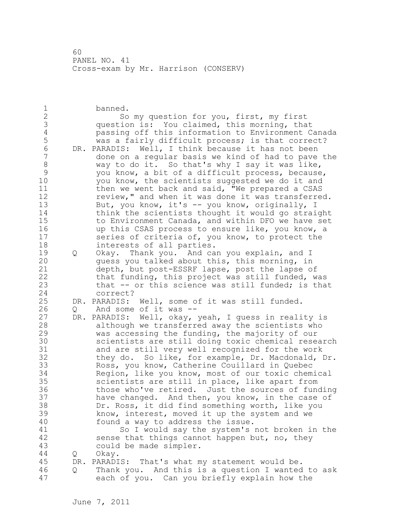1 banned. 2 So my question for you, first, my first 3 question is: You claimed, this morning, that 4 passing off this information to Environment Canada 5 was a fairly difficult process; is that correct?<br>6 DR. PARADIS: Well, I think because it has not been 6 DR. PARADIS: Well, I think because it has not been done on a regular basis we kind of had to pave the 8 way to do it. So that's why I say it was like,<br>9 wou know, a bit of a difficult process, because 9 you know, a bit of a difficult process, because,<br>10 vou know, the scientists suggested we do it and you know, the scientists suggested we do it and 11 then we went back and said, "We prepared a CSAS 12 review," and when it was done it was transferred. 13 But, you know, it's -- you know, originally, I 14 think the scientists thought it would go straight 15 to Environment Canada, and within DFO we have set 16 up this CSAS process to ensure like, you know, a 17 series of criteria of, you know, to protect the 18 interests of all parties. 19 Q Okay. Thank you. And can you explain, and I<br>20 quess you talked about this, this morning, in guess you talked about this, this morning, in 21 depth, but post-ESSRF lapse, post the lapse of 22 that funding, this project was still funded, was 23 that -- or this science was still funded; is that 24 correct? 25 DR. PARADIS: Well, some of it was still funded. 26 Q And some of it was --<br>27 DR. PARADIS: Well, okay, DR. PARADIS: Well, okay, yeah, I guess in reality is 28 although we transferred away the scientists who 29 was accessing the funding, the majority of our 30 scientists are still doing toxic chemical research<br>31 and are still very well recognized for the work and are still very well recognized for the work 32 they do. So like, for example, Dr. Macdonald, Dr. 33 Ross, you know, Catherine Couillard in Quebec 34 Region, like you know, most of our toxic chemical 35 scientists are still in place, like apart from 36 those who've retired. Just the sources of funding 37 have changed. And then, you know, in the case of 38 Dr. Ross, it did find something worth, like you 39 know, interest, moved it up the system and we 40 found a way to address the issue. 41 So I would say the system's not broken in the<br>42 sense that things cannot happen but, no, they sense that things cannot happen but, no, they 43 could be made simpler. 44 Q Okay. 45 DR. PARADIS: That's what my statement would be. 46 Q Thank you. And this is a question I wanted to ask 47 each of you. Can you briefly explain how the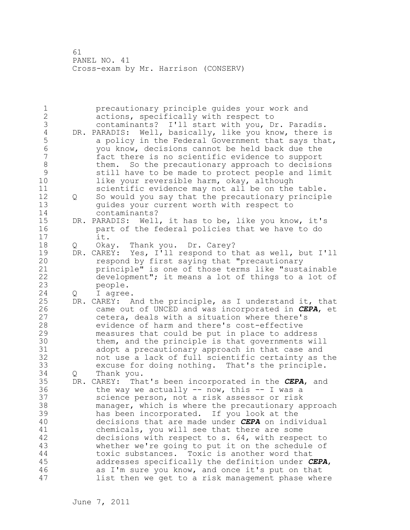| 1<br>$\overline{c}$ |                   | precautionary principle quides your work and<br>actions, specifically with respect to                 |
|---------------------|-------------------|-------------------------------------------------------------------------------------------------------|
| 3                   |                   | contaminants? I'll start with you, Dr. Paradis.                                                       |
| $\overline{4}$      |                   | DR. PARADIS: Well, basically, like you know, there is                                                 |
| 5                   |                   | a policy in the Federal Government that says that,                                                    |
| $\sqrt{6}$          |                   | you know, decisions cannot be held back due the                                                       |
| $\overline{7}$      |                   | fact there is no scientific evidence to support                                                       |
| $\,8\,$             |                   | them. So the precautionary approach to decisions                                                      |
| $\mathcal{G}$       |                   | still have to be made to protect people and limit                                                     |
| 10                  |                   | like your reversible harm, okay, although                                                             |
| 11                  |                   | scientific evidence may not all be on the table.                                                      |
| 12                  | $Q \qquad \qquad$ | So would you say that the precautionary principle                                                     |
| 13                  |                   | guides your current worth with respect to                                                             |
| 14                  |                   | contaminants?                                                                                         |
| 15                  |                   | DR. PARADIS: Well, it has to be, like you know, it's                                                  |
| 16                  |                   | part of the federal policies that we have to do                                                       |
| 17                  |                   | it.                                                                                                   |
| 18                  |                   |                                                                                                       |
| 19                  | Q                 | Okay. Thank you. Dr. Carey?                                                                           |
| 20                  |                   | DR. CAREY: Yes, I'll respond to that as well, but I'll<br>respond by first saying that "precautionary |
| 21                  |                   | principle" is one of those terms like "sustainable                                                    |
| 22                  |                   | development"; it means a lot of things to a lot of                                                    |
|                     |                   |                                                                                                       |
| 23                  |                   | people.                                                                                               |
| 24                  | Q                 | I agree.                                                                                              |
| 25                  |                   | DR. CAREY: And the principle, as I understand it, that                                                |
| 26                  |                   | came out of UNCED and was incorporated in CEPA, et                                                    |
| 27                  |                   | cetera, deals with a situation where there's                                                          |
| 28                  |                   | evidence of harm and there's cost-effective                                                           |
| 29                  |                   | measures that could be put in place to address                                                        |
| 30                  |                   | them, and the principle is that governments will                                                      |
| 31                  |                   | adopt a precautionary approach in that case and                                                       |
| 32                  |                   | not use a lack of full scientific certainty as the                                                    |
| 33                  |                   | excuse for doing nothing. That's the principle.                                                       |
| 34                  | Q                 | Thank you.                                                                                            |
| 35                  |                   | DR. CAREY: That's been incorporated in the CEPA, and                                                  |
| 36                  |                   | the way we actually $--$ now, this $--$ I was a                                                       |
| 37                  |                   | science person, not a risk assessor or risk                                                           |
| 38                  |                   | manager, which is where the precautionary approach                                                    |
| 39                  |                   | has been incorporated. If you look at the                                                             |
| 40                  |                   | decisions that are made under CEPA on individual                                                      |
| 41                  |                   | chemicals, you will see that there are some                                                           |
| 42                  |                   | decisions with respect to s. 64, with respect to                                                      |
| 43                  |                   | whether we're going to put it on the schedule of                                                      |
| 44                  |                   | toxic substances. Toxic is another word that                                                          |
| 45                  |                   | addresses specifically the definition under CEPA,                                                     |
| 46                  |                   | as I'm sure you know, and once it's put on that                                                       |
| 47                  |                   | list then we get to a risk management phase where                                                     |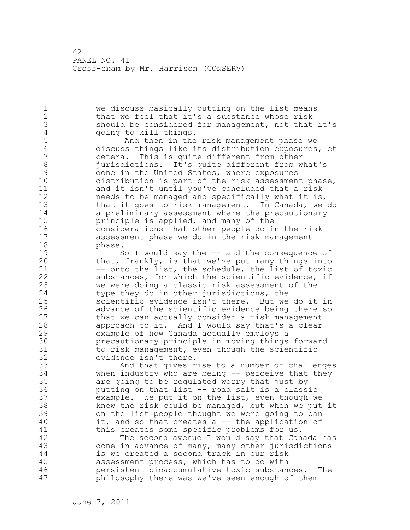1 we discuss basically putting on the list means 2 that we feel that it's a substance whose risk 3 should be considered for management, not that it's<br>4 applying to kill things. 4 going to kill things.<br>5 And then in the 5 And then in the risk management phase we 6 discuss things like its distribution exposures, et cetera. This is quite different from other 8 jurisdictions. It's quite different from what's<br>9 done in the United States, where exposures 9 done in the United States, where exposures<br>10 distribution is part of the risk assessment distribution is part of the risk assessment phase, 11 and it isn't until you've concluded that a risk 12 needs to be managed and specifically what it is, 13 that it goes to risk management. In Canada, we do 14 a preliminary assessment where the precautionary 15 principle is applied, and many of the 16 considerations that other people do in the risk 17 assessment phase we do in the risk management 18 phase. 19 So I would say the -- and the consequence of<br>20 that, frankly, is that we've put many things into that, frankly, is that we've put many things into 21 -- onto the list, the schedule, the list of toxic 22 substances, for which the scientific evidence, if 23 we were doing a classic risk assessment of the 24 type they do in other jurisdictions, the 25 scientific evidence isn't there. But we do it in 26 advance of the scientific evidence being there so<br>27 that we can actually consider a risk management that we can actually consider a risk management 28 approach to it. And I would say that's a clear 29 example of how Canada actually employs a 30 **precautionary principle in moving things forward**<br>31 **booth** to risk management, even though the scientific 31 to risk management, even though the scientific<br>32 evidence isn't there. evidence isn't there. 33 And that gives rise to a number of challenges 34 when industry who are being -- perceive that they 35 are going to be regulated worry that just by 36 putting on that list -- road salt is a classic 37 example. We put it on the list, even though we 38 knew the risk could be managed, but when we put it 39 on the list people thought we were going to ban 40 it, and so that creates a -- the application of 41 this creates some specific problems for us.<br>42 The second avenue I would say that Can The second avenue I would say that Canada has 43 done in advance of many, many other jurisdictions 44 is we created a second track in our risk 45 assessment process, which has to do with 46 persistent bioaccumulative toxic substances. The 47 philosophy there was we've seen enough of them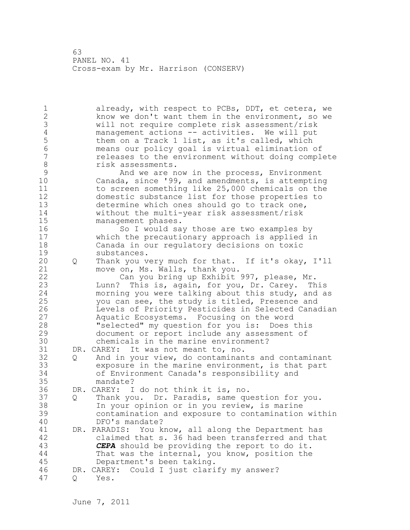1 already, with respect to PCBs, DDT, et cetera, we 2 know we don't want them in the environment, so we 3 will not require complete risk assessment/risk 4 management actions -- activities. We will put<br>5 them on a Track 1 list, as it's called, which 5 them on a Track 1 list, as it's called, which<br>6 means our policy goal is virtual elimination 6 means our policy goal is virtual elimination of releases to the environment without doing complete 8 risk assessments.<br>9 hnd we are n 9 And we are now in the process, Environment<br>10 Canada, since '99, and amendments, is attemptin Canada, since '99, and amendments, is attempting 11 to screen something like 25,000 chemicals on the 12 domestic substance list for those properties to 13 determine which ones should go to track one, 14 without the multi-year risk assessment/risk 15 management phases. 16 So I would say those are two examples by 17 which the precautionary approach is applied in 18 Canada in our regulatory decisions on toxic 19 substances.<br>20 0 Thank you v 20 Q Thank you very much for that. If it's okay, I'll 21 move on, Ms. Walls, thank you. 22 Can you bring up Exhibit 997, please, Mr. 23 Lunn? This is, again, for you, Dr. Carey. This 24 morning you were talking about this study, and as 25 you can see, the study is titled, Presence and 26 Levels of Priority Pesticides in Selected Canadian<br>27 Aquatic Ecosystems. Focusing on the word Aquatic Ecosystems. Focusing on the word 28 "selected" my question for you is: Does this 29 document or report include any assessment of 30 chemicals in the marine environment?<br>31 DR. CAREY: It was not meant to, no. DR. CAREY: It was not meant to, no. 32 Q And in your view, do contaminants and contaminant 33 exposure in the marine environment, is that part 34 of Environment Canada's responsibility and 35 mandate? 36 DR. CAREY: I do not think it is, no. 37 Q Thank you. Dr. Paradis, same question for you. 38 In your opinion or in you review, is marine 39 contamination and exposure to contamination within 40 DFO's mandate? 41 DR. PARADIS: You know, all along the Department has<br>42 claimed that s. 36 had been transferred and that claimed that s. 36 had been transferred and that 43 *CEPA* should be providing the report to do it. 44 That was the internal, you know, position the 45 Department's been taking. 46 DR. CAREY: Could I just clarify my answer? 47 Q Yes.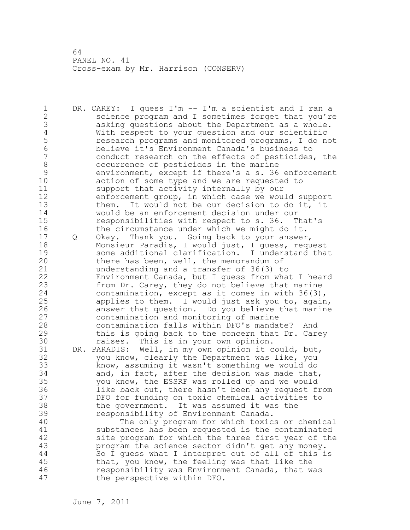1 DR. CAREY: I guess I'm -- I'm a scientist and I ran a 2 science program and I sometimes forget that you're 3 asking questions about the Department as a whole. 4 With respect to your question and our scientific<br>5 mesearch programs and monitored programs, I do no 5 5 research programs and monitored programs, I do not<br>6 believe it's Environment Canada's business to 6 believe it's Environment Canada's business to conduct research on the effects of pesticides, the 8 occurrence of pesticides in the marine 9 environment, except if there's a s. 36 enforcement action of some type and we are requested to 11 support that activity internally by our 12 enforcement group, in which case we would support 13 them. It would not be our decision to do it, it 14 would be an enforcement decision under our 15 responsibilities with respect to s. 36. That's 16 the circumstance under which we might do it. 17 Q Okay. Thank you. Going back to your answer, 18 Monsieur Paradis, I would just, I guess, request 19 some additional clarification. I understand that<br>20 there has been, well, the memorandum of there has been, well, the memorandum of 21 understanding and a transfer of 36(3) to 22 Environment Canada, but I guess from what I heard 23 from Dr. Carey, they do not believe that marine 24 contamination, except as it comes in with 36(3), 25 applies to them. I would just ask you to, again, 26 answer that question. Do you believe that marine<br>27 contamination and monitoring of marine contamination and monitoring of marine 28 contamination falls within DFO's mandate? And 29 this is going back to the concern that Dr. Carey 30 **raises.** This is in your own opinion.<br>31 DR. PARADIS: Well, in my own opinion it c DR. PARADIS: Well, in my own opinion it could, but, 32 you know, clearly the Department was like, you 33 know, assuming it wasn't something we would do 34 and, in fact, after the decision was made that, 35 you know, the ESSRF was rolled up and we would 36 like back out, there hasn't been any request from 37 DFO for funding on toxic chemical activities to 38 the government. It was assumed it was the 39 responsibility of Environment Canada. 40 The only program for which toxics or chemical 41 substances has been requested is the contaminated<br>42 site program for which the three first year of the site program for which the three first year of the 43 program the science sector didn't get any money. 44 So I guess what I interpret out of all of this is 45 that, you know, the feeling was that like the 46 responsibility was Environment Canada, that was 47 the perspective within DFO.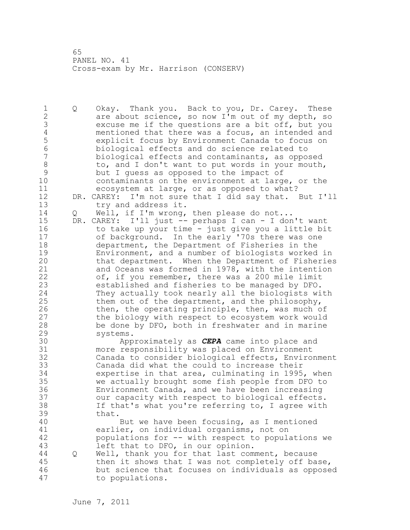1 Q Okay. Thank you. Back to you, Dr. Carey. These 2 are about science, so now I'm out of my depth, so 3 excuse me if the questions are a bit off, but you<br>4 mentioned that there was a focus, an intended and 4 mentioned that there was a focus, an intended and<br>5 explicit focus by Environment Canada to focus on 5 explicit focus by Environment Canada to focus on 6 biological effects and do science related to biological effects and contaminants, as opposed 8 to, and I don't want to put words in your mouth, 9 but I guess as opposed to the impact of contaminants on the environment at large, or the 11 ecosystem at large, or as opposed to what? 12 DR. CAREY: I'm not sure that I did say that. But I'll 13 try and address it. 14 Q Well, if I'm wrong, then please do not... 15 DR. CAREY: I'll just -- perhaps I can - I don't want 16 to take up your time - just give you a little bit 17 of background. In the early '70s there was one 18 department, the Department of Fisheries in the 19 Environment, and a number of biologists worked in<br>20 that department. When the Department of Fisheries that department. When the Department of Fisheries 21 and Oceans was formed in 1978, with the intention 22 of, if you remember, there was a 200 mile limit 23 established and fisheries to be managed by DFO. 24 They actually took nearly all the biologists with 25 them out of the department, and the philosophy, 26 then, the operating principle, then, was much of<br>27 the biology with respect to ecosystem work would the biology with respect to ecosystem work would 28 be done by DFO, both in freshwater and in marine 29 systems. 30 Approximately as *CEPA* came into place and more responsibility was placed on Environment 32 Canada to consider biological effects, Environment 33 Canada did what the could to increase their 34 expertise in that area, culminating in 1995, when 35 we actually brought some fish people from DFO to 36 Environment Canada, and we have been increasing 37 our capacity with respect to biological effects. 38 If that's what you're referring to, I agree with 39 that. 40 But we have been focusing, as I mentioned 41 earlier, on individual organisms, not on<br>42 populations for -- with respect to popul. populations for -- with respect to populations we 43 left that to DFO, in our opinion. 44 Q Well, thank you for that last comment, because 45 then it shows that I was not completely off base, 46 but science that focuses on individuals as opposed 47 to populations.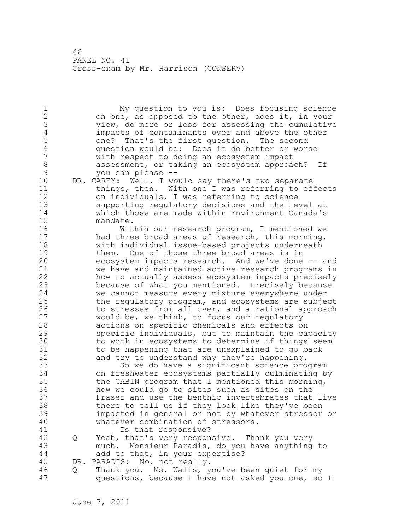1 My question to you is: Does focusing science 2 on one, as opposed to the other, does it, in your 3 view, do more or less for assessing the cumulative 4 impacts of contaminants over and above the other<br>5 one? That's the first question. The second 5 one? That's the first question. The second<br>6 ouestion would be: Does it do better or wor 6 question would be: Does it do better or worse with respect to doing an ecosystem impact 8 assessment, or taking an ecosystem approach? If<br>9 vou can please --9 you can please --<br>10 DR. CAREY: Well, I wo DR. CAREY: Well, I would say there's two separate 11 things, then. With one I was referring to effects 12 on individuals, I was referring to science 13 supporting regulatory decisions and the level at 14 which those are made within Environment Canada's 15 mandate. 16 Within our research program, I mentioned we 17 had three broad areas of research, this morning, 18 with individual issue-based projects underneath 19 them. One of those three broad areas is in<br>20 ecosystem impacts research. And we've done ecosystem impacts research. And we've done -- and 21 we have and maintained active research programs in 22 how to actually assess ecosystem impacts precisely 23 because of what you mentioned. Precisely because 24 we cannot measure every mixture everywhere under 25 the regulatory program, and ecosystems are subject 26 to stresses from all over, and a rational approach<br>27 would be, we think, to focus our requlatory would be, we think, to focus our regulatory 28 actions on specific chemicals and effects on 29 specific individuals, but to maintain the capacity 30 to work in ecosystems to determine if things seem<br>31 to be happening that are unexplained to go back to be happening that are unexplained to go back 32 and try to understand why they're happening. 33 So we do have a significant science program 34 on freshwater ecosystems partially culminating by 35 the CABIN program that I mentioned this morning, 36 how we could go to sites such as sites on the 37 Fraser and use the benthic invertebrates that live 38 there to tell us if they look like they've been 39 impacted in general or not by whatever stressor or 40 whatever combination of stressors. 41 **Is that responsive?**<br>42 0 Yeah, that's very respon 42 Q Yeah, that's very responsive. Thank you very 43 much. Monsieur Paradis, do you have anything to 44 add to that, in your expertise? 45 DR. PARADIS: No, not really. 46 Q Thank you. Ms. Walls, you've been quiet for my 47 questions, because I have not asked you one, so I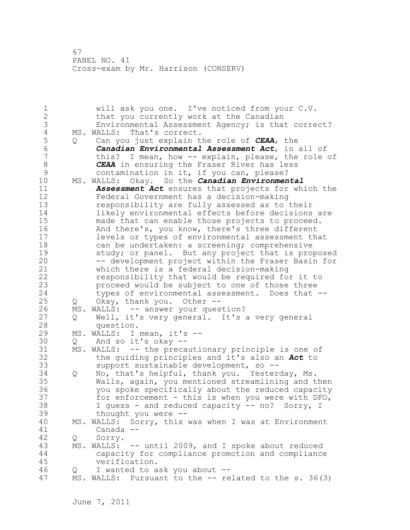67 PANEL NO. 41 Cross-exam by Mr. Harrison (CONSERV)

1 will ask you one. I've noticed from your C.V. 2 that you currently work at the Canadian 3 Environmental Assessment Agency; is that correct?<br>4 MS. WALLS: That's correct. 4 MS. WALLS: That's correct.<br>5 0 Can you just explain t 5 Q Can you just explain the role of *CEAA*, the 6 *Canadian Environmental Assessment Act*, in all of this? I mean, how  $--$  explain, please, the role of 8 *CEAA* in ensuring the Fraser River has less 9 contamination in it, if you can, please?<br>10 MS. WALLS: Okav. So the *Canadian Environmen* 10 MS. WALLS: Okay. So the *Canadian Environmental*  11 *Assessment Act* ensures that projects for which the 12 Federal Government has a decision-making 13 responsibility are fully assessed as to their 14 likely environmental effects before decisions are 15 made that can enable those projects to proceed. 16 And there's, you know, there's three different 17 levels or types of environmental assessment that 18 can be undertaken: a screening; comprehensive 19 study; or panel. But any project that is proposed<br>20 -- development project within the Fraser Basin for -- development project within the Fraser Basin for 21 which there is a federal decision-making 22 responsibility that would be required for it to 23 proceed would be subject to one of those three 24 types of environmental assessment. Does that -- 25 Q Okay, thank you. Other -- 26 MS. WALLS: -- answer your question?<br>27 0 Well, it's very general. It's Well, it's very general. It's a very general 28 question. 29 MS. WALLS: I mean, it's -- 30 Q And so it's okay -- MS. WALLS: -- the precautionary principle is one of 32 the guiding principles and it's also an *Act* to 33 support sustainable development, so -- 34 Q No, that's helpful, thank you. Yesterday, Ms. 35 Walls, again, you mentioned streamlining and then 36 you spoke specifically about the reduced capacity 37 for enforcement - this is when you were with DFO, 38 I guess - and reduced capacity -- no? Sorry, I 39 thought you were -- 40 MS. WALLS: Sorry, this was when I was at Environment 41 Canada --<br>42 O Sorry. Q Sorry. 43 MS. WALLS: -- until 2009, and I spoke about reduced 44 capacity for compliance promotion and compliance 45 verification. 46 Q I wanted to ask you about -- 47 MS. WALLS: Pursuant to the -- related to the s. 36(3)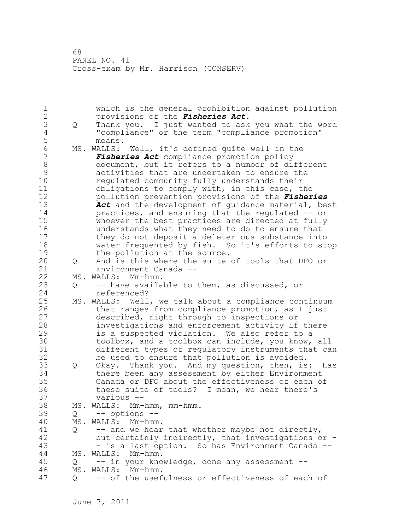68 PANEL NO. 41 Cross-exam by Mr. Harrison (CONSERV)

1 which is the general prohibition against pollution 2 provisions of the *Fisheries Act*. 3 Q Thank you. I just wanted to ask you what the word 4 "compliance" or the term "compliance promotion" 5 means.<br>6 MS.WALLS: 6 MS. WALLS: Well, it's defined quite well in the<br>7 **Fisheries Act** compliance promotion policy Fisheries Act compliance promotion policy 8 document, but it refers to a number of different<br>9 activities that are undertaken to ensure the 9 activities that are undertaken to ensure the regulated community fully understands their 11 obligations to comply with, in this case, the 12 pollution prevention provisions of the *Fisheries*  13 *Act* and the development of guidance material, best 14 practices, and ensuring that the regulated -- or 15 whoever the best practices are directed at fully 16 understands what they need to do to ensure that 17 they do not deposit a deleterious substance into 18 water frequented by fish. So it's efforts to stop 19 the pollution at the source.<br>20 0 And is this where the suite 20 Q And is this where the suite of tools that DFO or 21 Environment Canada -- 22 MS. WALLS: Mm-hmm. 23 Q -- have available to them, as discussed, or 24 referenced? 25 MS. WALLS: Well, we talk about a compliance continuum 26 that ranges from compliance promotion, as I just<br>27 described, right through to inspections or described, right through to inspections or 28 investigations and enforcement activity if there 29 is a suspected violation. We also refer to a 30 toolbox, and a toolbox can include, you know, all<br>31 different types of regulatory instruments that ca different types of regulatory instruments that can 32 be used to ensure that pollution is avoided. 33 Q Okay. Thank you. And my question, then, is: Has 34 there been any assessment by either Environment 35 Canada or DFO about the effectiveness of each of 36 these suite of tools? I mean, we hear there's 37 various -- 38 MS. WALLS: Mm-hmm, mm-hmm. 39 Q -- options -- 40 MS. WALLS: Mm-hmm. 41 Q -- and we hear that whether maybe not directly,<br>42 but certainly indirectly, that investigations o but certainly indirectly, that investigations or  $-$ 43 - is a last option. So has Environment Canada -- 44 MS. WALLS: Mm-hmm. 45 Q -- in your knowledge, done any assessment -- 46 MS. WALLS: Mm-hmm. 47 Q -- of the usefulness or effectiveness of each of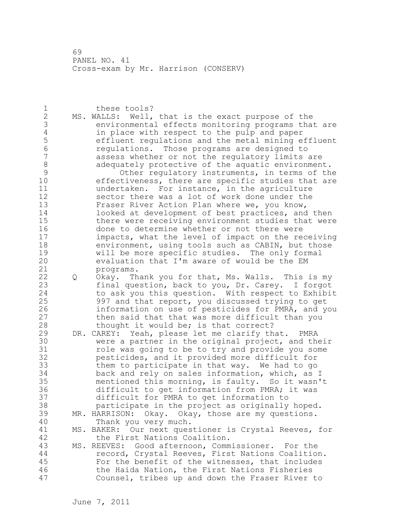69 PANEL NO. 41 Cross-exam by Mr. Harrison (CONSERV)

1 these tools? 2 MS. WALLS: Well, that is the exact purpose of the 3 environmental effects monitoring programs that are<br>4 in place with respect to the pulp and paper 4 in place with respect to the pulp and paper<br>5 effluent requlations and the metal mining e 5 effluent regulations and the metal mining effluent 6 regulations. Those programs are designed to assess whether or not the regulatory limits are 8 adequately protective of the aquatic environment. 9 Other regulatory instruments, in terms of the<br>10 effectiveness, there are specific studies that are effectiveness, there are specific studies that are 11 undertaken. For instance, in the agriculture 12 sector there was a lot of work done under the 13 Fraser River Action Plan where we, you know, 14 **looked at development of best practices, and then** 15 there were receiving environment studies that were 16 done to determine whether or not there were 17 impacts, what the level of impact on the receiving 18 environment, using tools such as CABIN, but those 19 will be more specific studies. The only formal<br>20 evaluation that I'm aware of would be the EM evaluation that I'm aware of would be the EM 21 programs. 22 Q Okay. Thank you for that, Ms. Walls. This is my 23 final question, back to you, Dr. Carey. I forgot 24 to ask you this question. With respect to Exhibit 25 997 and that report, you discussed trying to get 26 information on use of pesticides for PMRA, and you<br>27 then said that that was more difficult than you then said that that was more difficult than you 28 thought it would be; is that correct? 29 DR. CAREY: Yeah, please let me clarify that. PMRA 30 were a partner in the original project, and their role was going to be to try and provide you some 32 pesticides, and it provided more difficult for 33 them to participate in that way. We had to go 34 back and rely on sales information, which, as I 35 mentioned this morning, is faulty. So it wasn't 36 difficult to get information from PMRA; it was 37 difficult for PMRA to get information to 38 participate in the project as originally hoped. 39 MR. HARRISON: Okay. Okay, those are my questions. 40 Thank you very much. 41 MS. BAKER: Our next questioner is Crystal Reeves, for<br>42 the First Nations Coalition. the First Nations Coalition. 43 MS. REEVES: Good afternoon, Commissioner. For the 44 record, Crystal Reeves, First Nations Coalition. 45 For the benefit of the witnesses, that includes 46 the Haida Nation, the First Nations Fisheries 47 Counsel, tribes up and down the Fraser River to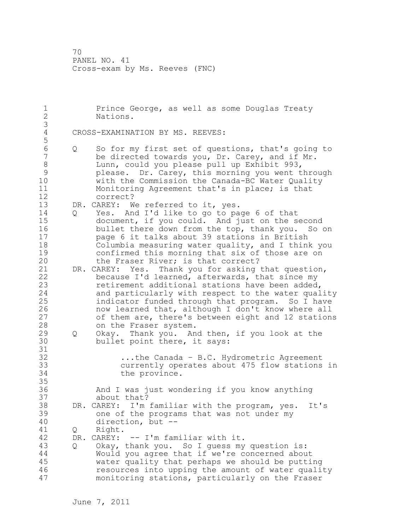1 Prince George, as well as some Douglas Treaty 2 Nations. 3 CROSS-EXAMINATION BY MS. REEVES: 5 6 Q So for my first set of questions, that's going to be directed towards you, Dr. Carey, and if Mr. 8 Lunn, could you please pull up Exhibit 993, 9 please. Dr. Carey, this morning you went through<br>10 with the Commission the Canada-BC Water Ouality with the Commission the Canada-BC Water Quality 11 Monitoring Agreement that's in place; is that 12 correct? 13 DR. CAREY: We referred to it, yes. 14 Q Yes. And I'd like to go to page 6 of that 15 document, if you could. And just on the second 16 bullet there down from the top, thank you. So on 17 page 6 it talks about 39 stations in British 18 Columbia measuring water quality, and I think you 19 confirmed this morning that six of those are on<br>20 the Fraser River; is that correct? the Fraser River; is that correct? 21 DR. CAREY: Yes. Thank you for asking that question, 22 because I'd learned, afterwards, that since my 23 retirement additional stations have been added, 24 and particularly with respect to the water quality 25 indicator funded through that program. So I have 26 now learned that, although I don't know where all<br>27 of them are, there's between eight and 12 station of them are, there's between eight and 12 stations 28 on the Fraser system. 29 Q Okay. Thank you. And then, if you look at the 30 bullet point there, it says: 31<br>32 ...the Canada - B.C. Hydrometric Agreement 33 currently operates about 475 flow stations in 34 the province. 35 36 And I was just wondering if you know anything 37 about that? 38 DR. CAREY: I'm familiar with the program, yes. It's 39 one of the programs that was not under my 40 direction, but -- 41 Q Right.<br>42 DR. CAREY: DR. CAREY: -- I'm familiar with it. 43 Q Okay, thank you. So I guess my question is: 44 Would you agree that if we're concerned about 45 water quality that perhaps we should be putting 46 resources into upping the amount of water quality 47 monitoring stations, particularly on the Fraser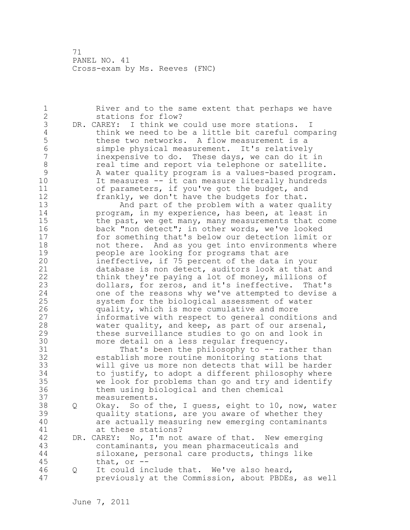1 River and to the same extent that perhaps we have 2 stations for flow? 3 DR. CAREY: I think we could use more stations. I<br>4 think we need to be a little bit careful comp 4 think we need to be a little bit careful comparing<br>5 these two networks. A flow measurement is a 5 these two networks. A flow measurement is a<br>6 simple physical measurement. It's relatively 6 simple physical measurement. It's relatively inexpensive to do. These days, we can do it in 8 **8** real time and report via telephone or satellite. 9 A water quality program is a values-based program.<br>10 11 Tt measures -- it can measure literally hundreds It measures -- it can measure literally hundreds 11 of parameters, if you've got the budget, and 12 frankly, we don't have the budgets for that. 13 And part of the problem with a water quality 14 program, in my experience, has been, at least in 15 the past, we get many, many measurements that come 16 back "non detect"; in other words, we've looked 17 for something that's below our detection limit or 18 not there. And as you get into environments where 19 **people are looking for programs that are**<br>20 **ineffective, if** 75 percent of the data i ineffective, if 75 percent of the data in your 21 database is non detect, auditors look at that and 22 think they're paying a lot of money, millions of 23 dollars, for zeros, and it's ineffective. That's 24 one of the reasons why we've attempted to devise a 25 system for the biological assessment of water 26 quality, which is more cumulative and more<br>27 informative with respect to general condit informative with respect to general conditions and 28 water quality, and keep, as part of our arsenal, 29 these surveillance studies to go on and look in 30 more detail on a less regular frequency.<br>31 That's been the philosophy to -- ra That's been the philosophy to -- rather than 32 establish more routine monitoring stations that 33 will give us more non detects that will be harder 34 to justify, to adopt a different philosophy where 35 we look for problems than go and try and identify 36 them using biological and then chemical 37 measurements. 38 Q Okay. So of the, I guess, eight to 10, now, water 39 quality stations, are you aware of whether they 40 are actually measuring new emerging contaminants 41 at these stations?<br>42 DR. CAREY: No, I'm not DR. CAREY: No, I'm not aware of that. New emerging 43 contaminants, you mean pharmaceuticals and 44 siloxane, personal care products, things like 45 that, or -- 46 Q It could include that. We've also heard, 47 previously at the Commission, about PBDEs, as well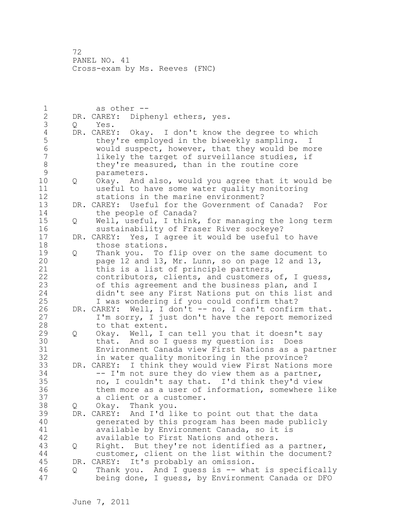1 as other --<br>2 DR. CAREY: Diph DR. CAREY: Diphenyl ethers, yes. 3 Q Yes. 4 DR. CAREY: Okay. I don't know the degree to which<br>5 they're employed in the biweekly sampling. I 5 they're employed in the biweekly sampling.<br>6 would suspect, however, that they would be 6 would suspect, however, that they would be more likely the target of surveillance studies, if 8 they're measured, than in the routine core<br>9 parameters. 9 parameters.<br>10 0 Okav. And 10 Q Okay. And also, would you agree that it would be 11 useful to have some water quality monitoring 12 stations in the marine environment? 13 DR. CAREY: Useful for the Government of Canada? For 14 the people of Canada? 15 Q Well, useful, I think, for managing the long term 16 sustainability of Fraser River sockeye? 17 DR. CAREY: Yes, I agree it would be useful to have 18 those stations. 19 Q Thank you. To flip over on the same document to<br>20 page 12 and 13, Mr. Lunn, so on page 12 and 13, page 12 and 13, Mr. Lunn, so on page 12 and 13, 21 this is a list of principle partners, 22 contributors, clients, and customers of, I guess, 23 of this agreement and the business plan, and I 24 didn't see any First Nations put on this list and 25 I was wondering if you could confirm that? 26 DR. CAREY: Well, I don't -- no, I can't confirm that.<br>27 I'm sorry, I just don't have the report memorized I'm sorry, I just don't have the report memorized 28 to that extent. 29 Q Okay. Well, I can tell you that it doesn't say 30 that. And so I guess my question is: Does<br>31 Environment Canada view First Nations as a Environment Canada view First Nations as a partner 32 in water quality monitoring in the province? 33 DR. CAREY: I think they would view First Nations more 34 -- I'm not sure they do view them as a partner, 35 no, I couldn't say that. I'd think they'd view 36 them more as a user of information, somewhere like 37 a client or a customer. 38 Q Okay. Thank you. 39 DR. CAREY: And I'd like to point out that the data 40 generated by this program has been made publicly 41 available by Environment Canada, so it is<br>42 available to First Nations and others. available to First Nations and others. 43 Q Right. But they're not identified as a partner, 44 customer, client on the list within the document? 45 DR. CAREY: It's probably an omission. 46 Q Thank you. And I guess is -- what is specifically 47 being done, I guess, by Environment Canada or DFO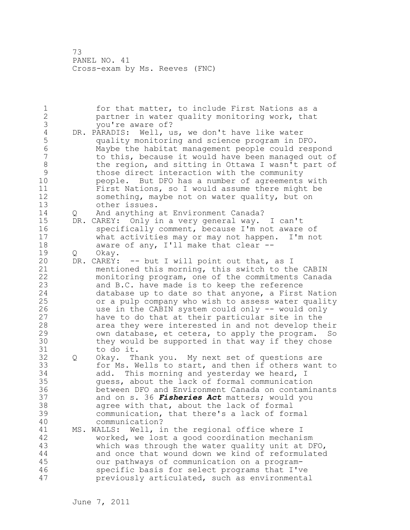1 for that matter, to include First Nations as a 2 partner in water quality monitoring work, that 3 you're aware of?<br>4 DR. PARADIS: Well, u 4 DR. PARADIS: Well, us, we don't have like water<br>5 quality monitoring and science program in D. 5 quality monitoring and science program in DFO. 6 Maybe the habitat management people could respond to this, because it would have been managed out of 8 the region, and sitting in Ottawa I wasn't part of 9 those direct interaction with the community<br>10 beople. But DFO has a number of agreements people. But DFO has a number of agreements with 11 First Nations, so I would assume there might be 12 something, maybe not on water quality, but on 13 other issues. 14 Q And anything at Environment Canada? 15 DR. CAREY: Only in a very general way. I can't 16 specifically comment, because I'm not aware of 17 what activities may or may not happen. I'm not 18 aware of any, I'll make that clear --19 Q Okay.<br>20 DR. CAREY: DR. CAREY: -- but I will point out that, as I 21 mentioned this morning, this switch to the CABIN 22 monitoring program, one of the commitments Canada 23 and B.C. have made is to keep the reference 24 database up to date so that anyone, a First Nation 25 or a pulp company who wish to assess water quality 26 use in the CABIN system could only -- would only<br>27 have to do that at their particular site in the have to do that at their particular site in the 28 area they were interested in and not develop their 29 own database, et cetera, to apply the program. 30 they would be supported in that way if they chose<br>31 to do it. to do it. 32 Q Okay. Thank you. My next set of questions are 33 for Ms. Wells to start, and then if others want to 34 add. This morning and yesterday we heard, I 35 guess, about the lack of formal communication 36 between DFO and Environment Canada on contaminants 37 and on s. 36 *Fisheries Act* matters; would you 38 agree with that, about the lack of formal 39 communication, that there's a lack of formal 40 communication? 41 MS. WALLS: Well, in the regional office where I<br>42 worked, we lost a good coordination mechani worked, we lost a good coordination mechanism 43 which was through the water quality unit at DFO, 44 and once that wound down we kind of reformulated 45 our pathways of communication on a program-46 specific basis for select programs that I've 47 previously articulated, such as environmental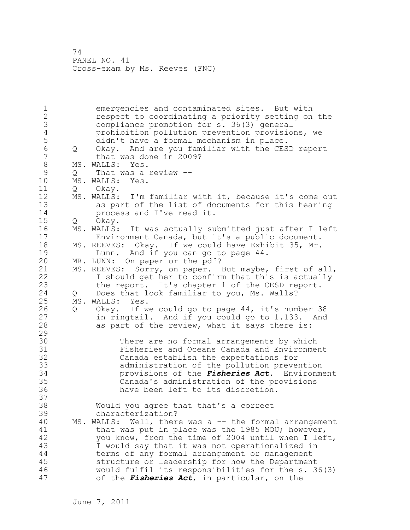1 emergencies and contaminated sites. But with 2 respect to coordinating a priority setting on the 3 compliance promotion for s. 36(3) general 4 prohibition pollution prevention provisions, we<br>5 didn't have a formal mechanism in place. 5 didn't have a formal mechanism in place.<br>6 0 Okav. And are you familiar with the CES 6 Q Okay. And are you familiar with the CESD report that was done in 2009? 8 MS. WALLS: Yes.<br>9 0 That was a 9 Q That was a review --<br>10 MS. WALLS: Yes. MS. WALLS: Yes. 11 O Okav. 12 MS. WALLS: I'm familiar with it, because it's come out 13 as part of the list of documents for this hearing 14 process and I've read it. 15 Q Okay. 16 MS. WALLS: It was actually submitted just after I left 17 Environment Canada, but it's a public document. 18 MS. REEVES: Okay. If we could have Exhibit 35, Mr. 19 Lunn. And if you can go to page 44.<br>20 MR. LUNN: On paper or the pdf? MR. LUNN: On paper or the pdf? 21 MS. REEVES: Sorry, on paper. But maybe, first of all, 22 I should get her to confirm that this is actually 23 the report. It's chapter 1 of the CESD report. 24 Q Does that look familiar to you, Ms. Walls? 25 MS. WALLS: Yes. 26 Q Okay. If we could go to page 44, it's number 38<br>27 in ringtail. And if you could go to 1.133. And in ringtail. And if you could go to 1.133. And 28 as part of the review, what it says there is: 29 30 There are no formal arrangements by which<br>31 Tisheries and Oceans Canada and Environme 31 Fisheries and Oceans Canada and Environment<br>32 Canada establish the expectations for Canada establish the expectations for 33 administration of the pollution prevention 34 provisions of the *Fisheries Act*. Environment 35 Canada's administration of the provisions 36 have been left to its discretion. 37 38 Would you agree that that's a correct 39 characterization? 40 MS. WALLS: Well, there was a -- the formal arrangement 41 that was put in place was the 1985 MOU; however,<br>42 vou know, from the time of 2004 until when I lef you know, from the time of 2004 until when I left, 43 I would say that it was not operationalized in 44 terms of any formal arrangement or management 45 structure or leadership for how the Department 46 would fulfil its responsibilities for the s. 36(3) 47 of the *Fisheries Act*, in particular, on the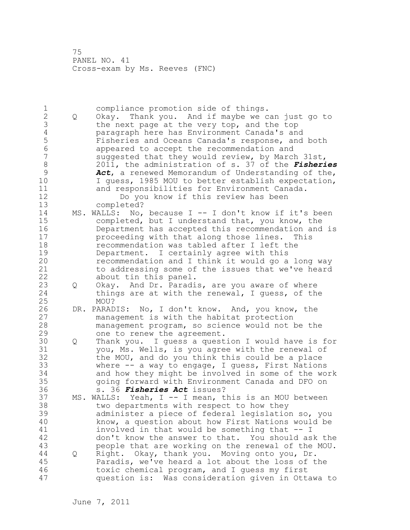| 1<br>$\mathbf{2}$<br>3<br>$\sqrt{4}$<br>5<br>6<br>7<br>$\,8\,$<br>$\mathcal{G}$<br>10<br>11<br>12 | Q | compliance promotion side of things.<br>Okay. Thank you. And if maybe we can just go to<br>the next page at the very top, and the top<br>paragraph here has Environment Canada's and<br>Fisheries and Oceans Canada's response, and both<br>appeared to accept the recommendation and<br>suggested that they would review, by March 31st,<br>2011, the administration of s. 37 of the Fisheries<br>Act, a renewed Memorandum of Understanding of the,<br>I guess, 1985 MOU to better establish expectation,<br>and responsibilities for Environment Canada.<br>Do you know if this review has been |
|---------------------------------------------------------------------------------------------------|---|----------------------------------------------------------------------------------------------------------------------------------------------------------------------------------------------------------------------------------------------------------------------------------------------------------------------------------------------------------------------------------------------------------------------------------------------------------------------------------------------------------------------------------------------------------------------------------------------------|
| 13<br>14<br>15<br>16<br>17<br>18<br>19<br>20<br>21<br>22                                          |   | completed?<br>MS. WALLS: No, because I -- I don't know if it's been<br>completed, but I understand that, you know, the<br>Department has accepted this recommendation and is<br>proceeding with that along those lines.<br>This<br>recommendation was tabled after I left the<br>Department. I certainly agree with this<br>recommendation and I think it would go a long way<br>to addressing some of the issues that we've heard<br>about tin this panel.                                                                                                                                        |
| 23<br>24<br>25                                                                                    | Q | Okay. And Dr. Paradis, are you aware of where<br>things are at with the renewal, I guess, of the<br>MOU?                                                                                                                                                                                                                                                                                                                                                                                                                                                                                           |
| 26<br>27<br>28<br>29                                                                              |   | DR. PARADIS: No, I don't know. And, you know, the<br>management is with the habitat protection<br>management program, so science would not be the<br>one to renew the agreement.                                                                                                                                                                                                                                                                                                                                                                                                                   |
| 30<br>31<br>32<br>33<br>34<br>35<br>36                                                            | Q | Thank you. I guess a question I would have is for<br>you, Ms. Wells, is you agree with the renewal of<br>the MOU, and do you think this could be a place<br>where $--$ a way to engage, I guess, First Nations<br>and how they might be involved in some of the work<br>going forward with Environment Canada and DFO on<br>s. 36 <i>Fisheries Act</i> issues?                                                                                                                                                                                                                                     |
| 37<br>38<br>39<br>40<br>41<br>42<br>43                                                            |   | MS. WALLS: Yeah, I -- I mean, this is an MOU between<br>two departments with respect to how they<br>administer a piece of federal legislation so, you<br>know, a question about how First Nations would be<br>involved in that would be something that -- I<br>don't know the answer to that. You should ask the<br>people that are working on the renewal of the MOU.                                                                                                                                                                                                                             |
| 44<br>45<br>46<br>47                                                                              | Q | Right. Okay, thank you. Moving onto you, Dr.<br>Paradis, we've heard a lot about the loss of the<br>toxic chemical program, and I guess my first<br>question is: Was consideration given in Ottawa to                                                                                                                                                                                                                                                                                                                                                                                              |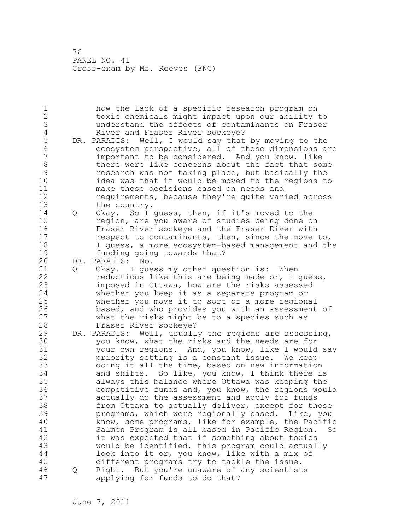1 how the lack of a specific research program on 2 toxic chemicals might impact upon our ability to 3 understand the effects of contaminants on Fraser 4 River and Fraser River sockeye?<br>5 DR. PARADIS: Well, I would say that 5 DR. PARADIS: Well, I would say that by moving to the<br>6 ecosystem perspective, all of those dimensions a: 6 ecosystem perspective, all of those dimensions are important to be considered. And you know, like 8 **bushelf** there were like concerns about the fact that some 9 research was not taking place, but basically the<br>10 idea was that it would be moved to the regions to idea was that it would be moved to the regions to 11 make those decisions based on needs and 12 requirements, because they're quite varied across 13 the country. 14 Q Okay. So I guess, then, if it's moved to the 15 region, are you aware of studies being done on 16 Fraser River sockeye and the Fraser River with 17 respect to contaminants, then, since the move to, 18 I guess, a more ecosystem-based management and the 19 funding going towards that?<br>20 DR. PARADIS: No. DR. PARADIS: No. 21 Q Okay. I guess my other question is: When 22 reductions like this are being made or, I guess, 23 imposed in Ottawa, how are the risks assessed 24 whether you keep it as a separate program or 25 whether you move it to sort of a more regional 26 based, and who provides you with an assessment of 27 what the risks might be to a species such as what the risks might be to a species such as 28 Fraser River sockeye? 29 DR. PARADIS: Well, usually the regions are assessing, 30 you know, what the risks and the needs are for<br>31 vour own regions. And, you know, like I would your own regions. And, you know, like I would say 32 priority setting is a constant issue. We keep 33 doing it all the time, based on new information 34 and shifts. So like, you know, I think there is 35 always this balance where Ottawa was keeping the 36 competitive funds and, you know, the regions would 37 actually do the assessment and apply for funds 38 from Ottawa to actually deliver, except for those 39 programs, which were regionally based. Like, you 40 know, some programs, like for example, the Pacific 41 Salmon Program is all based in Pacific Region. So<br>42 it was expected that if something about toxics it was expected that if something about toxics 43 would be identified, this program could actually 44 look into it or, you know, like with a mix of 45 different programs try to tackle the issue. 46 Q Right. But you're unaware of any scientists 47 applying for funds to do that?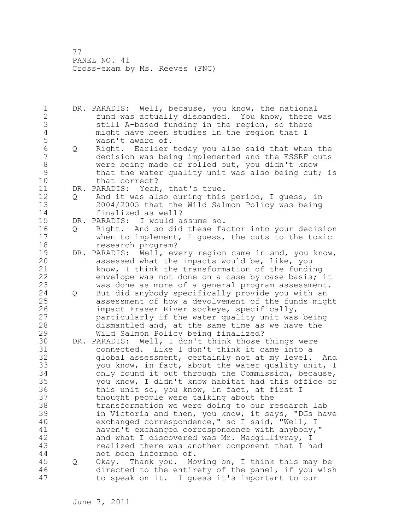1 DR. PARADIS: Well, because, you know, the national 2 fund was actually disbanded. You know, there was 3 3 still A-based funding in the region, so there<br>4 3 might have been studies in the region that I 4 might have been studies in the region that I<br>5 wasn't aware of. 5 wasn't aware of.<br>6 0 Right. Earlier 6 Q Right. Earlier today you also said that when the decision was being implemented and the ESSRF cuts 8 were being made or rolled out, you didn't know<br>9 that the water quality unit was also being cut 9 that the water quality unit was also being cut; is<br>10 that correct? that correct? 11 DR. PARADIS: Yeah, that's true. 12 Q And it was also during this period, I guess, in 13 2004/2005 that the Wild Salmon Policy was being 14 finalized as well? 15 DR. PARADIS: I would assume so. 16 Q Right. And so did these factor into your decision 17 when to implement, I guess, the cuts to the toxic 18 research program? 19 DR. PARADIS: Well, every region came in and, you know,<br>20 assessed what the impacts would be, like, you assessed what the impacts would be, like, you 21 know, I think the transformation of the funding 22 envelope was not done on a case by case basis; it 23 was done as more of a general program assessment. 24 Q But did anybody specifically provide you with an 25 assessment of how a devolvement of the funds might 26 impact Fraser River sockeye, specifically,<br>27 barticularly if the water quality unit was particularly if the water quality unit was being 28 dismantled and, at the same time as we have the 29 Wild Salmon Policy being finalized? 30 DR. PARADIS: Well, I don't think those things were 31 connected. Like I don't think it came into a<br>32 olobal assessment, certainly not at my level. global assessment, certainly not at my level. And 33 you know, in fact, about the water quality unit, I 34 only found it out through the Commission, because, 35 you know, I didn't know habitat had this office or 36 this unit so, you know, in fact, at first I 37 thought people were talking about the 38 transformation we were doing to our research lab 39 in Victoria and then, you know, it says, "DGs have 40 exchanged correspondence," so I said, "Well, I 41 haven't exchanged correspondence with anybody,"<br>42 and what I discovered was Mr. Macqillivray, I and what I discovered was Mr. Macgillivray, I 43 realized there was another component that I had 44 not been informed of. 45 Q Okay. Thank you. Moving on, I think this may be 46 directed to the entirety of the panel, if you wish 47 to speak on it. I guess it's important to our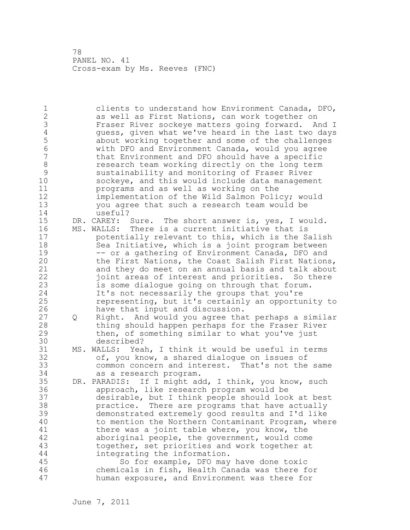| $\mathbf 1$    |   | clients to understand how Environment Canada, DFO,   |
|----------------|---|------------------------------------------------------|
| $\overline{2}$ |   | as well as First Nations, can work together on       |
| 3              |   | Fraser River sockeye matters going forward. And I    |
| $\overline{4}$ |   | guess, given what we've heard in the last two days   |
| 5              |   | about working together and some of the challenges    |
| $\sqrt{6}$     |   | with DFO and Environment Canada, would you agree     |
| $\overline{7}$ |   | that Environment and DFO should have a specific      |
| $\,8\,$        |   | research team working directly on the long term      |
| $\mathcal{G}$  |   | sustainability and monitoring of Fraser River        |
| 10             |   | sockeye, and this would include data management      |
| 11             |   | programs and as well as working on the               |
| 12             |   | implementation of the Wild Salmon Policy; would      |
| 13             |   | you agree that such a research team would be         |
| 14             |   | useful?                                              |
| 15             |   | DR. CAREY: Sure. The short answer is, yes, I would.  |
| 16             |   | MS. WALLS: There is a current initiative that is     |
| 17             |   | potentially relevant to this, which is the Salish    |
| 18             |   | Sea Initiative, which is a joint program between     |
| 19             |   | -- or a gathering of Environment Canada, DFO and     |
| 20             |   | the First Nations, the Coast Salish First Nations,   |
| 21             |   | and they do meet on an annual basis and talk about   |
| 22             |   |                                                      |
|                |   | joint areas of interest and priorities. So there     |
| 23             |   | is some dialogue going on through that forum.        |
| 24             |   | It's not necessarily the groups that you're          |
| 25             |   | representing, but it's certainly an opportunity to   |
| 26             |   | have that input and discussion.                      |
| 27             | Q | Right. And would you agree that perhaps a similar    |
| 28             |   | thing should happen perhaps for the Fraser River     |
| 29             |   | then, of something similar to what you've just       |
| 30             |   | described?                                           |
| 31             |   | MS. WALLS: Yeah, I think it would be useful in terms |
| 32             |   | of, you know, a shared dialogue on issues of         |
| 33             |   | common concern and interest. That's not the same     |
| 34             |   | as a research program.                               |
| 35             |   | DR. PARADIS: If I might add, I think, you know, such |
| 36             |   | approach, like research program would be             |
| 37             |   | desirable, but I think people should look at best    |
| 38             |   | practice. There are programs that have actually      |
| 39             |   | demonstrated extremely good results and I'd like     |
| 40             |   | to mention the Northern Contaminant Program, where   |
| 41             |   | there was a joint table where, you know, the         |
| 42             |   | aboriginal people, the government, would come        |
| 43             |   | together, set priorities and work together at        |
| 44             |   | integrating the information.                         |
| 45             |   | So for example, DFO may have done toxic              |
| 46             |   | chemicals in fish, Health Canada was there for       |
| 47             |   | human exposure, and Environment was there for        |
|                |   |                                                      |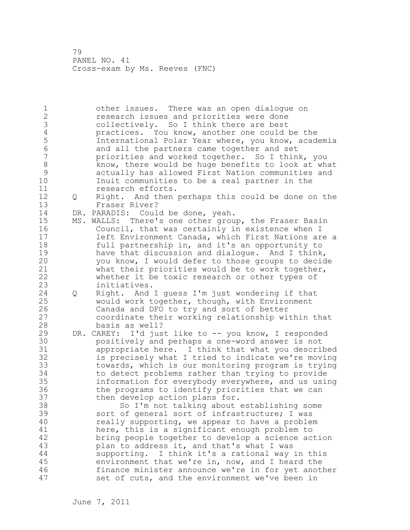1 other issues. There was an open dialogue on 2 research issues and priorities were done 3 collectively. So I think there are best<br>4 practices. You know, another one could 4 practices. You know, another one could be the<br>5 1nternational Polar Year where, you know, acad 5 111 International Polar Year where, you know, academia<br>6 3 and all the partners came together and set 6 and all the partners came together and set priorities and worked together. So I think, you 8 know, there would be huge benefits to look at what<br>9 3 actually has allowed First Nation communities and 9 actually has allowed First Nation communities and Inuit communities to be a real partner in the 11 research efforts. 12 Q Right. And then perhaps this could be done on the 13 Fraser River? 14 DR. PARADIS: Could be done, yeah. 15 MS. WALLS: There's one other group, the Fraser Basin 16 Council, that was certainly in existence when I 17 left Environment Canada, which First Nations are a 18 full partnership in, and it's an opportunity to 19 have that discussion and dialogue. And I think,<br>20 you know, I would defer to those groups to decid you know, I would defer to those groups to decide 21 what their priorities would be to work together, 22 whether it be toxic research or other types of 23 initiatives. 24 Q Right. And I guess I'm just wondering if that 25 would work together, though, with Environment 26 Canada and DFO to try and sort of better<br>27 coordinate their working relationship wi coordinate their working relationship within that 28 basis as well? 29 DR. CAREY: I'd just like to -- you know, I responded 30 positively and perhaps a one-word answer is not appropriate here. I think that what you described 32 is precisely what I tried to indicate we're moving 33 towards, which is our monitoring program is trying 34 to detect problems rather than trying to provide 35 information for everybody everywhere, and us using 36 the programs to identify priorities that we can 37 then develop action plans for. 38 So I'm not talking about establishing some 39 sort of general sort of infrastructure; I was 40 really supporting, we appear to have a problem 41 here, this is a significant enough problem to<br>42 hering people together to develop a science ac bring people together to develop a science action 43 plan to address it, and that's what I was 44 supporting. I think it's a rational way in this 45 environment that we're in, now, and I heard the 46 finance minister announce we're in for yet another 47 set of cuts, and the environment we've been in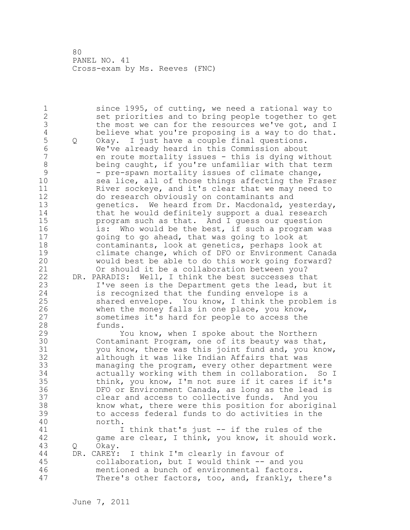1 since 1995, of cutting, we need a rational way to 2 set priorities and to bring people together to get 3 the most we can for the resources we've got, and I<br>4 believe what you're proposing is a way to do that. 4 believe what you're proposing is a way to do that.<br>5 0 Okay. I just have a couple final questions. 5 Q Okay. I just have a couple final questions.<br>6 We've already heard in this Commission about 6 We've already heard in this Commission about en route mortality issues - this is dying without 8 being caught, if you're unfamiliar with that term 9 - pre-spawn mortality issues of climate change,<br>10 sea lice, all of those things affecting the Fra sea lice, all of those things affecting the Fraser 11 River sockeye, and it's clear that we may need to 12 do research obviously on contaminants and 13 genetics. We heard from Dr. Macdonald, yesterday, 14 that he would definitely support a dual research 15 program such as that. And I guess our question 16 is: Who would be the best, if such a program was 17 going to go ahead, that was going to look at 18 contaminants, look at genetics, perhaps look at 19 climate change, which of DFO or Environment Canada<br>20 would best be able to do this work going forward? would best be able to do this work going forward? 21 Or should it be a collaboration between you? 22 DR. PARADIS: Well, I think the best successes that 23 I've seen is the Department gets the lead, but it 24 is recognized that the funding envelope is a 25 shared envelope. You know, I think the problem is 26 when the money falls in one place, you know,<br>27 sometimes it's hard for people to access the sometimes it's hard for people to access the 28 funds. 29 You know, when I spoke about the Northern 30 Contaminant Program, one of its beauty was that,<br>31 vou know, there was this joint fund and, you kno you know, there was this joint fund and, you know, 32 although it was like Indian Affairs that was 33 managing the program, every other department were 34 actually working with them in collaboration. So I 35 think, you know, I'm not sure if it cares if it's 36 DFO or Environment Canada, as long as the lead is 37 clear and access to collective funds. And you 38 know what, there were this position for aboriginal 39 to access federal funds to do activities in the 40 north. 41 I think that's just -- if the rules of the<br>42 game are clear, I think, you know, it should wo game are clear, I think, you know, it should work. 43 Q Okay. 44 DR. CAREY: I think I'm clearly in favour of 45 collaboration, but I would think -- and you 46 mentioned a bunch of environmental factors. 47 There's other factors, too, and, frankly, there's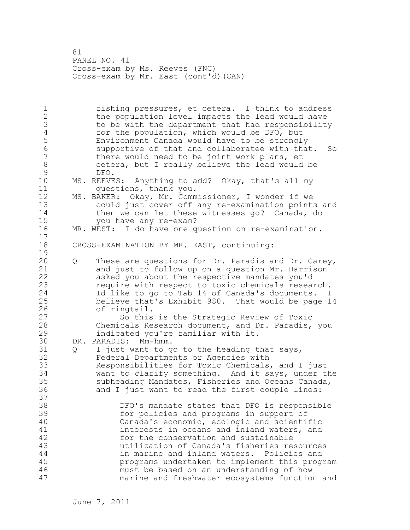81 PANEL NO. 41 Cross-exam by Ms. Reeves (FNC) Cross-exam by Mr. East (cont'd)(CAN)

1 fishing pressures, et cetera. I think to address 2 the population level impacts the lead would have 3 to be with the department that had responsibility<br>4 for the population, which would be DFO, but 4 for the population, which would be DFO, but<br>5 Environment Canada would have to be strongl 5 Environment Canada would have to be strongly 6 supportive of that and collaboratee with that. So<br>7 there would need to be joint work plans, et there would need to be joint work plans, et 8 cetera, but I really believe the lead would be 9 9 DFO.<br>10 MS.REEVE MS. REEVES: Anything to add? Okay, that's all my 11 questions, thank you. 12 MS. BAKER: Okay, Mr. Commissioner, I wonder if we 13 could just cover off any re-examination points and 14 then we can let these witnesses go? Canada, do 15 you have any re-exam? 16 MR. WEST: I do have one question on re-examination. 17 18 CROSS-EXAMINATION BY MR. EAST, continuing:  $\frac{19}{20}$ 20 Q These are questions for Dr. Paradis and Dr. Carey, 21 and just to follow up on a question Mr. Harrison 22 asked you about the respective mandates you'd 23 require with respect to toxic chemicals research. 24 Id like to go to Tab 14 of Canada's documents. I 25 believe that's Exhibit 980. That would be page 14 26 of ringtail.<br>27 So this So this is the Strategic Review of Toxic 28 Chemicals Research document, and Dr. Paradis, you 29 indicated you're familiar with it. 30 DR. PARADIS: Mm-hmm. Q I just want to go to the heading that says, 32 Federal Departments or Agencies with 33 Responsibilities for Toxic Chemicals, and I just 34 want to clarify something. And it says, under the 35 subheading Mandates, Fisheries and Oceans Canada, 36 and I just want to read the first couple lines: 37 38 DFO's mandate states that DFO is responsible 39 for policies and programs in support of 40 Canada's economic, ecologic and scientific 41 interests in oceans and inland waters, and<br>42 for the conservation and sustainable for the conservation and sustainable 43 utilization of Canada's fisheries resources 44 in marine and inland waters. Policies and 45 programs undertaken to implement this program 46 must be based on an understanding of how 47 marine and freshwater ecosystems function and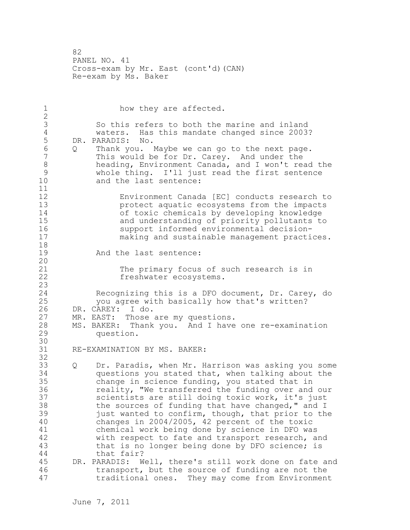82 PANEL NO. 41 Cross-exam by Mr. East (cont'd)(CAN) Re-exam by Ms. Baker

1 how they are affected. 2 3 So this refers to both the marine and inland<br>4 Waters. Has this mandate changed since 2003 4 waters. Has this mandate changed since 2003?<br>5 DR. PARADIS: No. 5 DR. PARADIS: No.<br>6 0 Thank vou. 6 Q Thank you. Maybe we can go to the next page. This would be for Dr. Carey. And under the 8 heading, Environment Canada, and I won't read the<br>9 whole thing. I'll just read the first sentence 9 whole thing. I'll just read the first sentence<br>10 and the last sentence: and the last sentence: 11 12 Environment Canada [EC] conducts research to protect aquatic ecosystems from the impacts 14 of toxic chemicals by developing knowledge<br>15 and understanding of priority pollutants to 15 and understanding of priority pollutants to<br>16 support informed environmental decision-16 5upport informed environmental decision-<br>17 making and sustainable management practi making and sustainable management practices. 18 19 And the last sentence: 20 21 The primary focus of such research is in 22 freshwater ecosystems. 23 Recognizing this is a DFO document, Dr. Carey, do 25 you agree with basically how that's written? 26 DR. CAREY: I do.<br>27 MR. EAST: Those 27 MR. EAST: Those are my questions.<br>28 MS. BAKER: Thank you. And I have MS. BAKER: Thank you. And I have one re-examination 29 question. 30<br>31 RE-EXAMINATION BY MS. BAKER: 32 33 Q Dr. Paradis, when Mr. Harrison was asking you some 34 questions you stated that, when talking about the 35 change in science funding, you stated that in 36 reality, "We transferred the funding over and our 37 scientists are still doing toxic work, it's just 38 the sources of funding that have changed," and I 39 just wanted to confirm, though, that prior to the 40 changes in 2004/2005, 42 percent of the toxic 41 chemical work being done by science in DFO was<br>42 with respect to fate and transport research, a with respect to fate and transport research, and 43 that is no longer being done by DFO science; is 44 that fair? 45 DR. PARADIS: Well, there's still work done on fate and 46 transport, but the source of funding are not the 47 traditional ones. They may come from Environment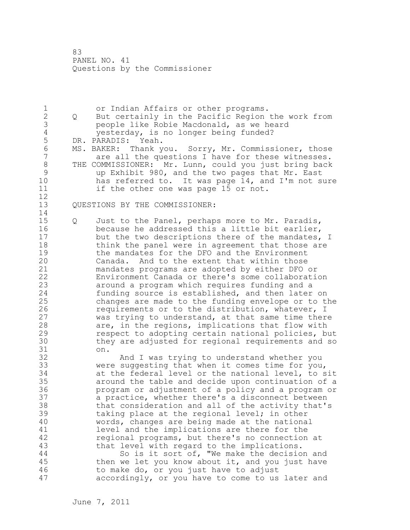83 PANEL NO. 41 Questions by the Commissioner

1 or Indian Affairs or other programs.<br>2 0 But certainly in the Pacific Region 2 Q But certainly in the Pacific Region the work from 3 people like Robie Macdonald, as we heard 4 yesterday, is no longer being funded?<br>5 DR. PARADIS: Yeah. 5 DR. PARADIS: Yeah.<br>6 MS. BAKER: Thank you. 6 MS. BAKER: Thank you. Sorry, Mr. Commissioner, those<br>7 are all the questions I have for these witnesses. are all the questions I have for these witnesses. 8 THE COMMISSIONER: Mr. Lunn, could you just bring back<br>9 and Exhibit 980, and the two pages that Mr. East 9 by Exhibit 980, and the two pages that Mr. East<br>10 has referred to. It was page 14, and I'm not s has referred to. It was page 14, and I'm not sure 11 if the other one was page 15 or not. 12 13 QUESTIONS BY THE COMMISSIONER: 14 15 Q Just to the Panel, perhaps more to Mr. Paradis, 16 because he addressed this a little bit earlier, 17 but the two descriptions there of the mandates, I 18 think the panel were in agreement that those are 19 the mandates for the DFO and the Environment<br>20 Canada. And to the extent that within those Canada. And to the extent that within those 21 mandates programs are adopted by either DFO or 22 Environment Canada or there's some collaboration 23 around a program which requires funding and a 24 funding source is established, and then later on 25 changes are made to the funding envelope or to the 26 requirements or to the distribution, whatever, I<br>27 was trying to understand, at that same time ther was trying to understand, at that same time there 28 are, in the regions, implications that flow with 29 respect to adopting certain national policies, but 30 they are adjusted for regional requirements and so 31 on. And I was trying to understand whether you 33 were suggesting that when it comes time for you, 34 at the federal level or the national level, to sit 35 around the table and decide upon continuation of a 36 program or adjustment of a policy and a program or 37 a practice, whether there's a disconnect between 38 that consideration and all of the activity that's 39 taking place at the regional level; in other 40 words, changes are being made at the national 41 level and the implications are there for the<br>42 regional programs, but there's no connection regional programs, but there's no connection at 43 that level with regard to the implications. 44 So is it sort of, "We make the decision and 45 then we let you know about it, and you just have 46 to make do, or you just have to adjust 47 accordingly, or you have to come to us later and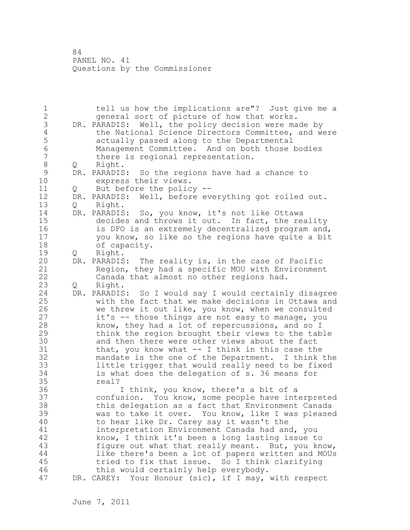84 PANEL NO. 41 Questions by the Commissioner

1 tell us how the implications are"? Just give me a 2 general sort of picture of how that works. 3 DR. PARADIS: Well, the policy decision were made by<br>4 the National Science Directors Committee, and we 4 the National Science Directors Committee, and were 5 **120 actually passed along to the Departmental**<br>6 **120 Management Committee.** And on both those 6 Management Committee. And on both those bodies there is regional representation. 8 Q Right.<br>9 DR. PARADIS 9 DR. PARADIS: So the regions have had a chance to express their views. express their views. 11 Q But before the policy -- 12 DR. PARADIS: Well, before everything got rolled out. 13 Q Right. 14 DR. PARADIS: So, you know, it's not like Ottawa 15 decides and throws it out. In fact, the reality 16 is DFO is an extremely decentralized program and, 17 you know, so like so the regions have quite a bit 18 of capacity. 19 Q Right.<br>20 DR. PARADIS DR. PARADIS: The reality is, in the case of Pacific 21 Region, they had a specific MOU with Environment 22 Canada that almost no other regions had. 23 Q Right. 24 DR. PARADIS: So I would say I would certainly disagree 25 with the fact that we make decisions in Ottawa and 26 we threw it out like, you know, when we consulted<br>27 it's -- those things are not easy to manage, you it's -- those things are not easy to manage, you 28 know, they had a lot of repercussions, and so I 29 think the region brought their views to the table 30 and then there were other views about the fact<br>31 that, you know what -- I think in this case the 31 that, you know what -- I think in this case the<br>32 mandate is the one of the Department. I think mandate is the one of the Department. I think the 33 little trigger that would really need to be fixed 34 is what does the delegation of s. 36 means for 35 real? 36 I think, you know, there's a bit of a 37 confusion. You know, some people have interpreted 38 this delegation as a fact that Environment Canada 39 was to take it over. You know, like I was pleased 40 to hear like Dr. Carey say it wasn't the 41 interpretation Environment Canada had and, you<br>42 know, I think it's been a long lasting issue t know, I think it's been a long lasting issue to 43 figure out what that really meant. But, you know, 44 like there's been a lot of papers written and MOUs 45 tried to fix that issue. So I think clarifying 46 this would certainly help everybody. 47 DR. CAREY: Your Honour (sic), if I may, with respect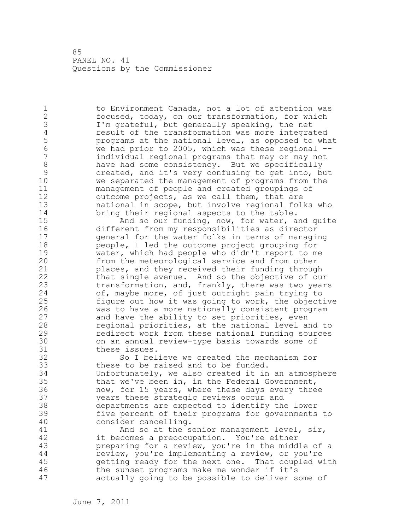85 PANEL NO. 41 Questions by the Commissioner

1 to Environment Canada, not a lot of attention was 2 focused, today, on our transformation, for which 3 I'm grateful, but generally speaking, the net<br>4 eesult of the transformation was more integra 4 result of the transformation was more integrated<br>5 programs at the national level, as opposed to what 5 programs at the national level, as opposed to what<br>6 We had prior to 2005, which was these regional --6 we had prior to 2005, which was these regional - individual regional programs that may or may not 8 have had some consistency. But we specifically<br>9 created, and it's very confusing to get into, b 9 created, and it's very confusing to get into, but<br>10 we separated the management of programs from the we separated the management of programs from the 11 management of people and created groupings of 12 outcome projects, as we call them, that are 13 national in scope, but involve regional folks who 14 bring their regional aspects to the table. 15 And so our funding, now, for water, and quite 16 different from my responsibilities as director 17 general for the water folks in terms of managing 18 people, I led the outcome project grouping for 19 water, which had people who didn't report to me<br>20 from the meteorological service and from other from the meteorological service and from other 21 places, and they received their funding through 22 that single avenue. And so the objective of our 23 transformation, and, frankly, there was two years 24 of, maybe more, of just outright pain trying to 25 figure out how it was going to work, the objective 26 was to have a more nationally consistent program<br>27 and have the ability to set priorities, even and have the ability to set priorities, even 28 regional priorities, at the national level and to 29 redirect work from these national funding sources 30 on an annual review-type basis towards some of 31 these issues.<br>32 So I bel So I believe we created the mechanism for 33 these to be raised and to be funded. 34 Unfortunately, we also created it in an atmosphere 35 that we've been in, in the Federal Government, 36 now, for 15 years, where these days every three 37 years these strategic reviews occur and 38 departments are expected to identify the lower 39 five percent of their programs for governments to 40 consider cancelling. 41 And so at the senior management level, sir,<br>42 it becomes a preoccupation. You're either it becomes a preoccupation. You're either 43 preparing for a review, you're in the middle of a 44 review, you're implementing a review, or you're 45 getting ready for the next one. That coupled with 46 the sunset programs make me wonder if it's 47 actually going to be possible to deliver some of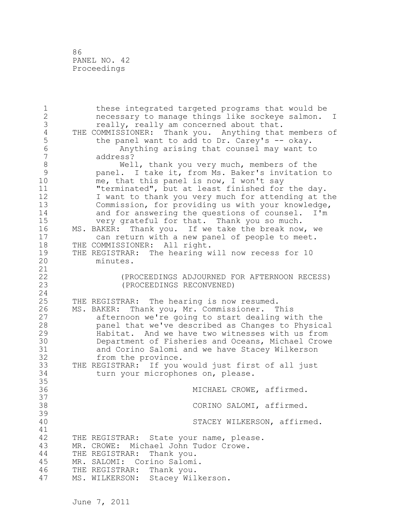86 PANEL NO. 42 Proceedings

1 these integrated targeted programs that would be 2 necessary to manage things like sockeye salmon. I 3 really, really am concerned about that.<br>4 THE COMMISSIONER: Thank you. Anything that 4 THE COMMISSIONER: Thank you. Anything that members of<br>5 the panel want to add to Dr. Carey's -- okay. 5 the panel want to add to Dr. Carey's -- okay.<br>6 Anything arising that counsel may want t 6 Anything arising that counsel may want to 7 address? 8 Well, thank you very much, members of the<br>9 panel. I take it, from Ms. Baker's invitation 9 panel. I take it, from Ms. Baker's invitation to<br>10 me, that this panel is now, I won't sav me, that this panel is now, I won't say 11 "terminated", but at least finished for the day. 12 I want to thank you very much for attending at the 13 Commission, for providing us with your knowledge, 14 and for answering the questions of counsel. I'm 15 very grateful for that. Thank you so much. 16 MS. BAKER: Thank you. If we take the break now, we 17 can return with a new panel of people to meet. 18 THE COMMISSIONER: All right. 19 THE REGISTRAR: The hearing will now recess for 10<br>20 minutes. minutes. 21 22 (PROCEEDINGS ADJOURNED FOR AFTERNOON RECESS) 23 (PROCEEDINGS RECONVENED) 24 25 THE REGISTRAR: The hearing is now resumed. 26 MS. BAKER: Thank you, Mr. Commissioner. This<br>27 afternoon we're going to start dealing wi afternoon we're going to start dealing with the 28 panel that we've described as Changes to Physical 29 Habitat. And we have two witnesses with us from 30 Department of Fisheries and Oceans, Michael Crowe and Corino Salomi and we have Stacey Wilkerson 32 from the province. 33 THE REGISTRAR: If you would just first of all just 34 turn your microphones on, please. 35 36 MICHAEL CROWE, affirmed. 37 38 CORINO SALOMI, affirmed. 39 40 STACEY WILKERSON, affirmed. 41<br>42 THE REGISTRAR: State your name, please. 43 MR. CROWE: Michael John Tudor Crowe. 44 THE REGISTRAR: Thank you. 45 MR. SALOMI: Corino Salomi. 46 THE REGISTRAR: Thank you. 47 MS. WILKERSON: Stacey Wilkerson.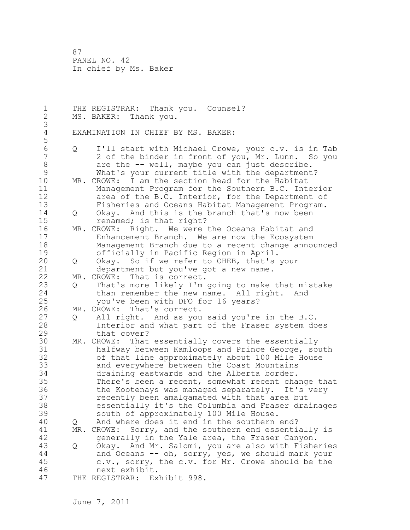1 THE REGISTRAR: Thank you. Counsel? 2 MS. BAKER: Thank you. 3 EXAMINATION IN CHIEF BY MS. BAKER: 5 6 Q I'll start with Michael Crowe, your c.v. is in Tab 2 of the binder in front of you, Mr. Lunn. So you 8 are the -- well, maybe you can just describe.<br>9 What's your current title with the department 9 What's your current title with the department?<br>10 MR. CROWE: I am the section head for the Habitat MR. CROWE: I am the section head for the Habitat 11 Management Program for the Southern B.C. Interior 12 area of the B.C. Interior, for the Department of 13 Fisheries and Oceans Habitat Management Program. 14 Q Okay. And this is the branch that's now been 15 renamed; is that right? 16 MR. CROWE: Right. We were the Oceans Habitat and 17 Enhancement Branch. We are now the Ecosystem 18 Management Branch due to a recent change announced 19 officially in Pacific Region in April.<br>20 0 Okay. So if we refer to OHEB, that's 20 Q Okay. So if we refer to OHEB, that's your 21 department but you've got a new name. 22 MR. CROWE: That is correct. 23 Q That's more likely I'm going to make that mistake 24 than remember the new name. All right. And 25 you've been with DFO for 16 years? 26 MR. CROWE: That's correct.<br>27 0 All right. And as you 27 Q All right. And as you said you're in the B.C.<br>28 Thierior and what part of the Fraser system do Interior and what part of the Fraser system does 29 that cover? 30 MR. CROWE: That essentially covers the essentially 31 halfway between Kamloops and Prince George, south<br>32 of that line approximately about 100 Mile House of that line approximately about 100 Mile House 33 and everywhere between the Coast Mountains 34 draining eastwards and the Alberta border. 35 There's been a recent, somewhat recent change that 36 the Kootenays was managed separately. It's very 37 recently been amalgamated with that area but 38 essentially it's the Columbia and Fraser drainages 39 south of approximately 100 Mile House. 40 Q And where does it end in the southern end? 41 MR. CROWE: Sorry, and the southern end essentially is<br>42 orenerally in the Yale area, the Fraser Canvon. generally in the Yale area, the Fraser Canyon. 43 Q Okay. And Mr. Salomi, you are also with Fisheries 44 and Oceans -- oh, sorry, yes, we should mark your 45 c.v., sorry, the c.v. for Mr. Crowe should be the 46 next exhibit. 47 THE REGISTRAR: Exhibit 998.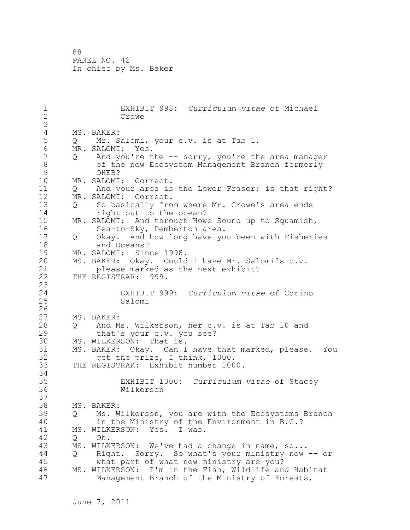1 EXHIBIT 998: *Curriculum vitae* of Michael Crowe 3 4 MS. BAKER:<br>5 Q Mr. S Q Mr. Salomi, your c.v. is at Tab 1. 6 MR. SALOMI: Yes.<br>7 0 And vou're t 7 Q And you're the -- sorry, you're the area manager 8 of the new Ecosystem Management Branch formerly 9 OHEB?<br>10 MR. SALOMI MR. SALOMI: Correct. 11 Q And your area is the Lower Fraser; is that right? 12 MR. SALOMI: Correct. 13 Q So basically from where Mr. Crowe's area ends 14 right out to the ocean? 15 MR. SALOMI: And through Howe Sound up to Squamish, 16 Sea-to-Sky, Pemberton area. 17 Q Okay. And how long have you been with Fisheries 18 and Oceans? 19 MR. SALOMI: Since 1998.<br>20 MS. BAKER: Okay. Could MS. BAKER: Okay. Could I have Mr. Salomi's c.v. 21 please marked as the next exhibit? 22 THE REGISTRAR: 999.  $\frac{23}{24}$ 24 EXHIBIT 999: *Curriculum vitae* of Corino 25 Salomi  $\frac{26}{27}$ MS. BAKER: 28 Q And Ms. Wilkerson, her c.v. is at Tab 10 and 29 that's your c.v. you see? 30 MS. WILKERSON: That is.<br>31 MS. BAKER: Okav. Can I 31 MS. BAKER: Okay. Can I have that marked, please. You<br>32 det the prize, I think, 1000. get the prize, I think, 1000. 33 THE REGISTRAR: Exhibit number 1000. 34 35 EXHIBIT 1000: *Curriculum vitae* of Stacey 36 Wilkerson 37 38 MS. BAKER: 39 Q Ms. Wilkerson, you are with the Ecosystems Branch 40 in the Ministry of the Environment in B.C.? 41 MS. WILKERSON: Yes. I was.<br>42 0 Oh. 42 Q Oh. 43 MS. WILKERSON: We've had a change in name, so... 44 Q Right. Sorry. So what's your ministry now -- or 45 what part of what new ministry are you? 46 MS. WILKERSON: I'm in the Fish, Wildlife and Habitat 47 Management Branch of the Ministry of Forests,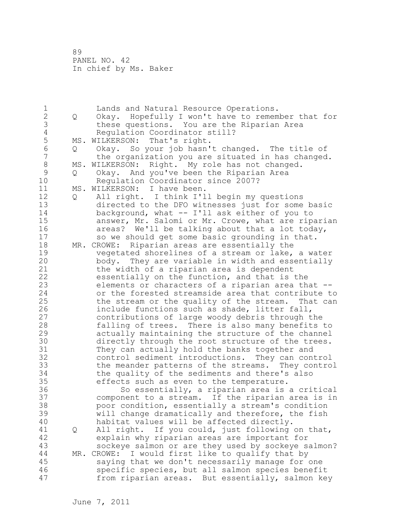1 Lands and Natural Resource Operations.<br>2 0 Okay. Hopefully I won't have to remem 2 Q Okay. Hopefully I won't have to remember that for 3 these questions. You are the Riparian Area<br>4 Requlation Coordinator still? 4 Regulation Coordinator still?<br>5 MS. WILKERSON: That's right. 5 MS. WILKERSON: That's right.<br>6 0 Okav. So your iob hasn' 6 Q Okay. So your job hasn't changed. The title of the organization you are situated in has changed. 8 MS. WILKERSON: Right. My role has not changed.<br>9 0 Okav. And vou've been the Riparian Area 9 Q Okay. And you've been the Riparian Area<br>10 Regulation Coordinator since 2007? Regulation Coordinator since 2007? 11 MS. WILKERSON: I have been. 12 Q All right. I think I'll begin my questions 13 directed to the DFO witnesses just for some basic 14 background, what -- I'll ask either of you to 15 answer, Mr. Salomi or Mr. Crowe, what are riparian 16 areas? We'll be talking about that a lot today, 17 so we should get some basic grounding in that. 18 MR. CROWE: Riparian areas are essentially the 19 vegetated shorelines of a stream or lake, a water<br>20 body. They are variable in width and essentially body. They are variable in width and essentially 21 the width of a riparian area is dependent 22 essentially on the function, and that is the 23 elements or characters of a riparian area that -- 24 or the forested streamside area that contribute to 25 the stream or the quality of the stream. That can 26 include functions such as shade, litter fall,<br>27 contributions of large woody debris through t contributions of large woody debris through the 28 falling of trees. There is also many benefits to 29 actually maintaining the structure of the channel 30 directly through the root structure of the trees.<br>31 They can actually hold the banks together and 31 They can actually hold the banks together and<br>32 control sediment introductions. They can con control sediment introductions. They can control 33 the meander patterns of the streams. They control 34 the quality of the sediments and there's also 35 effects such as even to the temperature. 36 So essentially, a riparian area is a critical 37 component to a stream. If the riparian area is in 38 poor condition, essentially a stream's condition 39 will change dramatically and therefore, the fish 40 habitat values will be affected directly. 41 Q All right. If you could, just following on that,<br>42 explain why riparian areas are important for explain why riparian areas are important for 43 sockeye salmon or are they used by sockeye salmon? 44 MR. CROWE: I would first like to qualify that by 45 saying that we don't necessarily manage for one 46 specific species, but all salmon species benefit 47 from riparian areas. But essentially, salmon key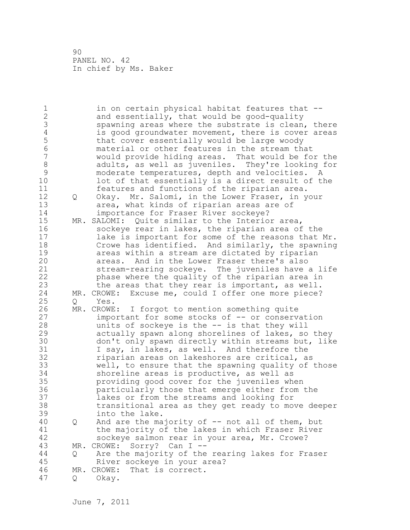| 1<br>$\overline{2}$<br>3<br>$\overline{4}$<br>5<br>6<br>7 |     | in on certain physical habitat features that --<br>and essentially, that would be good-quality<br>spawning areas where the substrate is clean, there<br>is good groundwater movement, there is cover areas<br>that cover essentially would be large woody<br>material or other features in the stream that<br>would provide hiding areas. That would be for the |
|-----------------------------------------------------------|-----|-----------------------------------------------------------------------------------------------------------------------------------------------------------------------------------------------------------------------------------------------------------------------------------------------------------------------------------------------------------------|
| $\,8\,$<br>9                                              |     | adults, as well as juveniles. They're looking for<br>moderate temperatures, depth and velocities. A                                                                                                                                                                                                                                                             |
| 10                                                        |     | lot of that essentially is a direct result of the                                                                                                                                                                                                                                                                                                               |
| 11                                                        |     | features and functions of the riparian area.                                                                                                                                                                                                                                                                                                                    |
| 12<br>13                                                  | Q   | Okay. Mr. Salomi, in the Lower Fraser, in your<br>area, what kinds of riparian areas are of                                                                                                                                                                                                                                                                     |
| 14<br>15                                                  |     | importance for Fraser River sockeye?<br>MR. SALOMI: Quite similar to the Interior area,                                                                                                                                                                                                                                                                         |
| 16                                                        |     | sockeye rear in lakes, the riparian area of the                                                                                                                                                                                                                                                                                                                 |
| 17                                                        |     | lake is important for some of the reasons that Mr.                                                                                                                                                                                                                                                                                                              |
| 18                                                        |     | Crowe has identified. And similarly, the spawning                                                                                                                                                                                                                                                                                                               |
| 19                                                        |     | areas within a stream are dictated by riparian                                                                                                                                                                                                                                                                                                                  |
| 20<br>21                                                  |     | areas. And in the Lower Fraser there's also<br>stream-rearing sockeye. The juveniles have a life                                                                                                                                                                                                                                                                |
| 22                                                        |     | phase where the quality of the riparian area in                                                                                                                                                                                                                                                                                                                 |
| 23                                                        |     | the areas that they rear is important, as well.                                                                                                                                                                                                                                                                                                                 |
| 24                                                        |     | MR. CROWE: Excuse me, could I offer one more piece?                                                                                                                                                                                                                                                                                                             |
| 25                                                        | Q   | Yes.                                                                                                                                                                                                                                                                                                                                                            |
| 26                                                        |     | MR. CROWE: I forgot to mention something quite                                                                                                                                                                                                                                                                                                                  |
| 27                                                        |     | important for some stocks of -- or conservation                                                                                                                                                                                                                                                                                                                 |
| 28<br>29                                                  |     | units of sockeye is the -- is that they will<br>actually spawn along shorelines of lakes, so they                                                                                                                                                                                                                                                               |
| 30                                                        |     | don't only spawn directly within streams but, like                                                                                                                                                                                                                                                                                                              |
| 31                                                        |     | I say, in lakes, as well. And therefore the                                                                                                                                                                                                                                                                                                                     |
| 32                                                        |     | riparian areas on lakeshores are critical, as                                                                                                                                                                                                                                                                                                                   |
| 33                                                        |     | well, to ensure that the spawning quality of those                                                                                                                                                                                                                                                                                                              |
| 34                                                        |     | shoreline areas is productive, as well as                                                                                                                                                                                                                                                                                                                       |
| 35                                                        |     | providing good cover for the juveniles when                                                                                                                                                                                                                                                                                                                     |
| 36<br>37                                                  |     | particularly those that emerge either from the<br>lakes or from the streams and looking for                                                                                                                                                                                                                                                                     |
| 38                                                        |     | transitional area as they get ready to move deeper                                                                                                                                                                                                                                                                                                              |
| 39                                                        |     | into the lake.                                                                                                                                                                                                                                                                                                                                                  |
| 40                                                        | Q   | And are the majority of -- not all of them, but                                                                                                                                                                                                                                                                                                                 |
| 41                                                        |     | the majority of the lakes in which Fraser River                                                                                                                                                                                                                                                                                                                 |
| 42                                                        |     | sockeye salmon rear in your area, Mr. Crowe?                                                                                                                                                                                                                                                                                                                    |
| 43<br>44                                                  |     | Sorry? Can I --<br>MR. CROWE:                                                                                                                                                                                                                                                                                                                                   |
| 45                                                        | Q   | Are the majority of the rearing lakes for Fraser<br>River sockeye in your area?                                                                                                                                                                                                                                                                                 |
| 46                                                        | MR. | That is correct.<br>CROWE:                                                                                                                                                                                                                                                                                                                                      |
| 47                                                        | Q.  | Okay.                                                                                                                                                                                                                                                                                                                                                           |
|                                                           |     |                                                                                                                                                                                                                                                                                                                                                                 |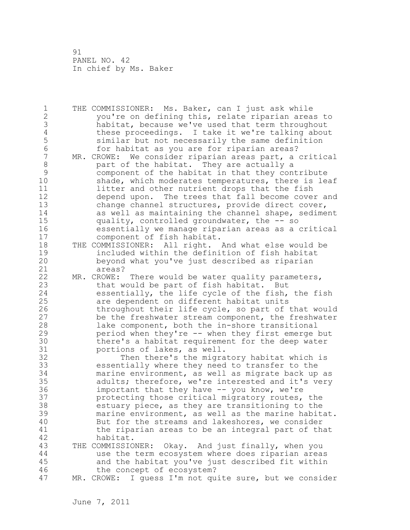| 1              | THE COMMISSIONER: Ms. Baker, can I just ask while         |
|----------------|-----------------------------------------------------------|
| $\overline{c}$ | you're on defining this, relate riparian areas to         |
| 3              | habitat, because we've used that term throughout          |
| $\sqrt{4}$     | these proceedings. I take it we're talking about          |
| 5              | similar but not necessarily the same definition           |
| 6              | for habitat as you are for riparian areas?                |
| 7              | MR. CROWE: We consider riparian areas part, a critical    |
| $\,8\,$        | part of the habitat. They are actually a                  |
| 9              | component of the habitat in that they contribute          |
| 10             | shade, which moderates temperatures, there is leaf        |
| 11             | litter and other nutrient drops that the fish             |
| 12             | depend upon. The trees that fall become cover and         |
| 13             |                                                           |
|                | change channel structures, provide direct cover,          |
| 14             | as well as maintaining the channel shape, sediment        |
| 15             | quality, controlled groundwater, the -- so                |
| 16             | essentially we manage riparian areas as a critical        |
| 17             | component of fish habitat.                                |
| 18             | THE COMMISSIONER: All right. And what else would be       |
| 19             | included within the definition of fish habitat            |
| 20             | beyond what you've just described as riparian             |
| 21             | areas?                                                    |
| 22             | MR. CROWE: There would be water quality parameters,       |
| 23             | that would be part of fish habitat. But                   |
| 24             | essentially, the life cycle of the fish, the fish         |
| 25             | are dependent on different habitat units                  |
| 26             | throughout their life cycle, so part of that would        |
| 27             | be the freshwater stream component, the freshwater        |
| 28             | lake component, both the in-shore transitional            |
| 29             | period when they're -- when they first emerge but         |
| 30             | there's a habitat requirement for the deep water          |
| 31             | portions of lakes, as well.                               |
| 32             | Then there's the migratory habitat which is               |
| 33             |                                                           |
| 34             | essentially where they need to transfer to the            |
|                | marine environment, as well as migrate back up as         |
| 35             | adults; therefore, we're interested and it's very         |
| 36             | important that they have -- you know, we're               |
| 37             | protecting those critical migratory routes, the           |
| 38             | estuary piece, as they are transitioning to the           |
| 39             | marine environment, as well as the marine habitat.        |
| 40             | But for the streams and lakeshores, we consider           |
| 41             | the riparian areas to be an integral part of that         |
| 42             | habitat.                                                  |
| 43             | THE COMMISSIONER:<br>Okay. And just finally, when you     |
| 44             | use the term ecosystem where does riparian areas          |
| 45             | and the habitat you've just described fit within          |
| 46             | the concept of ecosystem?                                 |
| 47             | I guess I'm not quite sure, but we consider<br>MR. CROWE: |
|                |                                                           |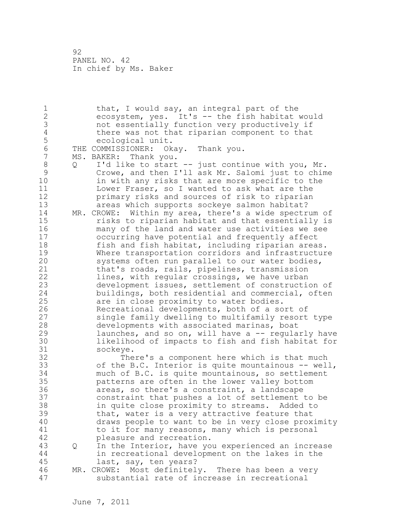1 that, I would say, an integral part of the 2 ecosystem, yes. It's -- the fish habitat would 3 not essentially function very productively if 4 there was not that riparian component to that<br>5 ecological unit. 5 ecological unit.<br>6 THE COMMISSIONER: Ok 6 THE COMMISSIONER: Okay. Thank you.<br>7 MS. BAKER: Thank you. MS. BAKER: Thank you. 8 Q I'd like to start -- just continue with you, Mr. 9 Crowe, and then I'll ask Mr. Salomi just to chime<br>10 in with any risks that are more specific to the in with any risks that are more specific to the 11 Lower Fraser, so I wanted to ask what are the 12 primary risks and sources of risk to riparian 13 areas which supports sockeye salmon habitat? 14 MR. CROWE: Within my area, there's a wide spectrum of 15 risks to riparian habitat and that essentially is 16 many of the land and water use activities we see 17 occurring have potential and frequently affect 18 fish and fish habitat, including riparian areas. 19 Where transportation corridors and infrastructure<br>20 systems often run parallel to our water bodies, systems often run parallel to our water bodies, 21 that's roads, rails, pipelines, transmission 22 lines, with regular crossings, we have urban 23 development issues, settlement of construction of 24 buildings, both residential and commercial, often 25 are in close proximity to water bodies. 26 Recreational developments, both of a sort of<br>27 single family dwelling to multifamily resort single family dwelling to multifamily resort type 28 developments with associated marinas, boat 29 launches, and so on, will have a -- regularly have 30 likelihood of impacts to fish and fish habitat for 31 sockeye.<br>32 The There's a component here which is that much 33 of the B.C. Interior is quite mountainous -- well, 34 much of B.C. is quite mountainous, so settlement 35 patterns are often in the lower valley bottom 36 areas, so there's a constraint, a landscape 37 constraint that pushes a lot of settlement to be 38 in quite close proximity to streams. Added to 39 that, water is a very attractive feature that 40 draws people to want to be in very close proximity 41 to it for many reasons, many which is personal<br>42 bleasure and recreation. pleasure and recreation. 43 Q In the Interior, have you experienced an increase 44 in recreational development on the lakes in the 45 last, say, ten years? 46 MR. CROWE: Most definitely. There has been a very 47 substantial rate of increase in recreational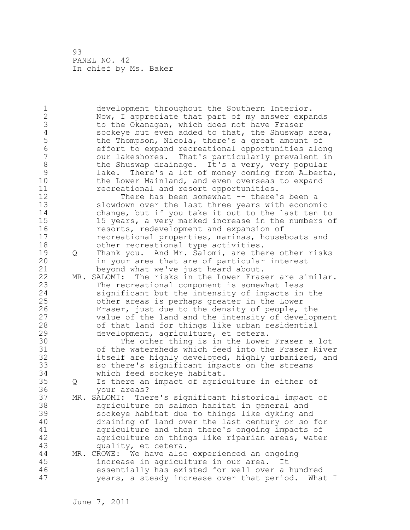1 development throughout the Southern Interior. 2 Now, I appreciate that part of my answer expands 3 to the Okanagan, which does not have Fraser<br>4 sockeye but even added to that, the Shuswap 4 sockeye but even added to that, the Shuswap area,<br>5 the Thompson, Nicola, there's a great amount of 5 the Thompson, Nicola, there's a great amount of<br>6 6 The Effort to expand recreational opportunities alo 6 effort to expand recreational opportunities along our lakeshores. That's particularly prevalent in 8 the Shuswap drainage. It's a very, very popular<br>9 1ake. There's a lot of money coming from Albert 9 lake. There's a lot of money coming from Alberta,<br>10 the Lower Mainland, and even overseas to expand the Lower Mainland, and even overseas to expand 11 recreational and resort opportunities. 12 There has been somewhat -- there's been a 13 slowdown over the last three years with economic 14 change, but if you take it out to the last ten to 15 15 years, a very marked increase in the numbers of 16 resorts, redevelopment and expansion of 17 recreational properties, marinas, houseboats and 18 other recreational type activities. 19 Q Thank you. And Mr. Salomi, are there other risks<br>20 in your area that are of particular interest in your area that are of particular interest 21 beyond what we've just heard about. 22 MR. SALOMI: The risks in the Lower Fraser are similar. 23 The recreational component is somewhat less 24 significant but the intensity of impacts in the 25 other areas is perhaps greater in the Lower 26 Fraser, just due to the density of people, the<br>27 value of the land and the intensity of develop value of the land and the intensity of development 28 of that land for things like urban residential 29 development, agriculture, et cetera. 30 The other thing is in the Lower Fraser a lot<br>31 of the watersheds which feed into the Fraser Rive of the watersheds which feed into the Fraser River 32 itself are highly developed, highly urbanized, and 33 so there's significant impacts on the streams 34 which feed sockeye habitat. 35 Q Is there an impact of agriculture in either of 36 your areas? 37 MR. SALOMI: There's significant historical impact of 38 agriculture on salmon habitat in general and 39 sockeye habitat due to things like dyking and 40 draining of land over the last century or so for 41 agriculture and then there's ongoing impacts of<br>42 agriculture on things like riparian areas, wate: agriculture on things like riparian areas, water 43 quality, et cetera. 44 MR. CROWE: We have also experienced an ongoing 45 increase in agriculture in our area. It 46 essentially has existed for well over a hundred 47 years, a steady increase over that period. What I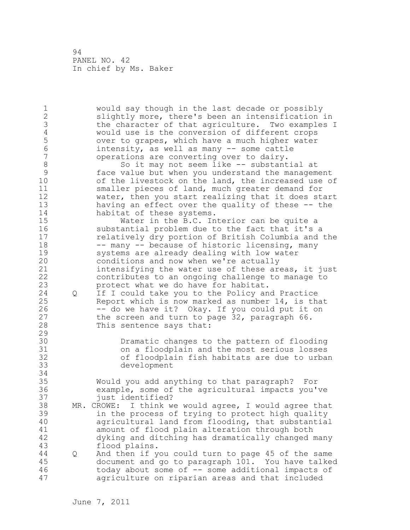1 would say though in the last decade or possibly 2 slightly more, there's been an intensification in 3 the character of that agriculture. Two examples I<br>4 would use is the conversion of different crops 4 would use is the conversion of different crops<br>5 over to grapes, which have a much higher water 5 over to grapes, which have a much higher water<br>6 intensity, as well as many -- some cattle 6 intensity, as well as many -- some cattle operations are converting over to dairy. 8 So it may not seem like -- substantial at<br>9 face value but when you understand the managem 9 face value but when you understand the management<br>10 of the livestock on the land, the increased use o of the livestock on the land, the increased use of 11 smaller pieces of land, much greater demand for 12 water, then you start realizing that it does start 13 having an effect over the quality of these -- the 14 habitat of these systems. 15 Water in the B.C. Interior can be quite a 16 substantial problem due to the fact that it's a 17 relatively dry portion of British Columbia and the 18 -- many -- because of historic licensing, many 19 systems are already dealing with low water<br>20 conditions and now when we're actually conditions and now when we're actually 21 intensifying the water use of these areas, it just 22 contributes to an ongoing challenge to manage to 23 protect what we do have for habitat. 24 Q If I could take you to the Policy and Practice 25 Report which is now marked as number 14, is that 26 -- do we have it? Okay. If you could put it on<br>27 the screen and turn to page 32, paragraph 66. the screen and turn to page 32, paragraph 66. 28 This sentence says that: 29 30 Dramatic changes to the pattern of flooding 31 on a floodplain and the most serious losses<br>32 of floodplain fish habitats are due to urba of floodplain fish habitats are due to urban 33 development 34 35 Would you add anything to that paragraph? For 36 example, some of the agricultural impacts you've 37 just identified? 38 MR. CROWE: I think we would agree, I would agree that 39 in the process of trying to protect high quality 40 agricultural land from flooding, that substantial 41 amount of flood plain alteration through both<br>42 dyking and ditching has dramatically changed n dyking and ditching has dramatically changed many 43 flood plains. 44 Q And then if you could turn to page 45 of the same 45 document and go to paragraph 101. You have talked 46 today about some of -- some additional impacts of 47 agriculture on riparian areas and that included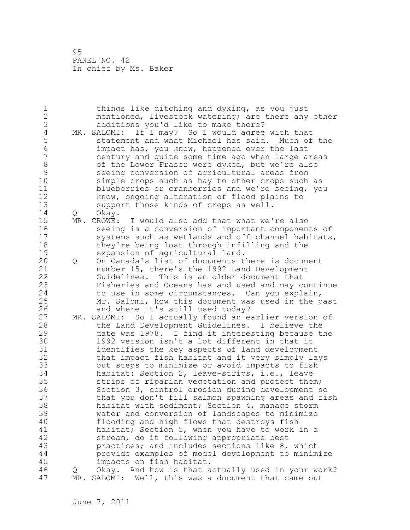| $\mathbf 1$     |   | things like ditching and dyking, as you just          |
|-----------------|---|-------------------------------------------------------|
| $\overline{2}$  |   | mentioned, livestock watering; are there any other    |
| 3               |   | additions you'd like to make there?                   |
| $\overline{4}$  |   | MR. SALOMI: If I may? So I would agree with that      |
| 5               |   | statement and what Michael has said. Much of the      |
| $6\phantom{.}6$ |   | impact has, you know, happened over the last          |
| $\overline{7}$  |   | century and quite some time ago when large areas      |
| 8               |   | of the Lower Fraser were dyked, but we're also        |
| $\mathcal{G}$   |   | seeing conversion of agricultural areas from          |
| 10              |   | simple crops such as hay to other crops such as       |
| 11              |   | blueberries or cranberries and we're seeing, you      |
| 12              |   | know, ongoing alteration of flood plains to           |
| 13              |   | support those kinds of crops as well.                 |
| 14              |   |                                                       |
|                 | Q | Okay.                                                 |
| 15              |   | MR. CROWE: I would also add that what we're also      |
| 16              |   | seeing is a conversion of important components of     |
| 17              |   | systems such as wetlands and off-channel habitats,    |
| 18              |   | they're being lost through infilling and the          |
| 19              |   | expansion of agricultural land.                       |
| 20              | Q | On Canada's list of documents there is document       |
| 21              |   | number 15, there's the 1992 Land Development          |
| 22              |   | Guidelines. This is an older document that            |
| 23              |   | Fisheries and Oceans has and used and may continue    |
| 24              |   | to use in some circumstances. Can you explain,        |
| 25              |   | Mr. Salomi, how this document was used in the past    |
| 26              |   | and where it's still used today?                      |
| 27              |   | MR. SALOMI: So I actually found an earlier version of |
| 28              |   | the Land Development Guidelines. I believe the        |
| 29              |   | date was 1978. I find it interesting because the      |
| 30              |   | 1992 version isn't a lot different in that it         |
| 31              |   | identifies the key aspects of land development        |
| 32              |   | that impact fish habitat and it very simply lays      |
| 33              |   | out steps to minimize or avoid impacts to fish        |
| 34              |   | habitat: Section 2, leave-strips, i.e., leave         |
| 35              |   | strips of riparian vegetation and protect them;       |
| 36              |   | Section 3, control erosion during development so      |
| 37              |   | that you don't fill salmon spawning areas and fish    |
| 38              |   | habitat with sediment; Section 4, manage storm        |
| 39              |   | water and conversion of landscapes to minimize        |
| 40              |   |                                                       |
|                 |   | flooding and high flows that destroys fish            |
| 41              |   | habitat; Section 5, when you have to work in a        |
| 42              |   | stream, do it following appropriate best              |
| 43              |   | practices; and includes sections like 8, which        |
| 44              |   | provide examples of model development to minimize     |
| 45              |   | impacts on fish habitat.                              |
| 46              | Q | Okay. And how is that actually used in your work?     |
| 47              |   | MR. SALOMI: Well, this was a document that came out   |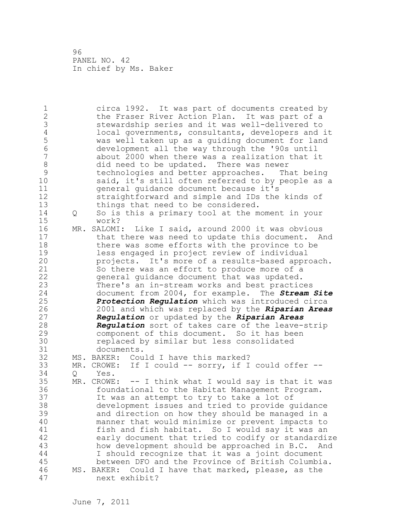1 circa 1992. It was part of documents created by 2 the Fraser River Action Plan. It was part of a 3 stewardship series and it was well-delivered to<br>4 local governments, consultants, developers and 4 local governments, consultants, developers and it<br>5 was well taken up as a quiding document for land 5 was well taken up as a guiding document for land 6 development all the way through the '90s until about 2000 when there was a realization that it 8 did need to be updated. There was newer<br>9 technologies and better approaches. Th 9 technologies and better approaches. That being<br>10 said, it's still often referred to by people as said, it's still often referred to by people as a 11 general guidance document because it's 12 straightforward and simple and IDs the kinds of 13 things that need to be considered. 14 Q So is this a primary tool at the moment in your 15 work? 16 MR. SALOMI: Like I said, around 2000 it was obvious 17 that there was need to update this document. And 18 there was some efforts with the province to be 19 less engaged in project review of individual<br>20 projects. It's more of a results-based appre projects. It's more of a results-based approach. 21 So there was an effort to produce more of a 22 general guidance document that was updated. 23 There's an in-stream works and best practices 24 document from 2004, for example. The *Stream Site*  25 *Protection Regulation* which was introduced circa 26 2001 and which was replaced by the *Riparian Areas*  27 *Regulation* or updated by the *Riparian Areas*  28 *Regulation* sort of takes care of the leave-strip 29 component of this document. So it has been 30 replaced by similar but less consolidated 31 documents.<br>32 MS. BAKER: Cou MS. BAKER: Could I have this marked? 33 MR. CROWE: If I could -- sorry, if I could offer -- 34 Q Yes. 35 MR. CROWE: -- I think what I would say is that it was 36 foundational to the Habitat Management Program. 37 It was an attempt to try to take a lot of 38 development issues and tried to provide guidance 39 and direction on how they should be managed in a 40 manner that would minimize or prevent impacts to 41 fish and fish habitat. So I would say it was an<br>42 early document that tried to codify or standardi early document that tried to codify or standardize 43 how development should be approached in B.C. And 44 I should recognize that it was a joint document 45 between DFO and the Province of British Columbia. 46 MS. BAKER: Could I have that marked, please, as the 47 next exhibit?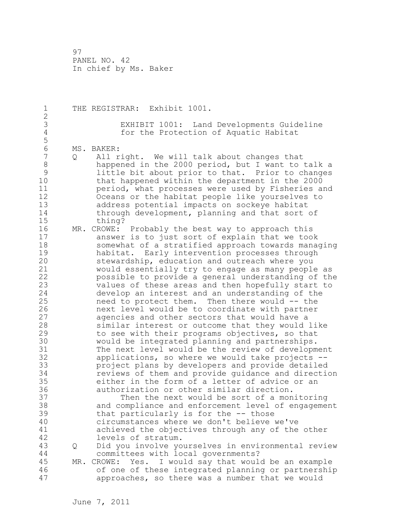1 THE REGISTRAR: Exhibit 1001. 2 3 EXHIBIT 1001: Land Developments Guideline for the Protection of Aquatic Habitat 5 6 MS. BAKER:<br>7 0 All r 7 Q All right. We will talk about changes that 8 happened in the 2000 period, but I want to talk a<br>9 1ittle bit about prior to that. Prior to changes 9 little bit about prior to that. Prior to changes that happened within the department in the 2000 11 period, what processes were used by Fisheries and 12 Oceans or the habitat people like yourselves to 13 address potential impacts on sockeye habitat 14 through development, planning and that sort of 15 thing? 16 MR. CROWE: Probably the best way to approach this 17 answer is to just sort of explain that we took 18 somewhat of a stratified approach towards managing 19 habitat. Early intervention processes through<br>20 stewardship, education and outreach where you stewardship, education and outreach where you 21 would essentially try to engage as many people as 22 possible to provide a general understanding of the 23 values of these areas and then hopefully start to 24 develop an interest and an understanding of the 25 need to protect them. Then there would -- the 26 next level would be to coordinate with partner<br>27 agencies and other sectors that would have a agencies and other sectors that would have a 28 similar interest or outcome that they would like 29 to see with their programs objectives, so that 30 would be integrated planning and partnerships.<br>31 The next level would be the review of developm 31 The next level would be the review of development<br>32 applications, so where we would take projects -applications, so where we would take projects  $--$ 33 project plans by developers and provide detailed 34 reviews of them and provide guidance and direction 35 either in the form of a letter of advice or an 36 authorization or other similar direction. 37 Then the next would be sort of a monitoring 38 and compliance and enforcement level of engagement 39 that particularly is for the -- those 40 circumstances where we don't believe we've 41 achieved the objectives through any of the other<br>42 levels of stratum. levels of stratum. 43 Q Did you involve yourselves in environmental review 44 committees with local governments? 45 MR. CROWE: Yes. I would say that would be an example 46 of one of these integrated planning or partnership 47 approaches, so there was a number that we would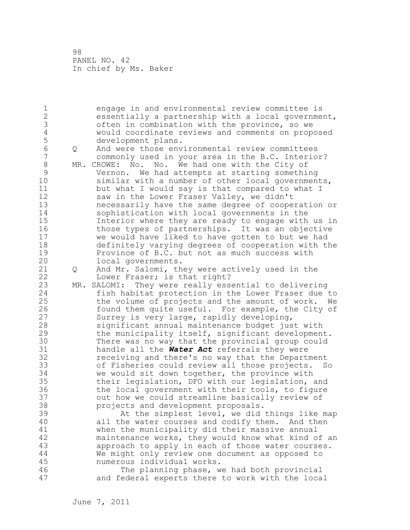1 engage in and environmental review committee is 2 essentially a partnership with a local government, 3 often in combination with the province, so we 4 would coordinate reviews and comments on proposed 5 development plans.<br>6 0 And were those env 6 Q And were those environmental review committees commonly used in your area in the B.C. Interior? 8 MR. CROWE: No. No. We had one with the City of<br>9 Vernon. We had attempts at starting somethi 9 Vernon. We had attempts at starting something similar with a number of other local governments, 11 but what I would say is that compared to what I 12 saw in the Lower Fraser Valley, we didn't 13 necessarily have the same degree of cooperation or<br>14 sophistication with local governments in the sophistication with local governments in the 15 Interior where they are ready to engage with us in 16 those types of partnerships. It was an objective 17 we would have liked to have gotten to but we had 18 definitely varying degrees of cooperation with the 19 Province of B.C. but not as much success with<br>20 10cal governments. local governments. 21 Q And Mr. Salomi, they were actively used in the 22 Lower Fraser; is that right? 23 MR. SALOMI: They were really essential to delivering 24 fish habitat protection in the Lower Fraser due to 25 the volume of projects and the amount of work. We 26 found them quite useful. For example, the City of<br>27 Surrey is very large, rapidly developing, Surrey is very large, rapidly developing, 28 significant annual maintenance budget just with 29 the municipality itself, significant development. 30 There was no way that the provincial group could<br>31 handle all the **Water Act** referrals they were handle all the **Water Act** referrals they were 32 receiving and there's no way that the Department 33 of Fisheries could review all those projects. So 34 we would sit down together, the province with 35 their legislation, DFO with our legislation, and 36 the local government with their tools, to figure 37 out how we could streamline basically review of 38 projects and development proposals. 39 At the simplest level, we did things like map 40 all the water courses and codify them. And then 41 when the municipality did their massive annual<br>42 maintenance works, they would know what kind o maintenance works, they would know what kind of an 43 approach to apply in each of those water courses. 44 We might only review one document as opposed to 45 numerous individual works. 46 The planning phase, we had both provincial 47 and federal experts there to work with the local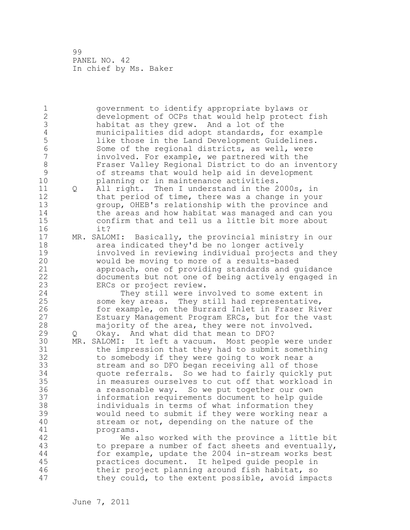1 government to identify appropriate bylaws or 2 development of OCPs that would help protect fish 3 habitat as they grew. And a lot of the<br>4 municipalities did adopt standards, for 4 municipalities did adopt standards, for example 5 like those in the Land Development Guidelines.<br>6 Some of the regional districts, as well, were 6 Some of the regional districts, as well, were involved. For example, we partnered with the 8 Fraser Valley Regional District to do an inventory<br>9 6 of streams that would help aid in development 9 of streams that would help aid in development planning or in maintenance activities. 11 Q All right. Then I understand in the 2000s, in 12 that period of time, there was a change in your 13 group, OHEB's relationship with the province and 14 the areas and how habitat was managed and can you 15 confirm that and tell us a little bit more about 16 it? 17 MR. SALOMI: Basically, the provincial ministry in our 18 area indicated they'd be no longer actively 19 involved in reviewing individual projects and they<br>20 would be moving to more of a results-based would be moving to more of a results-based 21 approach, one of providing standards and guidance 22 documents but not one of being actively engaged in 23 ERCs or project review. 24 They still were involved to some extent in 25 some key areas. They still had representative, 26 for example, on the Burrard Inlet in Fraser River<br>27 Estuary Management Program ERCs, but for the vast Estuary Management Program ERCs, but for the vast 28 majority of the area, they were not involved. 29 Q Okay. And what did that mean to DFO? 30 MR. SALOMI: It left a vacuum. Most people were under the impression that they had to submit something 32 to somebody if they were going to work near a 33 stream and so DFO began receiving all of those 34 quote referrals. So we had to fairly quickly put 35 in measures ourselves to cut off that workload in 36 a reasonable way. So we put together our own 37 information requirements document to help guide 38 individuals in terms of what information they 39 would need to submit if they were working near a 40 stream or not, depending on the nature of the 41 programs.<br>42 We a We also worked with the province a little bit 43 to prepare a number of fact sheets and eventually, 44 for example, update the 2004 in-stream works best 45 practices document. It helped guide people in 46 their project planning around fish habitat, so 47 they could, to the extent possible, avoid impacts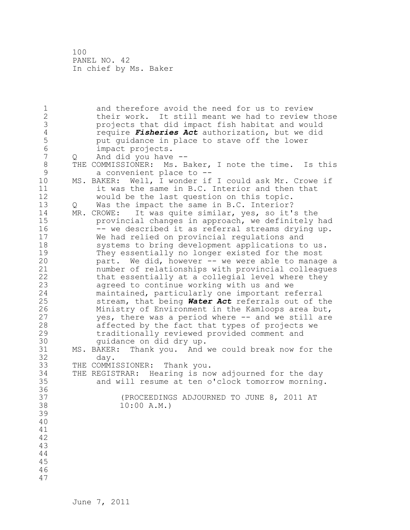1 and therefore avoid the need for us to review 2 their work. It still meant we had to review those 3 projects that did impact fish habitat and would<br>4 **proving the Solution** and the sector and the sector of the did 4 require *Fisheries Act* authorization, but we did 5 but guidance in place to stave off the lower<br>6 impact projects. 6 impact projects.<br>7 0 And did vou have 7 Q And did you have -- 8 THE COMMISSIONER: Ms. Baker, I note the time. Is this<br>9 a convenient place to --9 a convenient place to --<br>10 MS. BAKER: Well, I wonder if MS. BAKER: Well, I wonder if I could ask Mr. Crowe if 11 it was the same in B.C. Interior and then that 12 would be the last question on this topic. 13 Q Was the impact the same in B.C. Interior? 14 MR. CROWE: It was quite similar, yes, so it's the 15 provincial changes in approach, we definitely had 16 -- we described it as referral streams drying up. 17 We had relied on provincial regulations and 18 systems to bring development applications to us. 19 They essentially no longer existed for the most<br>20 part. We did, however -- we were able to manage part. We did, however -- we were able to manage a 21 number of relationships with provincial colleagues 22 that essentially at a collegial level where they 23 agreed to continue working with us and we 24 maintained, particularly one important referral 25 stream, that being *Water Act* referrals out of the 26 Ministry of Environment in the Kamloops area but,<br>27 ves, there was a period where -- and we still are yes, there was a period where -- and we still are 28 affected by the fact that types of projects we 29 traditionally reviewed provided comment and 30 guidance on did dry up.<br>31 MS. BAKER: Thank vou. And 31 MS. BAKER: Thank you. And we could break now for the day. 33 THE COMMISSIONER: Thank you. 34 THE REGISTRAR: Hearing is now adjourned for the day 35 and will resume at ten o'clock tomorrow morning. 36 37 (PROCEEDINGS ADJOURNED TO JUNE 8, 2011 AT 38 10:00 A.M.) 39 40 41 42 43 44 45 46 47